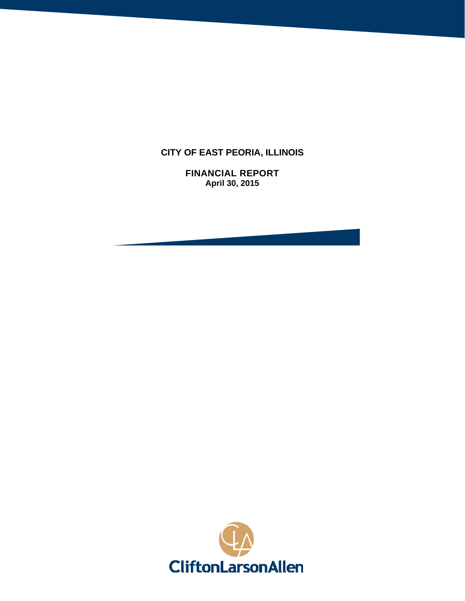# **CITY OF EAST PEORIA, ILLINOIS**

**FINANCIAL REPORT April 30, 2015** 

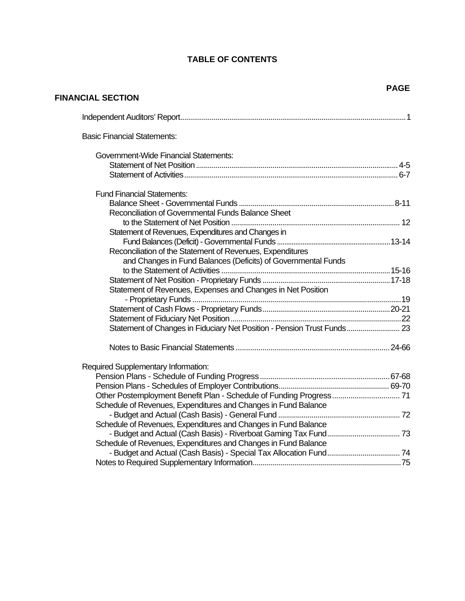## **TABLE OF CONTENTS**

**FINANCIAL SECTION** 

| <b>Basic Financial Statements:</b>                                      |  |
|-------------------------------------------------------------------------|--|
| <b>Government-Wide Financial Statements:</b>                            |  |
|                                                                         |  |
|                                                                         |  |
| <b>Fund Financial Statements:</b>                                       |  |
|                                                                         |  |
| Reconciliation of Governmental Funds Balance Sheet                      |  |
|                                                                         |  |
| Statement of Revenues, Expenditures and Changes in                      |  |
|                                                                         |  |
| Reconciliation of the Statement of Revenues, Expenditures               |  |
| and Changes in Fund Balances (Deficits) of Governmental Funds           |  |
|                                                                         |  |
|                                                                         |  |
| Statement of Revenues, Expenses and Changes in Net Position             |  |
|                                                                         |  |
|                                                                         |  |
|                                                                         |  |
| Statement of Changes in Fiduciary Net Position - Pension Trust Funds 23 |  |
|                                                                         |  |
| Required Supplementary Information:                                     |  |
|                                                                         |  |
|                                                                         |  |
| Other Postemployment Benefit Plan - Schedule of Funding Progress 71     |  |
| Schedule of Revenues, Expenditures and Changes in Fund Balance          |  |
|                                                                         |  |
| Schedule of Revenues, Expenditures and Changes in Fund Balance          |  |
|                                                                         |  |
| Schedule of Revenues, Expenditures and Changes in Fund Balance          |  |
|                                                                         |  |
|                                                                         |  |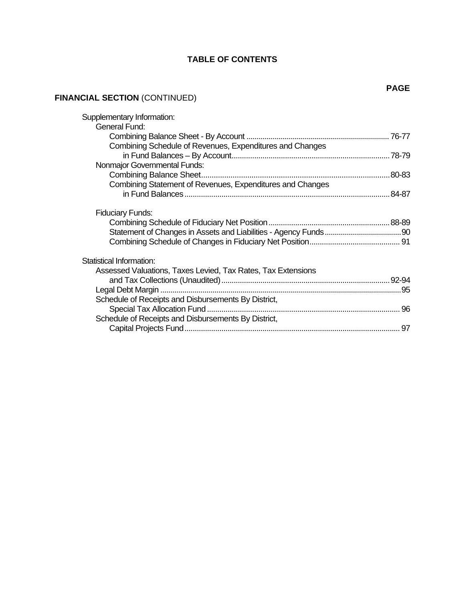# **TABLE OF CONTENTS**

# **FINANCIAL SECTION** (CONTINUED)

| Supplementary Information:                                   |  |
|--------------------------------------------------------------|--|
| <b>General Fund:</b>                                         |  |
|                                                              |  |
| Combining Schedule of Revenues, Expenditures and Changes     |  |
|                                                              |  |
| Nonmajor Governmental Funds:                                 |  |
|                                                              |  |
| Combining Statement of Revenues, Expenditures and Changes    |  |
|                                                              |  |
|                                                              |  |
| <b>Fiduciary Funds:</b>                                      |  |
|                                                              |  |
|                                                              |  |
|                                                              |  |
|                                                              |  |
| Statistical Information:                                     |  |
| Assessed Valuations, Taxes Levied, Tax Rates, Tax Extensions |  |
|                                                              |  |
|                                                              |  |
| Schedule of Receipts and Disbursements By District,          |  |
|                                                              |  |
| Schedule of Receipts and Disbursements By District,          |  |
|                                                              |  |
|                                                              |  |

#### **PAGE**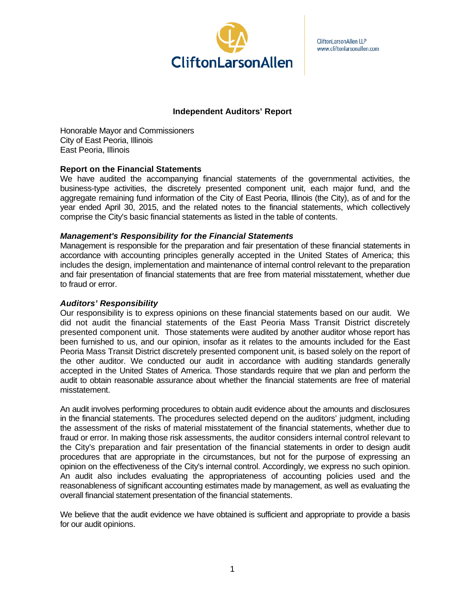

CliftonLarsonAllen LLP www.cliftonlarsonallen.com

## **Independent Auditors' Report**

Honorable Mayor and Commissioners City of East Peoria, Illinois East Peoria, Illinois

#### **Report on the Financial Statements**

We have audited the accompanying financial statements of the governmental activities, the business-type activities, the discretely presented component unit, each major fund, and the aggregate remaining fund information of the City of East Peoria, Illinois (the City), as of and for the year ended April 30, 2015, and the related notes to the financial statements, which collectively comprise the City's basic financial statements as listed in the table of contents.

#### *Management's Responsibility for the Financial Statements*

Management is responsible for the preparation and fair presentation of these financial statements in accordance with accounting principles generally accepted in the United States of America; this includes the design, implementation and maintenance of internal control relevant to the preparation and fair presentation of financial statements that are free from material misstatement, whether due to fraud or error.

#### *Auditors' Responsibility*

Our responsibility is to express opinions on these financial statements based on our audit. We did not audit the financial statements of the East Peoria Mass Transit District discretely presented component unit. Those statements were audited by another auditor whose report has been furnished to us, and our opinion, insofar as it relates to the amounts included for the East Peoria Mass Transit District discretely presented component unit, is based solely on the report of the other auditor. We conducted our audit in accordance with auditing standards generally accepted in the United States of America. Those standards require that we plan and perform the audit to obtain reasonable assurance about whether the financial statements are free of material misstatement.

An audit involves performing procedures to obtain audit evidence about the amounts and disclosures in the financial statements. The procedures selected depend on the auditors' judgment, including the assessment of the risks of material misstatement of the financial statements, whether due to fraud or error. In making those risk assessments, the auditor considers internal control relevant to the City's preparation and fair presentation of the financial statements in order to design audit procedures that are appropriate in the circumstances, but not for the purpose of expressing an opinion on the effectiveness of the City's internal control. Accordingly, we express no such opinion. An audit also includes evaluating the appropriateness of accounting policies used and the reasonableness of significant accounting estimates made by management, as well as evaluating the overall financial statement presentation of the financial statements.

We believe that the audit evidence we have obtained is sufficient and appropriate to provide a basis for our audit opinions.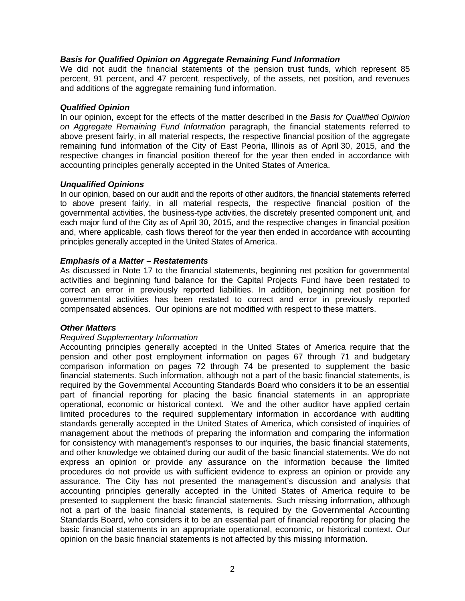## *Basis for Qualified Opinion on Aggregate Remaining Fund Information*

We did not audit the financial statements of the pension trust funds, which represent 85 percent, 91 percent, and 47 percent, respectively, of the assets, net position, and revenues and additions of the aggregate remaining fund information.

#### *Qualified Opinion*

In our opinion, except for the effects of the matter described in the *Basis for Qualified Opinion on Aggregate Remaining Fund Information* paragraph, the financial statements referred to above present fairly, in all material respects, the respective financial position of the aggregate remaining fund information of the City of East Peoria, Illinois as of April 30, 2015, and the respective changes in financial position thereof for the year then ended in accordance with accounting principles generally accepted in the United States of America.

## *Unqualified Opinions*

In our opinion, based on our audit and the reports of other auditors, the financial statements referred to above present fairly, in all material respects, the respective financial position of the governmental activities, the business-type activities, the discretely presented component unit, and each major fund of the City as of April 30, 2015, and the respective changes in financial position and, where applicable, cash flows thereof for the year then ended in accordance with accounting principles generally accepted in the United States of America.

## *Emphasis of a Matter – Restatements*

As discussed in Note 17 to the financial statements, beginning net position for governmental activities and beginning fund balance for the Capital Projects Fund have been restated to correct an error in previously reported liabilities. In addition, beginning net position for governmental activities has been restated to correct and error in previously reported compensated absences. Our opinions are not modified with respect to these matters.

## *Other Matters*

#### *Required Supplementary Information*

Accounting principles generally accepted in the United States of America require that the pension and other post employment information on pages 67 through 71 and budgetary comparison information on pages 72 through 74 be presented to supplement the basic financial statements. Such information, although not a part of the basic financial statements, is required by the Governmental Accounting Standards Board who considers it to be an essential part of financial reporting for placing the basic financial statements in an appropriate operational, economic or historical context. We and the other auditor have applied certain limited procedures to the required supplementary information in accordance with auditing standards generally accepted in the United States of America, which consisted of inquiries of management about the methods of preparing the information and comparing the information for consistency with management's responses to our inquiries, the basic financial statements, and other knowledge we obtained during our audit of the basic financial statements. We do not express an opinion or provide any assurance on the information because the limited procedures do not provide us with sufficient evidence to express an opinion or provide any assurance. The City has not presented the management's discussion and analysis that accounting principles generally accepted in the United States of America require to be presented to supplement the basic financial statements. Such missing information, although not a part of the basic financial statements, is required by the Governmental Accounting Standards Board, who considers it to be an essential part of financial reporting for placing the basic financial statements in an appropriate operational, economic, or historical context. Our opinion on the basic financial statements is not affected by this missing information.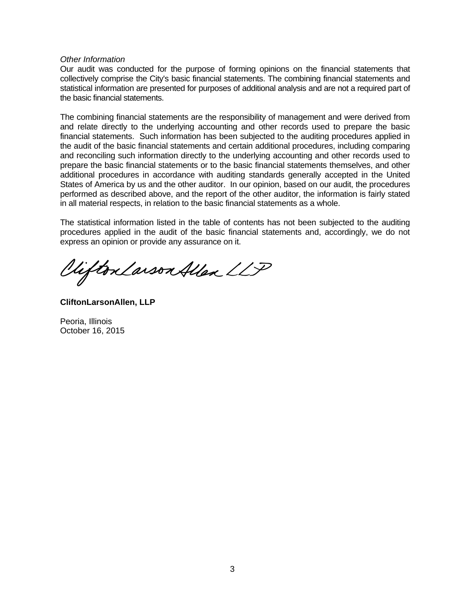#### *Other Information*

Our audit was conducted for the purpose of forming opinions on the financial statements that collectively comprise the City's basic financial statements. The combining financial statements and statistical information are presented for purposes of additional analysis and are not a required part of the basic financial statements.

The combining financial statements are the responsibility of management and were derived from and relate directly to the underlying accounting and other records used to prepare the basic financial statements. Such information has been subjected to the auditing procedures applied in the audit of the basic financial statements and certain additional procedures, including comparing and reconciling such information directly to the underlying accounting and other records used to prepare the basic financial statements or to the basic financial statements themselves, and other additional procedures in accordance with auditing standards generally accepted in the United States of America by us and the other auditor. In our opinion, based on our audit, the procedures performed as described above, and the report of the other auditor, the information is fairly stated in all material respects, in relation to the basic financial statements as a whole.

The statistical information listed in the table of contents has not been subjected to the auditing procedures applied in the audit of the basic financial statements and, accordingly, we do not express an opinion or provide any assurance on it.

Viifton Larson Allen LLP

**CliftonLarsonAllen, LLP** 

Peoria, Illinois October 16, 2015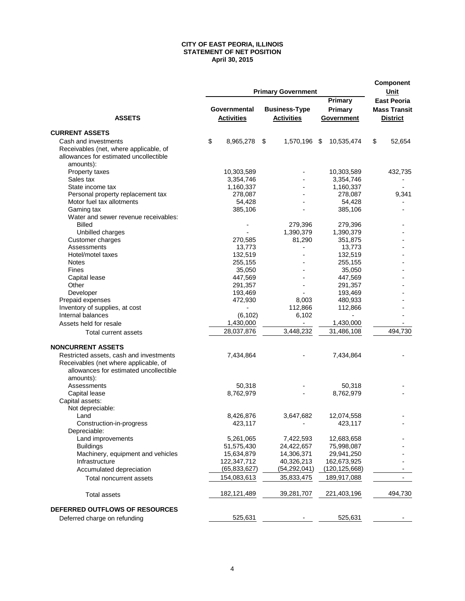#### **CITY OF EAST PEORIA, ILLINOIS STATEMENT OF NET POSITION April 30, 2015**

|                                                                                                                                         | <b>Primary Government</b> |                                   |  |                                           |                                  |                |                                                              | Component<br>Unit |
|-----------------------------------------------------------------------------------------------------------------------------------------|---------------------------|-----------------------------------|--|-------------------------------------------|----------------------------------|----------------|--------------------------------------------------------------|-------------------|
| <b>ASSETS</b>                                                                                                                           |                           | Governmental<br><b>Activities</b> |  | <b>Business-Type</b><br><b>Activities</b> | Primary<br>Primary<br>Government |                | <b>East Peoria</b><br><b>Mass Transit</b><br><b>District</b> |                   |
| <b>CURRENT ASSETS</b>                                                                                                                   |                           |                                   |  |                                           |                                  |                |                                                              |                   |
| Cash and investments                                                                                                                    | \$                        | 8,965,278 \$                      |  | 1,570,196 \$                              | 10,535,474                       |                | \$                                                           | 52,654            |
| Receivables (net, where applicable, of<br>allowances for estimated uncollectible<br>amounts):                                           |                           |                                   |  |                                           |                                  |                |                                                              |                   |
| Property taxes                                                                                                                          |                           | 10,303,589                        |  |                                           | 10,303,589                       |                |                                                              | 432,735           |
| Sales tax                                                                                                                               |                           | 3,354,746                         |  |                                           | 3,354,746                        |                |                                                              |                   |
| State income tax                                                                                                                        |                           | 1,160,337                         |  |                                           | 1,160,337                        |                |                                                              |                   |
| Personal property replacement tax                                                                                                       |                           | 278,087                           |  |                                           | 278,087                          |                |                                                              | 9,341             |
| Motor fuel tax allotments                                                                                                               |                           | 54,428                            |  |                                           |                                  | 54,428         |                                                              |                   |
| Gaming tax                                                                                                                              |                           | 385,106                           |  |                                           | 385,106                          |                |                                                              |                   |
| Water and sewer revenue receivables:                                                                                                    |                           |                                   |  |                                           |                                  |                |                                                              |                   |
| <b>Billed</b>                                                                                                                           |                           |                                   |  | 279,396                                   | 279,396                          |                |                                                              |                   |
| Unbilled charges                                                                                                                        |                           |                                   |  | 1,390,379                                 | 1,390,379                        |                |                                                              |                   |
| Customer charges                                                                                                                        |                           | 270,585                           |  | 81,290                                    | 351,875                          |                |                                                              |                   |
| Assessments                                                                                                                             |                           | 13,773                            |  |                                           |                                  | 13,773         |                                                              |                   |
| Hotel/motel taxes                                                                                                                       |                           | 132,519                           |  |                                           | 132,519                          |                |                                                              |                   |
| <b>Notes</b>                                                                                                                            |                           | 255,155                           |  |                                           | 255,155                          |                |                                                              |                   |
| Fines                                                                                                                                   |                           | 35,050                            |  |                                           |                                  | 35,050         |                                                              |                   |
| Capital lease                                                                                                                           |                           | 447,569                           |  |                                           | 447,569                          |                |                                                              |                   |
| Other                                                                                                                                   |                           | 291,357                           |  |                                           | 291,357                          |                |                                                              |                   |
| Developer                                                                                                                               |                           | 193,469                           |  |                                           | 193,469                          |                |                                                              |                   |
| Prepaid expenses                                                                                                                        |                           | 472,930                           |  | 8,003                                     | 480,933                          |                |                                                              |                   |
| Inventory of supplies, at cost                                                                                                          |                           |                                   |  | 112,866                                   | 112,866                          |                |                                                              |                   |
| Internal balances                                                                                                                       |                           | (6, 102)                          |  | 6,102                                     |                                  | $\overline{a}$ |                                                              |                   |
| Assets held for resale                                                                                                                  |                           | 1,430,000                         |  | $\overline{\phantom{a}}$                  | 1,430,000                        |                |                                                              |                   |
|                                                                                                                                         |                           | 28,037,876                        |  | 3,448,232                                 | 31,486,108                       |                |                                                              | 494,730           |
| Total current assets                                                                                                                    |                           |                                   |  |                                           |                                  |                |                                                              |                   |
| <b>NONCURRENT ASSETS</b>                                                                                                                |                           |                                   |  |                                           |                                  |                |                                                              |                   |
| Restricted assets, cash and investments<br>Receivables (net where applicable, of<br>allowances for estimated uncollectible<br>amounts): |                           | 7,434,864                         |  |                                           | 7,434,864                        |                |                                                              |                   |
| Assessments                                                                                                                             |                           | 50,318                            |  |                                           |                                  | 50,318         |                                                              |                   |
| Capital lease                                                                                                                           |                           | 8,762,979                         |  |                                           | 8,762,979                        |                |                                                              |                   |
| Capital assets:                                                                                                                         |                           |                                   |  |                                           |                                  |                |                                                              |                   |
| Not depreciable:                                                                                                                        |                           |                                   |  |                                           |                                  |                |                                                              |                   |
| Land                                                                                                                                    |                           | 8,426,876                         |  | 3,647,682                                 | 12,074,558                       |                |                                                              |                   |
| Construction-in-progress                                                                                                                |                           | 423,117                           |  |                                           | 423,117                          |                |                                                              |                   |
| Depreciable:                                                                                                                            |                           |                                   |  |                                           |                                  |                |                                                              |                   |
| Land improvements                                                                                                                       |                           | 5,261,065                         |  | 7,422,593                                 | 12,683,658                       |                |                                                              |                   |
| <b>Buildings</b>                                                                                                                        |                           | 51,575,430                        |  | 24,422,657                                | 75,998,087                       |                |                                                              |                   |
| Machinery, equipment and vehicles                                                                                                       |                           | 15,634,879                        |  | 14,306,371                                | 29,941,250                       |                |                                                              |                   |
| Infrastructure                                                                                                                          |                           | 122,347,712                       |  | 40,326,213                                | 162,673,925                      |                |                                                              |                   |
| Accumulated depreciation                                                                                                                |                           | (65, 833, 627)                    |  | (54, 292, 041)                            | (120, 125, 668)                  |                |                                                              |                   |
| Total noncurrent assets                                                                                                                 |                           | 154,083,613                       |  | 35,833,475                                | 189,917,088                      |                |                                                              |                   |
| <b>Total assets</b>                                                                                                                     |                           | 182,121,489                       |  | 39,281,707                                | 221,403,196                      |                |                                                              | 494,730           |
|                                                                                                                                         |                           |                                   |  |                                           |                                  |                |                                                              |                   |
| DEFERRED OUTFLOWS OF RESOURCES                                                                                                          |                           |                                   |  |                                           |                                  |                |                                                              |                   |
| Deferred charge on refunding                                                                                                            |                           | 525,631                           |  |                                           | 525,631                          |                |                                                              |                   |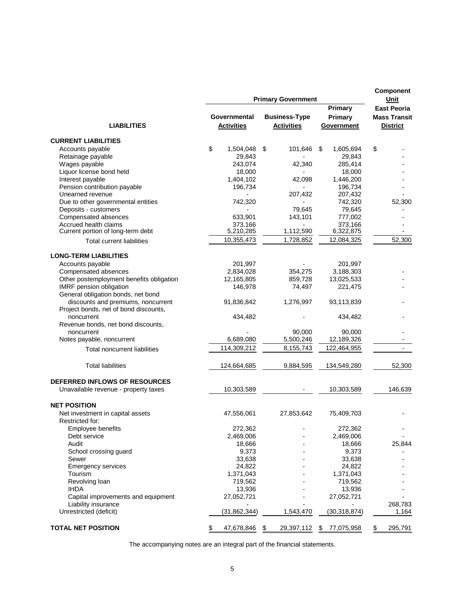|                                          |                                   |                | Component<br>Unit |                                                                        |                                  |                                                              |         |
|------------------------------------------|-----------------------------------|----------------|-------------------|------------------------------------------------------------------------|----------------------------------|--------------------------------------------------------------|---------|
| <b>LIABILITIES</b>                       | Governmental<br><b>Activities</b> |                |                   | <b>Primary Government</b><br><b>Business-Type</b><br><b>Activities</b> | Primary<br>Primary<br>Government | <b>East Peoria</b><br><b>Mass Transit</b><br><b>District</b> |         |
| <b>CURRENT LIABILITIES</b>               |                                   |                |                   |                                                                        |                                  |                                                              |         |
| Accounts payable                         | \$                                | 1,504,048      | \$                | 101,646                                                                | \$<br>1,605,694                  | \$                                                           |         |
| Retainage payable                        |                                   | 29,843         |                   |                                                                        | 29,843                           |                                                              |         |
| Wages payable                            |                                   | 243,074        |                   | 42,340                                                                 | 285,414                          |                                                              |         |
| Liquor license bond held                 |                                   | 18,000         |                   |                                                                        | 18,000                           |                                                              |         |
| Interest payable                         |                                   | 1,404,102      |                   | 42.098                                                                 | 1,446,200                        |                                                              |         |
| Pension contribution payable             |                                   | 196,734        |                   |                                                                        | 196,734                          |                                                              |         |
| Unearned revenue                         |                                   |                |                   | 207,432                                                                | 207,432                          |                                                              |         |
| Due to other governmental entities       |                                   | 742,320        |                   |                                                                        | 742,320                          |                                                              | 52,300  |
| Deposits - customers                     |                                   |                |                   | 79,645                                                                 | 79,645                           |                                                              |         |
| Compensated absences                     |                                   | 633,901        |                   | 143,101                                                                | 777,002                          |                                                              |         |
| Accrued health claims                    |                                   | 373,166        |                   |                                                                        | 373,166                          |                                                              |         |
| Current portion of long-term debt        |                                   | 5,210,285      |                   | 1,112,590                                                              | 6,322,875                        |                                                              |         |
| <b>Total current liabilities</b>         |                                   | 10,355,473     |                   | 1,728,852                                                              | 12,084,325                       |                                                              | 52,300  |
| <b>LONG-TERM LIABILITIES</b>             |                                   |                |                   |                                                                        |                                  |                                                              |         |
| Accounts payable                         |                                   | 201,997        |                   |                                                                        | 201,997                          |                                                              |         |
| Compensated absences                     |                                   | 2,834,028      |                   | 354,275                                                                | 3,188,303                        |                                                              |         |
| Other postemployment benefits obligation |                                   | 12,165,805     |                   | 859,728                                                                | 13,025,533                       |                                                              |         |
| IMRF pension obligation                  |                                   | 146,978        |                   | 74,497                                                                 | 221,475                          |                                                              |         |
| General obligation bonds, net bond       |                                   |                |                   |                                                                        |                                  |                                                              |         |
| discounts and premiums, noncurrent       |                                   | 91,836,842     |                   | 1,276,997                                                              | 93,113,839                       |                                                              |         |
| Project bonds, net of bond discounts,    |                                   |                |                   |                                                                        |                                  |                                                              |         |
| noncurrent                               |                                   | 434,482        |                   |                                                                        | 434,482                          |                                                              |         |
| Revenue bonds, net bond discounts,       |                                   |                |                   |                                                                        |                                  |                                                              |         |
| noncurrent                               |                                   |                |                   | 90,000                                                                 | 90,000                           |                                                              |         |
| Notes payable, noncurrent                |                                   | 6,689,080      |                   | 5,500,246                                                              | 12,189,326                       |                                                              |         |
| <b>Total noncurrent liabilities</b>      |                                   | 114,309,212    |                   | 8,155,743                                                              | 122,464,955                      |                                                              |         |
| <b>Total liabilities</b>                 |                                   | 124,664,685    |                   | 9,884,595                                                              | 134,549,280                      |                                                              | 52,300  |
| DEFERRED INFLOWS OF RESOURCES            |                                   |                |                   |                                                                        |                                  |                                                              |         |
| Unavailable revenue - property taxes     |                                   | 10,303,589     |                   |                                                                        | 10,303,589                       |                                                              | 146,639 |
| <b>NET POSITION</b>                      |                                   |                |                   |                                                                        |                                  |                                                              |         |
| Net investment in capital assets         |                                   | 47,556,061     |                   | 27,853,642                                                             | 75,409,703                       |                                                              |         |
| Restricted for:                          |                                   |                |                   |                                                                        |                                  |                                                              |         |
| Employee benefits                        |                                   | 272,362        |                   |                                                                        | 272,362                          |                                                              |         |
| Debt service                             |                                   | 2,469,006      |                   |                                                                        | 2,469,006                        |                                                              |         |
| Audit                                    |                                   | 18,666         |                   |                                                                        | 18,666                           |                                                              | 25,844  |
| School crossing guard                    |                                   | 9,373          |                   |                                                                        | 9,373                            |                                                              |         |
| Sewer                                    |                                   | 33,638         |                   |                                                                        | 33,638                           |                                                              |         |
| <b>Emergency services</b>                |                                   | 24,822         |                   |                                                                        | 24,822                           |                                                              |         |
| Tourism                                  |                                   | 1,371,043      |                   |                                                                        | 1,371,043                        |                                                              |         |
| Revolving loan                           |                                   | 719,562        |                   |                                                                        | 719,562                          |                                                              |         |
| <b>IHDA</b>                              |                                   | 13,936         |                   |                                                                        | 13,936                           |                                                              |         |
| Capital improvements and equipment       |                                   | 27,052,721     |                   |                                                                        | 27,052,721                       |                                                              |         |
| Liability insurance                      |                                   |                |                   |                                                                        |                                  |                                                              | 268,783 |
| Unrestricted (deficit)                   |                                   | (31, 862, 344) |                   | 1,543,470                                                              | (30, 318, 874)                   |                                                              | 1,164   |
| <b>TOTAL NET POSITION</b>                | \$                                | 47,678,846 \$  |                   | 29,397,112                                                             | \$<br>77,075,958                 | \$                                                           | 295,791 |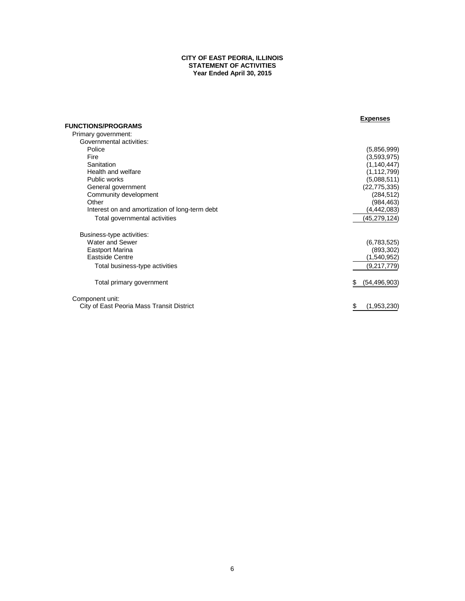#### **CITY OF EAST PEORIA, ILLINOIS STATEMENT OF ACTIVITIES Year Ended April 30, 2015**

|                                                | <b>Expenses</b>      |
|------------------------------------------------|----------------------|
| <b>FUNCTIONS/PROGRAMS</b>                      |                      |
| Primary government:                            |                      |
| Governmental activities:                       |                      |
| Police                                         | (5,856,999)          |
| Fire                                           | (3,593,975)          |
| Sanitation                                     | (1, 140, 447)        |
| Health and welfare                             | (1, 112, 799)        |
| Public works                                   | (5.088.511)          |
| General government                             | (22, 775, 335)       |
| Community development                          | (284, 512)           |
| Other                                          | (984, 463)           |
| Interest on and amortization of long-term debt | (4, 442, 083)        |
| Total governmental activities                  | (45,279,124)         |
| Business-type activities:                      |                      |
| Water and Sewer                                | (6,783,525)          |
| <b>Eastport Marina</b>                         | (893, 302)           |
| <b>Eastside Centre</b>                         | (1,540,952)          |
| Total business-type activities                 | (9, 217, 779)        |
| Total primary government                       | (54, 496, 903)<br>\$ |
| Component unit:                                |                      |
| City of East Peoria Mass Transit District      | (1,953,230)<br>\$    |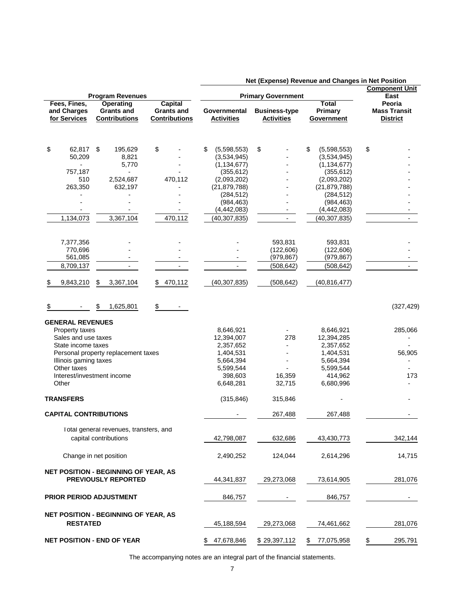|                              |                                                                           |                          |                              | Net (Experise) Revenue and Changes in Net Position<br><b>Component Unit</b> |                              |                     |
|------------------------------|---------------------------------------------------------------------------|--------------------------|------------------------------|-----------------------------------------------------------------------------|------------------------------|---------------------|
|                              | <b>Program Revenues</b>                                                   |                          | <b>Primary Government</b>    | East                                                                        |                              |                     |
| Fees, Fines,                 | <b>Operating</b>                                                          | <b>Capital</b>           |                              |                                                                             | <b>Total</b>                 | Peoria              |
| and Charges                  | <b>Grants and</b>                                                         | <b>Grants and</b>        | Governmental                 | <b>Business-type</b>                                                        | Primary                      | <b>Mass Transit</b> |
| for Services                 | <b>Contributions</b>                                                      | <b>Contributions</b>     | <b>Activities</b>            | <b>Activities</b>                                                           | Government                   | <b>District</b>     |
|                              |                                                                           |                          |                              |                                                                             |                              |                     |
| \$<br>62,817 \$              | 195,629                                                                   | \$                       | (5,598,553)<br>\$            | \$                                                                          | \$<br>(5,598,553)            | \$                  |
| 50,209                       | 8,821                                                                     |                          | (3,534,945)                  |                                                                             | (3,534,945)                  |                     |
| $\blacksquare$               | 5,770                                                                     |                          | (1, 134, 677)                |                                                                             | (1, 134, 677)                |                     |
| 757,187                      |                                                                           |                          | (355, 612)                   |                                                                             | (355, 612)                   |                     |
| 510                          | 2,524,687                                                                 | 470,112                  | (2,093,202)                  |                                                                             | (2,093,202)                  |                     |
| 263,350                      | 632,197                                                                   |                          | (21, 879, 788)<br>(284, 512) |                                                                             | (21, 879, 788)<br>(284, 512) |                     |
|                              |                                                                           |                          | (984, 463)                   |                                                                             | (984, 463)                   |                     |
|                              |                                                                           |                          | (4, 442, 083)                |                                                                             | (4, 442, 083)                |                     |
| 1,134,073                    | 3,367,104                                                                 | 470,112                  | (40, 307, 835)               |                                                                             | (40, 307, 835)               |                     |
|                              |                                                                           |                          |                              |                                                                             |                              |                     |
| 7,377,356                    |                                                                           |                          |                              | 593,831                                                                     | 593,831                      |                     |
| 770,696                      |                                                                           |                          |                              | (122, 606)                                                                  | (122, 606)                   |                     |
| 561,085                      |                                                                           |                          |                              | (979, 867)                                                                  | (979, 867)                   |                     |
| 8,709,137                    |                                                                           | $\overline{\phantom{a}}$ |                              | (508, 642)                                                                  | (508, 642)                   |                     |
| 9,843,210<br>\$              | 3,367,104                                                                 | 470,112<br>\$            | (40, 307, 835)               | (508, 642)                                                                  | (40, 816, 477)               |                     |
|                              | 1,625,801<br>\$                                                           | \$                       |                              |                                                                             |                              | (327, 429)          |
| <b>GENERAL REVENUES</b>      |                                                                           |                          |                              |                                                                             |                              |                     |
| Property taxes               |                                                                           |                          | 8,646,921                    |                                                                             | 8,646,921                    | 285,066             |
| Sales and use taxes          |                                                                           |                          | 12,394,007                   | 278                                                                         | 12,394,285                   |                     |
| State income taxes           |                                                                           |                          | 2,357,652                    | ۰                                                                           | 2,357,652                    |                     |
|                              | Personal property replacement taxes                                       |                          | 1,404,531                    |                                                                             | 1,404,531                    | 56,905              |
| Illinois gaming taxes        |                                                                           |                          | 5,664,394                    |                                                                             | 5,664,394                    |                     |
| Other taxes                  |                                                                           |                          | 5,599,544                    |                                                                             | 5,599,544                    |                     |
| Other                        | Interest/investment income                                                |                          | 398,603<br>6,648,281         | 16,359<br>32,715                                                            | 414,962<br>6,680,996         | 173                 |
|                              |                                                                           |                          |                              |                                                                             |                              |                     |
| <b>TRANSFERS</b>             |                                                                           |                          | (315, 846)                   | 315,846                                                                     |                              |                     |
| <b>CAPITAL CONTRIBUTIONS</b> |                                                                           |                          |                              | 267,488                                                                     | 267,488                      |                     |
|                              | Total general revenues, transfers, and                                    |                          |                              |                                                                             |                              |                     |
|                              | capital contributions                                                     |                          | 42,798,087                   | 632,686                                                                     | 43,430,773                   | 342,144             |
|                              | Change in net position                                                    |                          | 2,490,252                    | 124,044                                                                     | 2,614,296                    | 14,715              |
|                              | <b>NET POSITION - BEGINNING OF YEAR, AS</b><br><b>PREVIOUSLY REPORTED</b> |                          |                              |                                                                             |                              |                     |
|                              |                                                                           |                          | 44,341,837                   | 29,273,068                                                                  | 73,614,905                   | 281,076             |
|                              | <b>PRIOR PERIOD ADJUSTMENT</b>                                            |                          | 846,757                      |                                                                             | 846,757                      |                     |
|                              | <b>NET POSITION - BEGINNING OF YEAR, AS</b>                               |                          |                              |                                                                             |                              |                     |
| <b>RESTATED</b>              |                                                                           |                          | 45,188,594                   | 29,273,068                                                                  | 74,461,662                   | 281,076             |
|                              | <b>NET POSITION - END OF YEAR</b>                                         |                          | 47,678,846<br>\$             | \$29,397,112                                                                | \$<br>77,075,958             | \$<br>295,791       |

 **Net (Expense) Revenue and Changes in Net Position**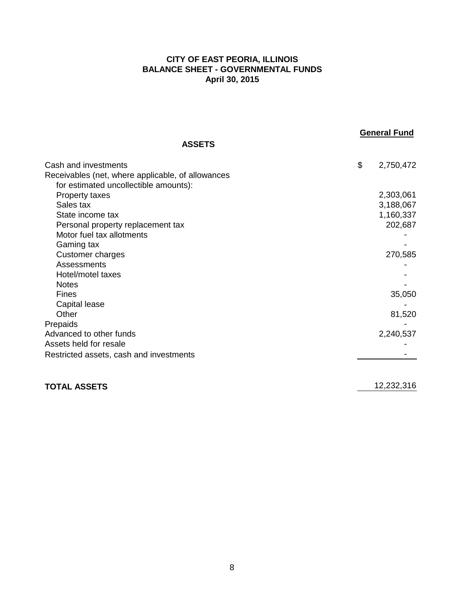## **CITY OF EAST PEORIA, ILLINOIS BALANCE SHEET - GOVERNMENTAL FUNDS April 30, 2015**

**ASSETS**

| Cash and investments                              | \$<br>2,750,472 |
|---------------------------------------------------|-----------------|
| Receivables (net, where applicable, of allowances |                 |
| for estimated uncollectible amounts):             |                 |
| <b>Property taxes</b>                             | 2,303,061       |
| Sales tax                                         | 3,188,067       |
| State income tax                                  | 1,160,337       |
| Personal property replacement tax                 | 202,687         |
| Motor fuel tax allotments                         |                 |
| Gaming tax                                        |                 |
| Customer charges                                  | 270,585         |
| Assessments                                       |                 |
| Hotel/motel taxes                                 |                 |
| <b>Notes</b>                                      |                 |
| <b>Fines</b>                                      | 35,050          |
| Capital lease                                     |                 |
| Other                                             | 81,520          |
| Prepaids                                          |                 |
| Advanced to other funds                           | 2,240,537       |
| Assets held for resale                            |                 |
| Restricted assets, cash and investments           |                 |
|                                                   |                 |
|                                                   |                 |

# **TOTAL ASSETS** 12,232,316

**General Fund**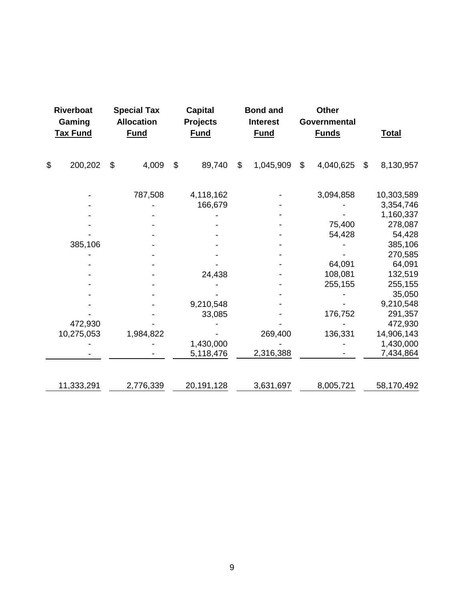| <b>Riverboat</b><br>Gaming<br><b>Tax Fund</b> | <b>Special Tax</b><br><b>Allocation</b><br><b>Fund</b> |                           | <b>Capital</b><br><b>Projects</b><br><b>Fund</b> |    | <b>Bond and</b><br><b>Interest</b><br><b>Fund</b> | <b>Other</b><br>Governmental<br><b>Funds</b> |           |               | <b>Total</b> |
|-----------------------------------------------|--------------------------------------------------------|---------------------------|--------------------------------------------------|----|---------------------------------------------------|----------------------------------------------|-----------|---------------|--------------|
|                                               |                                                        |                           |                                                  |    |                                                   |                                              |           |               |              |
| \$<br>200,202                                 | \$<br>4,009                                            | $\boldsymbol{\mathsf{S}}$ | 89,740                                           | \$ | 1,045,909                                         | $\mathcal{S}$                                | 4,040,625 | $\mathcal{L}$ | 8,130,957    |
|                                               | 787,508                                                |                           | 4,118,162                                        |    |                                                   |                                              | 3,094,858 |               | 10,303,589   |
|                                               |                                                        |                           | 166,679                                          |    |                                                   |                                              |           |               | 3,354,746    |
|                                               |                                                        |                           |                                                  |    |                                                   |                                              |           |               | 1,160,337    |
|                                               |                                                        |                           |                                                  |    |                                                   |                                              | 75,400    |               | 278,087      |
|                                               |                                                        |                           |                                                  |    |                                                   |                                              | 54,428    |               | 54,428       |
| 385,106                                       |                                                        |                           |                                                  |    |                                                   |                                              |           |               | 385,106      |
|                                               |                                                        |                           |                                                  |    |                                                   |                                              |           |               | 270,585      |
|                                               |                                                        |                           |                                                  |    |                                                   |                                              | 64,091    |               | 64,091       |
|                                               |                                                        |                           | 24,438                                           |    |                                                   |                                              | 108,081   |               | 132,519      |
|                                               |                                                        |                           |                                                  |    |                                                   |                                              | 255,155   |               | 255,155      |
|                                               |                                                        |                           |                                                  |    |                                                   |                                              |           |               | 35,050       |
|                                               |                                                        |                           | 9,210,548                                        |    |                                                   |                                              |           |               | 9,210,548    |
|                                               |                                                        |                           | 33,085                                           |    |                                                   |                                              | 176,752   |               | 291,357      |
| 472,930                                       |                                                        |                           |                                                  |    |                                                   |                                              |           |               | 472,930      |
| 10,275,053                                    | 1,984,822                                              |                           |                                                  |    | 269,400                                           |                                              | 136,331   |               | 14,906,143   |
|                                               |                                                        |                           | 1,430,000                                        |    |                                                   |                                              |           |               | 1,430,000    |
|                                               |                                                        |                           | 5,118,476                                        |    | 2,316,388                                         |                                              |           |               | 7,434,864    |
|                                               |                                                        |                           |                                                  |    |                                                   |                                              |           |               |              |
| 11,333,291                                    | 2,776,339                                              |                           | 20,191,128                                       |    | 3,631,697                                         |                                              | 8,005,721 |               | 58,170,492   |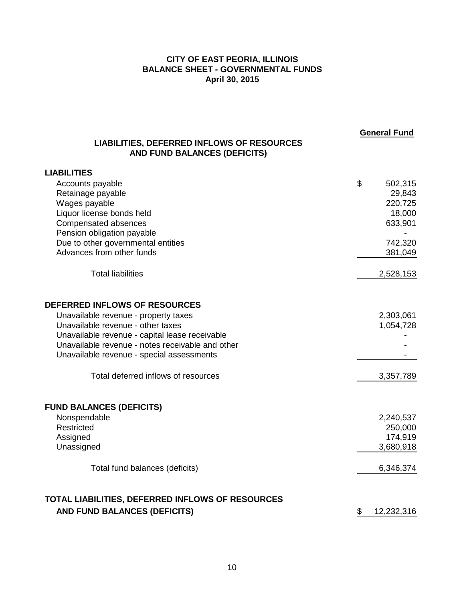## **CITY OF EAST PEORIA, ILLINOIS BALANCE SHEET - GOVERNMENTAL FUNDS April 30, 2015**

| <b>LIABILITIES, DEFERRED INFLOWS OF RESOURCES</b><br>AND FUND BALANCES (DEFICITS) | <b>General Fund</b> |
|-----------------------------------------------------------------------------------|---------------------|
| <b>LIABILITIES</b>                                                                |                     |
| Accounts payable                                                                  | \$<br>502,315       |
| Retainage payable                                                                 | 29,843              |
| Wages payable                                                                     | 220,725             |
| Liquor license bonds held                                                         | 18,000              |
| Compensated absences                                                              | 633,901             |
| Pension obligation payable                                                        |                     |
| Due to other governmental entities                                                | 742,320             |
| Advances from other funds                                                         | 381,049             |
| <b>Total liabilities</b>                                                          | 2,528,153           |
| DEFERRED INFLOWS OF RESOURCES                                                     |                     |
| Unavailable revenue - property taxes                                              | 2,303,061           |
| Unavailable revenue - other taxes                                                 | 1,054,728           |
| Unavailable revenue - capital lease receivable                                    |                     |
| Unavailable revenue - notes receivable and other                                  |                     |
| Unavailable revenue - special assessments                                         |                     |
| Total deferred inflows of resources                                               | 3,357,789           |
| <b>FUND BALANCES (DEFICITS)</b>                                                   |                     |
| Nonspendable                                                                      | 2,240,537           |
| Restricted                                                                        | 250,000             |
| Assigned                                                                          | 174,919             |
| Unassigned                                                                        | 3,680,918           |
| Total fund balances (deficits)                                                    | 6,346,374           |
| TOTAL LIABILITIES, DEFERRED INFLOWS OF RESOURCES                                  |                     |
| AND FUND BALANCES (DEFICITS)                                                      | \$<br>12,232,316    |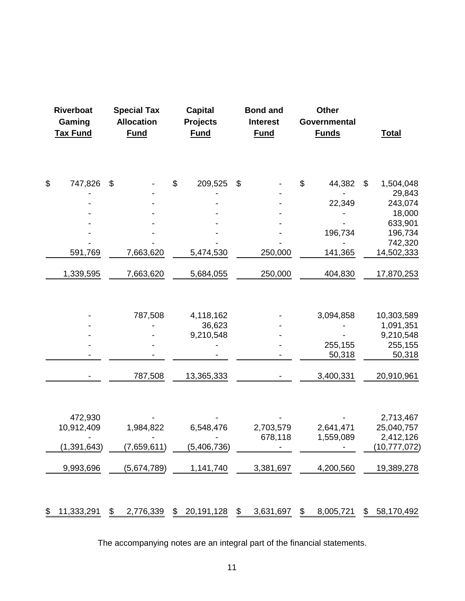| <b>Riverboat</b><br>Gaming<br><b>Tax Fund</b> |                           | <b>Special Tax</b><br><b>Allocation</b><br><b>Fund</b> |    | <b>Capital</b><br><b>Projects</b><br><b>Fund</b> |    | <b>Bond and</b><br><b>Interest</b><br><b>Fund</b> |    | <b>Other</b><br>Governmental<br><b>Funds</b> |    | <b>Total</b>      |
|-----------------------------------------------|---------------------------|--------------------------------------------------------|----|--------------------------------------------------|----|---------------------------------------------------|----|----------------------------------------------|----|-------------------|
| \$<br>747,826                                 | $\boldsymbol{\mathsf{S}}$ |                                                        | \$ | 209,525                                          | \$ |                                                   | \$ | 44,382                                       | \$ | 1,504,048         |
|                                               |                           |                                                        |    |                                                  |    |                                                   |    |                                              |    | 29,843            |
|                                               |                           |                                                        |    |                                                  |    |                                                   |    | 22,349                                       |    | 243,074           |
|                                               |                           |                                                        |    |                                                  |    |                                                   |    |                                              |    | 18,000<br>633,901 |
|                                               |                           |                                                        |    |                                                  |    |                                                   |    | 196,734                                      |    | 196,734           |
|                                               |                           |                                                        |    |                                                  |    |                                                   |    |                                              |    | 742,320           |
| 591,769                                       |                           | 7,663,620                                              |    | 5,474,530                                        |    | 250,000                                           |    | 141,365                                      |    | 14,502,333        |
| 1,339,595                                     |                           | 7,663,620                                              |    | 5,684,055                                        |    | 250,000                                           |    | 404,830                                      |    | 17,870,253        |
|                                               |                           | 787,508                                                |    | 4,118,162                                        |    |                                                   |    | 3,094,858                                    |    | 10,303,589        |
|                                               |                           |                                                        |    | 36,623                                           |    |                                                   |    |                                              |    | 1,091,351         |
|                                               |                           |                                                        |    | 9,210,548                                        |    |                                                   |    |                                              |    | 9,210,548         |
|                                               |                           |                                                        |    |                                                  |    |                                                   |    | 255,155                                      |    | 255,155           |
|                                               |                           |                                                        |    |                                                  |    |                                                   |    | 50,318                                       |    | 50,318            |
|                                               |                           | 787,508                                                |    | 13,365,333                                       |    |                                                   |    | 3,400,331                                    |    | 20,910,961        |
| 472,930                                       |                           |                                                        |    |                                                  |    |                                                   |    |                                              |    | 2,713,467         |
| 10,912,409                                    |                           | 1,984,822                                              |    | 6,548,476                                        |    | 2,703,579                                         |    | 2,641,471                                    |    | 25,040,757        |
|                                               |                           |                                                        |    |                                                  |    | 678,118                                           |    | 1,559,089                                    |    | 2,412,126         |
| (1, 391, 643)                                 |                           | (7,659,611)                                            |    | (5,406 <u>,</u> 736)                             |    |                                                   |    |                                              |    | (10,777,072)      |
| 9,993,696                                     |                           | (5,674,789)                                            |    | 1,141,740                                        |    | 3,381,697                                         |    | 4,200,560                                    |    | 19,389,278        |
| \$<br>11,333,291                              | \$                        | 2,776,339                                              | \$ | 20,191,128                                       | \$ | 3,631,697                                         | \$ | 8,005,721                                    | \$ | 58,170,492        |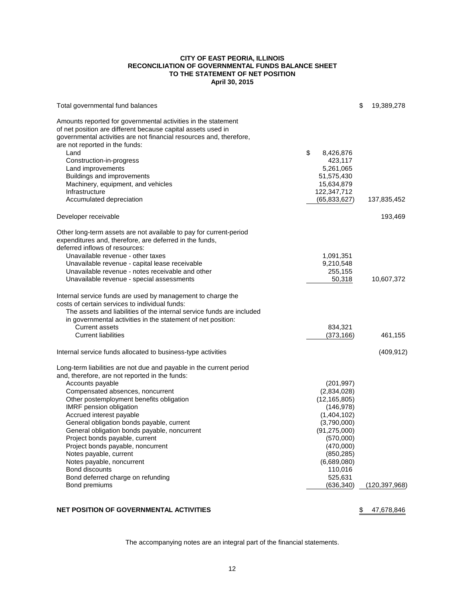#### **CITY OF EAST PEORIA, ILLINOIS RECONCILIATION OF GOVERNMENTAL FUNDS BALANCE SHEET TO THE STATEMENT OF NET POSITION April 30, 2015**

| Total governmental fund balances                                                                                                                                                                                                       |                            | \$<br>19,389,278 |
|----------------------------------------------------------------------------------------------------------------------------------------------------------------------------------------------------------------------------------------|----------------------------|------------------|
| Amounts reported for governmental activities in the statement<br>of net position are different because capital assets used in<br>governmental activities are not financial resources and, therefore,<br>are not reported in the funds: |                            |                  |
| Land                                                                                                                                                                                                                                   | \$<br>8,426,876            |                  |
| Construction-in-progress                                                                                                                                                                                                               | 423,117                    |                  |
| Land improvements                                                                                                                                                                                                                      | 5,261,065                  |                  |
| Buildings and improvements                                                                                                                                                                                                             | 51,575,430                 |                  |
| Machinery, equipment, and vehicles<br>Infrastructure                                                                                                                                                                                   | 15,634,879<br>122,347,712  |                  |
| Accumulated depreciation                                                                                                                                                                                                               | (65, 833, 627)             | 137,835,452      |
|                                                                                                                                                                                                                                        |                            |                  |
| Developer receivable                                                                                                                                                                                                                   |                            | 193,469          |
| Other long-term assets are not available to pay for current-period                                                                                                                                                                     |                            |                  |
| expenditures and, therefore, are deferred in the funds,                                                                                                                                                                                |                            |                  |
| deferred inflows of resources:                                                                                                                                                                                                         |                            |                  |
| Unavailable revenue - other taxes                                                                                                                                                                                                      | 1,091,351                  |                  |
| Unavailable revenue - capital lease receivable<br>Unavailable revenue - notes receivable and other                                                                                                                                     | 9,210,548<br>255,155       |                  |
| Unavailable revenue - special assessments                                                                                                                                                                                              | 50,318                     | 10,607,372       |
|                                                                                                                                                                                                                                        |                            |                  |
| Internal service funds are used by management to charge the<br>costs of certain services to individual funds:                                                                                                                          |                            |                  |
| The assets and liabilities of the internal service funds are included<br>in governmental activities in the statement of net position:                                                                                                  |                            |                  |
| <b>Current assets</b>                                                                                                                                                                                                                  | 834,321                    |                  |
| <b>Current liabilities</b>                                                                                                                                                                                                             | (373, 166)                 | 461,155          |
|                                                                                                                                                                                                                                        |                            |                  |
| Internal service funds allocated to business-type activities                                                                                                                                                                           |                            | (409, 912)       |
| Long-term liabilities are not due and payable in the current period                                                                                                                                                                    |                            |                  |
| and, therefore, are not reported in the funds:                                                                                                                                                                                         |                            |                  |
| Accounts payable                                                                                                                                                                                                                       | (201, 997)                 |                  |
| Compensated absences, noncurrent                                                                                                                                                                                                       | (2,834,028)                |                  |
| Other postemployment benefits obligation                                                                                                                                                                                               | (12, 165, 805)             |                  |
| <b>IMRF</b> pension obligation<br>Accrued interest payable                                                                                                                                                                             | (146, 978)                 |                  |
| General obligation bonds payable, current                                                                                                                                                                                              | (1,404,102)<br>(3,790,000) |                  |
| General obligation bonds payable, noncurrent                                                                                                                                                                                           | (91, 275, 000)             |                  |
| Project bonds payable, current                                                                                                                                                                                                         | (570,000)                  |                  |
| Project bonds payable, noncurrent                                                                                                                                                                                                      | (470,000)                  |                  |
| Notes payable, current                                                                                                                                                                                                                 | (850, 285)                 |                  |
| Notes payable, noncurrent                                                                                                                                                                                                              | (6,689,080)                |                  |
| Bond discounts                                                                                                                                                                                                                         | 110,016                    |                  |
| Bond deferred charge on refunding                                                                                                                                                                                                      | 525,631                    |                  |
| Bond premiums                                                                                                                                                                                                                          | (636, 340)                 | (120, 397, 968)  |
|                                                                                                                                                                                                                                        |                            |                  |

#### **NET POSITION OF GOVERNMENTAL ACTIVITIES** \$ 47,678,846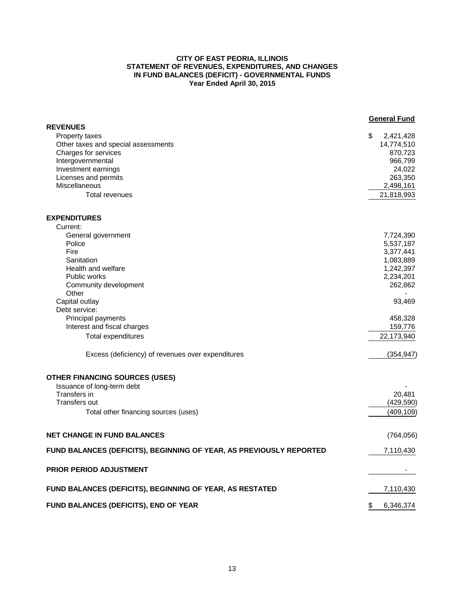#### **CITY OF EAST PEORIA, ILLINOIS STATEMENT OF REVENUES, EXPENDITURES, AND CHANGES IN FUND BALANCES (DEFICIT) - GOVERNMENTAL FUNDS Year Ended April 30, 2015**

|                                                                     | <b>General Fund</b>           |
|---------------------------------------------------------------------|-------------------------------|
| <b>REVENUES</b>                                                     |                               |
| <b>Property taxes</b><br>Other taxes and special assessments        | \$<br>2,421,428<br>14,774,510 |
| Charges for services                                                | 870,723                       |
| Intergovernmental                                                   | 966,799                       |
| Investment earnings                                                 | 24,022                        |
| Licenses and permits                                                | 263,350                       |
| Miscellaneous                                                       | 2,498,161                     |
| <b>Total revenues</b>                                               |                               |
|                                                                     | 21,818,993                    |
| <b>EXPENDITURES</b>                                                 |                               |
| Current:                                                            |                               |
| General government                                                  | 7,724,390                     |
| Police                                                              | 5,537,187                     |
| Fire                                                                | 3,377,441                     |
| Sanitation                                                          | 1,083,889                     |
| Health and welfare                                                  | 1,242,397                     |
| Public works                                                        | 2,234,201                     |
| Community development                                               | 262,862                       |
| Other                                                               |                               |
| Capital outlay                                                      | 93,469                        |
| Debt service:                                                       |                               |
| Principal payments                                                  | 458,328                       |
| Interest and fiscal charges                                         | 159,776                       |
| <b>Total expenditures</b>                                           | 22,173,940                    |
| Excess (deficiency) of revenues over expenditures                   | (354, 947)                    |
| <b>OTHER FINANCING SOURCES (USES)</b>                               |                               |
| Issuance of long-term debt                                          |                               |
| Transfers in                                                        | 20.481                        |
| Transfers out                                                       | (429, 590)                    |
| Total other financing sources (uses)                                | (409, 109)                    |
|                                                                     |                               |
| <b>NET CHANGE IN FUND BALANCES</b>                                  | (764, 056)                    |
| FUND BALANCES (DEFICITS), BEGINNING OF YEAR, AS PREVIOUSLY REPORTED | 7,110,430                     |
| PRIOR PERIOD ADJUSTMENT                                             |                               |
| FUND BALANCES (DEFICITS), BEGINNING OF YEAR, AS RESTATED            | 7,110,430                     |
| FUND BALANCES (DEFICITS), END OF YEAR                               | \$<br>6,346,374               |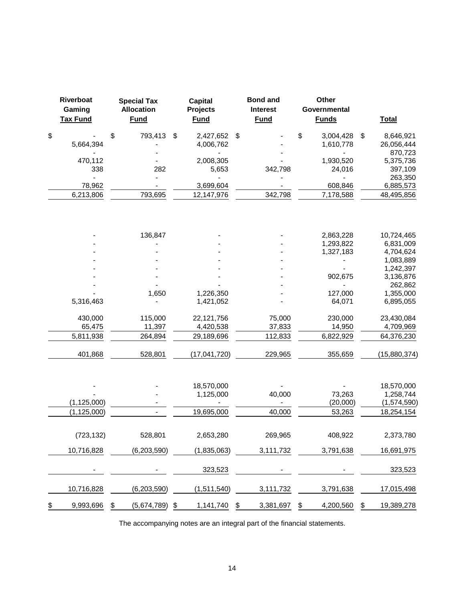| Riverboat<br>Gaming<br><b>Tax Fund</b> | <b>Special Tax</b><br><b>Allocation</b><br><b>Fund</b> | <b>Capital</b><br><b>Projects</b><br><b>Fund</b> | <b>Bond and</b><br><b>Interest</b><br><b>Fund</b> | Other<br>Governmental<br><b>Funds</b> | <b>Total</b>           |
|----------------------------------------|--------------------------------------------------------|--------------------------------------------------|---------------------------------------------------|---------------------------------------|------------------------|
| \$                                     | \$<br>793,413                                          | \$<br>2,427,652                                  | \$                                                | \$<br>3,004,428                       | \$<br>8,646,921        |
| 5,664,394                              |                                                        | 4,006,762                                        |                                                   | 1,610,778                             | 26,056,444             |
| 470,112                                |                                                        | 2,008,305                                        |                                                   | 1,930,520                             | 870,723<br>5,375,736   |
| 338                                    | 282                                                    | 5,653                                            | 342,798                                           | 24,016                                | 397,109                |
|                                        |                                                        |                                                  |                                                   |                                       | 263,350                |
| 78,962                                 |                                                        | 3,699,604                                        |                                                   | 608,846                               | 6,885,573              |
| 6,213,806                              | 793,695                                                | 12,147,976                                       | 342,798                                           | 7,178,588                             | 48,495,856             |
|                                        |                                                        |                                                  |                                                   |                                       |                        |
|                                        | 136,847                                                |                                                  |                                                   | 2,863,228                             | 10,724,465             |
|                                        |                                                        |                                                  |                                                   | 1,293,822                             | 6,831,009              |
|                                        |                                                        |                                                  |                                                   | 1,327,183                             | 4,704,624              |
|                                        |                                                        |                                                  |                                                   |                                       | 1,083,889<br>1,242,397 |
|                                        |                                                        |                                                  |                                                   | 902,675                               | 3,136,876              |
|                                        |                                                        |                                                  |                                                   |                                       | 262,862                |
|                                        | 1,650                                                  | 1,226,350                                        |                                                   | 127,000                               | 1,355,000              |
| 5,316,463                              |                                                        | 1,421,052                                        |                                                   | 64,071                                | 6,895,055              |
| 430,000                                | 115,000                                                | 22,121,756                                       | 75,000                                            | 230,000                               | 23,430,084             |
| 65,475                                 | 11,397                                                 | 4,420,538                                        | 37,833                                            | 14,950                                | 4,709,969              |
| 5,811,938                              | 264,894                                                | 29,189,696                                       | 112,833                                           | 6,822,929                             | 64,376,230             |
| 401,868                                | 528,801                                                | (17,041,720)                                     | 229,965                                           | 355,659                               | (15,880,374)           |
|                                        |                                                        | 18,570,000                                       |                                                   |                                       | 18,570,000             |
|                                        |                                                        | 1,125,000                                        | 40,000                                            | 73,263                                | 1,258,744              |
| (1, 125, 000)                          |                                                        |                                                  |                                                   | (20,000)                              | (1,574,590)            |
| (1, 125, 000)                          |                                                        | 19,695,000                                       | 40,000                                            | 53,263                                | 18,254,154             |
| (723, 132)                             | 528,801                                                | 2,653,280                                        | 269,965                                           | 408,922                               | 2,373,780              |
| 10,716,828                             | (6,203,590)                                            | (1,835,063)                                      | 3,111,732                                         | 3,791,638                             | 16,691,975             |
|                                        |                                                        | 323,523                                          |                                                   |                                       | 323,523                |
| 10,716,828                             | (6,203,590)                                            | (1,511,540)                                      | 3,111,732                                         | 3,791,638                             | 17,015,498             |
| \$<br>9,993,696                        | \$<br>$(5,674,789)$ \$                                 | 1,141,740 \$ 3,381,697                           |                                                   | \$<br>4,200,560                       | \$<br>19,389,278       |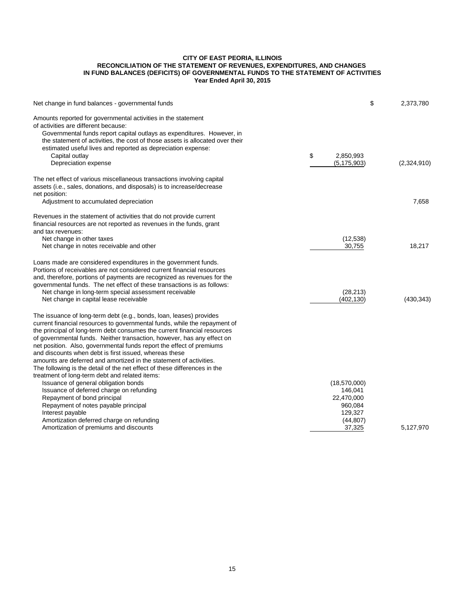#### **CITY OF EAST PEORIA, ILLINOIS RECONCILIATION OF THE STATEMENT OF REVENUES, EXPENDITURES, AND CHANGES IN FUND BALANCES (DEFICITS) OF GOVERNMENTAL FUNDS TO THE STATEMENT OF ACTIVITIES Year Ended April 30, 2015**

| Net change in fund balances - governmental funds                                                                                                                                                                                                                                                                                                                                                                                                                                                                                                                                                                                              | \$                                                                                 | 2,373,780   |
|-----------------------------------------------------------------------------------------------------------------------------------------------------------------------------------------------------------------------------------------------------------------------------------------------------------------------------------------------------------------------------------------------------------------------------------------------------------------------------------------------------------------------------------------------------------------------------------------------------------------------------------------------|------------------------------------------------------------------------------------|-------------|
| Amounts reported for governmental activities in the statement<br>of activities are different because:<br>Governmental funds report capital outlays as expenditures. However, in<br>the statement of activities, the cost of those assets is allocated over their<br>estimated useful lives and reported as depreciation expense:<br>Capital outlay<br>Depreciation expense                                                                                                                                                                                                                                                                    | \$<br>2,850,993<br>(5, 175, 903)                                                   | (2,324,910) |
| The net effect of various miscellaneous transactions involving capital<br>assets (i.e., sales, donations, and disposals) is to increase/decrease<br>net position:                                                                                                                                                                                                                                                                                                                                                                                                                                                                             |                                                                                    |             |
| Adjustment to accumulated depreciation                                                                                                                                                                                                                                                                                                                                                                                                                                                                                                                                                                                                        |                                                                                    | 7,658       |
| Revenues in the statement of activities that do not provide current<br>financial resources are not reported as revenues in the funds, grant<br>and tax revenues:<br>Net change in other taxes<br>Net change in notes receivable and other                                                                                                                                                                                                                                                                                                                                                                                                     | (12, 538)<br>30,755                                                                | 18,217      |
| Loans made are considered expenditures in the government funds.<br>Portions of receivables are not considered current financial resources<br>and, therefore, portions of payments are recognized as revenues for the<br>governmental funds. The net effect of these transactions is as follows:<br>Net change in long-term special assessment receivable<br>Net change in capital lease receivable                                                                                                                                                                                                                                            | (28, 213)<br>(402, 130)                                                            | (430, 343)  |
| The issuance of long-term debt (e.g., bonds, loan, leases) provides<br>current financial resources to governmental funds, while the repayment of<br>the principal of long-term debt consumes the current financial resources<br>of governmental funds. Neither transaction, however, has any effect on<br>net position. Also, governmental funds report the effect of premiums<br>and discounts when debt is first issued, whereas these<br>amounts are deferred and amortized in the statement of activities.<br>The following is the detail of the net effect of these differences in the<br>treatment of long-term debt and related items: |                                                                                    |             |
| Issuance of general obligation bonds<br>Issuance of deferred charge on refunding<br>Repayment of bond principal<br>Repayment of notes payable principal<br>Interest payable<br>Amortization deferred charge on refunding<br>Amortization of premiums and discounts                                                                                                                                                                                                                                                                                                                                                                            | (18,570,000)<br>146,041<br>22,470,000<br>960,084<br>129,327<br>(44, 807)<br>37,325 | 5,127,970   |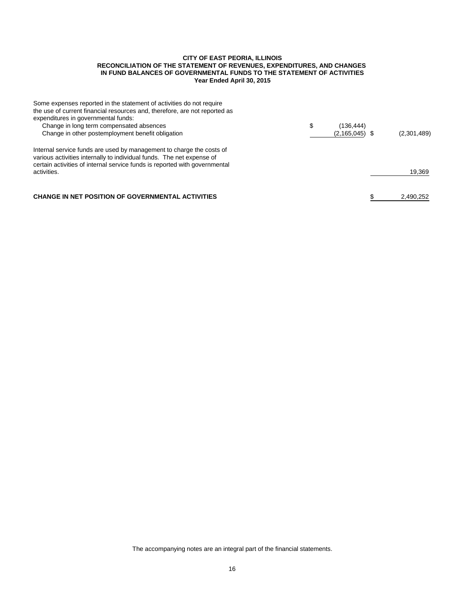#### **CITY OF EAST PEORIA, ILLINOIS RECONCILIATION OF THE STATEMENT OF REVENUES, EXPENDITURES, AND CHANGES IN FUND BALANCES OF GOVERNMENTAL FUNDS TO THE STATEMENT OF ACTIVITIES Year Ended April 30, 2015**

| Some expenses reported in the statement of activities do not require<br>the use of current financial resources and, therefore, are not reported as<br>expenditures in governmental funds:<br>Change in long term compensated absences<br>Change in other postemployment benefit obligation | \$<br>(136, 444)<br>$(2, 165, 045)$ \$ | (2,301,489) |
|--------------------------------------------------------------------------------------------------------------------------------------------------------------------------------------------------------------------------------------------------------------------------------------------|----------------------------------------|-------------|
| Internal service funds are used by management to charge the costs of<br>various activities internally to individual funds. The net expense of<br>certain activities of internal service funds is reported with governmental<br>activities.                                                 |                                        | 19,369      |
| <b>CHANGE IN NET POSITION OF GOVERNMENTAL ACTIVITIES</b>                                                                                                                                                                                                                                   |                                        | 2,490,252   |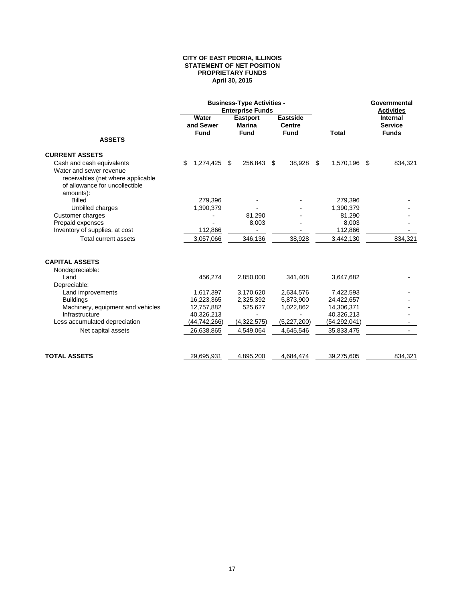#### **CITY OF EAST PEORIA, ILLINOIS STATEMENT OF NET POSITION PROPRIETARY FUNDS April 30, 2015**

|                                                                                                                                          |                                   | <b>Business-Type Activities -</b><br><b>Enterprise Funds</b> |                                          | Governmental<br><b>Activities</b> |                                                   |  |
|------------------------------------------------------------------------------------------------------------------------------------------|-----------------------------------|--------------------------------------------------------------|------------------------------------------|-----------------------------------|---------------------------------------------------|--|
|                                                                                                                                          | Water<br>and Sewer<br><b>Fund</b> | <b>Eastport</b><br><b>Marina</b><br><b>Fund</b>              | <b>Eastside</b><br>Centre<br><b>Fund</b> | <b>Total</b>                      | <b>Internal</b><br><b>Service</b><br><b>Funds</b> |  |
| <b>ASSETS</b>                                                                                                                            |                                   |                                                              |                                          |                                   |                                                   |  |
| <b>CURRENT ASSETS</b>                                                                                                                    |                                   |                                                              |                                          |                                   |                                                   |  |
| Cash and cash equivalents<br>Water and sewer revenue<br>receivables (net where applicable<br>of allowance for uncollectible<br>amounts): | \$<br>1,274,425                   | 256,843<br>\$                                                | \$<br>38,928                             | 1,570,196<br>\$                   | \$<br>834,321                                     |  |
| <b>Billed</b>                                                                                                                            | 279,396                           |                                                              |                                          | 279,396                           |                                                   |  |
| Unbilled charges                                                                                                                         | 1,390,379                         |                                                              |                                          | 1,390,379                         |                                                   |  |
| Customer charges                                                                                                                         |                                   | 81,290                                                       |                                          | 81,290                            |                                                   |  |
| Prepaid expenses                                                                                                                         |                                   | 8,003                                                        |                                          | 8,003                             |                                                   |  |
| Inventory of supplies, at cost                                                                                                           | 112,866                           |                                                              |                                          | 112,866                           |                                                   |  |
| Total current assets                                                                                                                     | 3,057,066                         | 346,136                                                      | 38,928                                   | 3,442,130                         | 834,321                                           |  |
| <b>CAPITAL ASSETS</b>                                                                                                                    |                                   |                                                              |                                          |                                   |                                                   |  |
| Nondepreciable:                                                                                                                          |                                   |                                                              |                                          |                                   |                                                   |  |
| Land                                                                                                                                     | 456,274                           | 2,850,000                                                    | 341,408                                  | 3,647,682                         |                                                   |  |
| Depreciable:                                                                                                                             |                                   |                                                              |                                          |                                   |                                                   |  |
| Land improvements<br><b>Buildings</b>                                                                                                    | 1,617,397<br>16,223,365           | 3,170,620<br>2,325,392                                       | 2,634,576<br>5,873,900                   | 7,422,593<br>24,422,657           |                                                   |  |
| Machinery, equipment and vehicles                                                                                                        | 12,757,882                        | 525,627                                                      | 1,022,862                                | 14,306,371                        |                                                   |  |
| Infrastructure                                                                                                                           | 40,326,213                        |                                                              |                                          | 40,326,213                        |                                                   |  |
| Less accumulated depreciation                                                                                                            | (44, 742, 266)                    | (4,322,575)                                                  | (5,227,200)                              | (54,292,041)                      |                                                   |  |
| Net capital assets                                                                                                                       | 26,638,865                        | 4,549,064                                                    | 4,645,546                                | 35,833,475                        |                                                   |  |
|                                                                                                                                          |                                   |                                                              |                                          |                                   |                                                   |  |
| <b>TOTAL ASSETS</b>                                                                                                                      | 29,695,931                        | 4,895,200                                                    | 4,684,474                                | 39,275,605                        | 834.321                                           |  |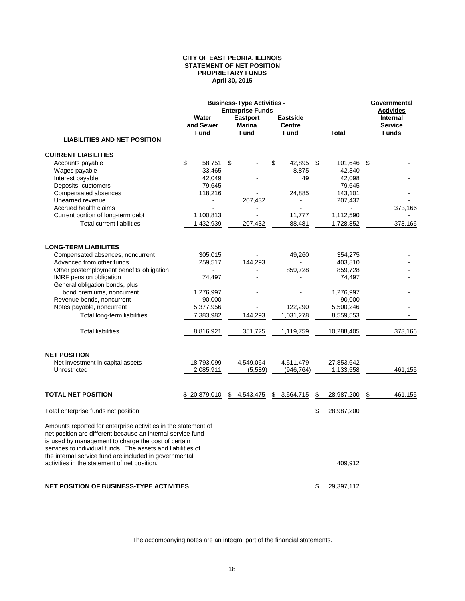#### **CITY OF EAST PEORIA, ILLINOIS STATEMENT OF NET POSITION PROPRIETARY FUNDS April 30, 2015**

|                                                                                                                                                                                                                                                                                                               |                    | <b>Business-Type Activities -</b><br><b>Enterprise Funds</b> |                                                 | Governmental<br><b>Activities</b> |                                                   |
|---------------------------------------------------------------------------------------------------------------------------------------------------------------------------------------------------------------------------------------------------------------------------------------------------------------|--------------------|--------------------------------------------------------------|-------------------------------------------------|-----------------------------------|---------------------------------------------------|
|                                                                                                                                                                                                                                                                                                               | Water<br>and Sewer | <b>Eastport</b><br><b>Marina</b><br>Fund                     | <b>Eastside</b><br><b>Centre</b><br><b>Fund</b> | Total                             | <b>Internal</b><br><b>Service</b><br><b>Funds</b> |
| <b>LIABILITIES AND NET POSITION</b>                                                                                                                                                                                                                                                                           | <b>Fund</b>        |                                                              |                                                 |                                   |                                                   |
| <b>CURRENT LIABILITIES</b>                                                                                                                                                                                                                                                                                    |                    |                                                              |                                                 |                                   |                                                   |
| Accounts payable                                                                                                                                                                                                                                                                                              | \$<br>58,751       | \$                                                           | \$<br>42,895                                    | -\$<br>101,646                    | - \$                                              |
| Wages payable                                                                                                                                                                                                                                                                                                 | 33,465             |                                                              | 8,875                                           | 42,340                            |                                                   |
| Interest payable                                                                                                                                                                                                                                                                                              | 42,049             |                                                              | 49                                              | 42,098                            |                                                   |
| Deposits, customers                                                                                                                                                                                                                                                                                           | 79,645             |                                                              |                                                 | 79,645                            |                                                   |
| Compensated absences                                                                                                                                                                                                                                                                                          | 118,216            |                                                              | 24,885                                          | 143,101                           |                                                   |
| Unearned revenue                                                                                                                                                                                                                                                                                              |                    | 207,432                                                      |                                                 | 207,432                           |                                                   |
| Accrued health claims                                                                                                                                                                                                                                                                                         |                    |                                                              |                                                 |                                   | 373,166                                           |
| Current portion of long-term debt                                                                                                                                                                                                                                                                             | 1,100,813          |                                                              | 11,777                                          | 1,112,590                         |                                                   |
| <b>Total current liabilities</b>                                                                                                                                                                                                                                                                              | 1,432,939          | 207,432                                                      | 88,481                                          | 1,728,852                         | 373,166                                           |
| <b>LONG-TERM LIABILITES</b>                                                                                                                                                                                                                                                                                   |                    |                                                              |                                                 |                                   |                                                   |
|                                                                                                                                                                                                                                                                                                               |                    |                                                              |                                                 |                                   |                                                   |
| Compensated absences, noncurrent                                                                                                                                                                                                                                                                              | 305,015            |                                                              | 49,260                                          | 354,275                           |                                                   |
| Advanced from other funds                                                                                                                                                                                                                                                                                     | 259,517            | 144,293                                                      |                                                 | 403,810                           |                                                   |
| Other postemployment benefits obligation                                                                                                                                                                                                                                                                      |                    |                                                              | 859,728                                         | 859,728                           |                                                   |
| IMRF pension obligation                                                                                                                                                                                                                                                                                       | 74.497             |                                                              |                                                 | 74,497                            |                                                   |
| General obligation bonds, plus                                                                                                                                                                                                                                                                                |                    |                                                              |                                                 |                                   |                                                   |
| bond premiums, noncurrent                                                                                                                                                                                                                                                                                     | 1,276,997          |                                                              |                                                 | 1,276,997                         |                                                   |
| Revenue bonds, noncurrent                                                                                                                                                                                                                                                                                     | 90,000             |                                                              |                                                 | 90,000                            |                                                   |
| Notes payable, noncurrent                                                                                                                                                                                                                                                                                     | 5,377,956          |                                                              | 122,290                                         | 5,500,246                         |                                                   |
| Total long-term liabilities                                                                                                                                                                                                                                                                                   | 7,383,982          | 144,293                                                      | 1,031,278                                       | 8,559,553                         | $\overline{a}$                                    |
| <b>Total liabilities</b>                                                                                                                                                                                                                                                                                      | 8,816,921          | 351,725                                                      | 1,119,759                                       | 10,288,405                        | 373,166                                           |
| <b>NET POSITION</b>                                                                                                                                                                                                                                                                                           |                    |                                                              |                                                 |                                   |                                                   |
| Net investment in capital assets                                                                                                                                                                                                                                                                              | 18,793,099         | 4,549,064                                                    | 4,511,479                                       | 27,853,642                        |                                                   |
| Unrestricted                                                                                                                                                                                                                                                                                                  | 2,085,911          | (5,589)                                                      | (946, 764)                                      | 1,133,558                         | 461,155                                           |
|                                                                                                                                                                                                                                                                                                               |                    |                                                              |                                                 |                                   |                                                   |
| <b>TOTAL NET POSITION</b>                                                                                                                                                                                                                                                                                     | \$20,879,010       | \$4,543,475                                                  | \$<br>3,564,715                                 | \$<br>28,987,200                  | \$<br>461,155                                     |
| Total enterprise funds net position                                                                                                                                                                                                                                                                           |                    |                                                              |                                                 | \$<br>28,987,200                  |                                                   |
| Amounts reported for enterprise activities in the statement of<br>net position are different because an internal service fund<br>is used by management to charge the cost of certain<br>services to individual funds. The assets and liabilities of<br>the internal service fund are included in governmental |                    |                                                              |                                                 |                                   |                                                   |
| activities in the statement of net position.                                                                                                                                                                                                                                                                  |                    |                                                              |                                                 | 409,912                           |                                                   |
| <b>NET POSITION OF BUSINESS-TYPE ACTIVITIES</b>                                                                                                                                                                                                                                                               |                    |                                                              |                                                 | \$<br>29,397,112                  |                                                   |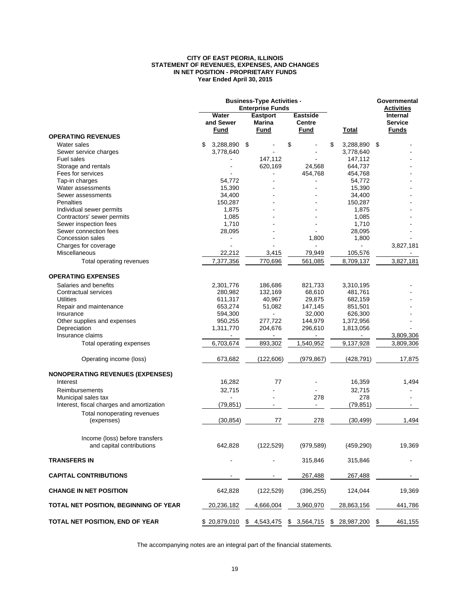#### **CITY OF EAST PEORIA, ILLINOIS STATEMENT OF REVENUES, EXPENSES, AND CHANGES IN NET POSITION - PROPRIETARY FUNDS Year Ended April 30, 2015**

|                                                             |                                   | <b>Business-Type Activities -</b><br><b>Enterprise Funds</b> |                                          | Governmental<br><b>Activities</b> |                                            |
|-------------------------------------------------------------|-----------------------------------|--------------------------------------------------------------|------------------------------------------|-----------------------------------|--------------------------------------------|
|                                                             | Water<br>and Sewer<br><b>Fund</b> | <b>Eastport</b><br>Marina<br>Fund                            | <b>Eastside</b><br><b>Centre</b><br>Fund | Total                             | Internal<br><b>Service</b><br><b>Funds</b> |
| <b>OPERATING REVENUES</b>                                   |                                   |                                                              |                                          |                                   |                                            |
| Water sales                                                 | \$<br>3,288,890                   | \$                                                           | \$                                       | \$<br>3,288,890                   | \$                                         |
| Sewer service charges                                       | 3,778,640                         |                                                              |                                          | 3,778,640                         |                                            |
| Fuel sales                                                  |                                   | 147,112                                                      |                                          | 147,112                           |                                            |
| Storage and rentals                                         |                                   | 620,169                                                      | 24,568                                   | 644,737                           |                                            |
| Fees for services                                           |                                   |                                                              | 454,768                                  | 454,768                           |                                            |
| Tap-in charges                                              | 54,772                            |                                                              |                                          | 54,772                            |                                            |
| Water assessments                                           | 15,390                            |                                                              |                                          | 15,390                            |                                            |
| Sewer assessments                                           | 34,400                            |                                                              |                                          | 34,400                            |                                            |
| Penalties                                                   | 150,287                           |                                                              |                                          | 150,287                           |                                            |
| Individual sewer permits                                    | 1,875                             |                                                              |                                          | 1,875                             |                                            |
| Contractors' sewer permits                                  | 1,085                             |                                                              |                                          | 1,085                             |                                            |
| Sewer inspection fees                                       | 1,710                             |                                                              |                                          | 1,710                             |                                            |
| Sewer connection fees                                       | 28,095                            |                                                              |                                          | 28,095                            |                                            |
| Concession sales                                            |                                   |                                                              | 1,800                                    | 1,800                             |                                            |
| Charges for coverage                                        |                                   |                                                              |                                          |                                   | 3,827,181                                  |
| Miscellaneous                                               | 22,212                            | 3,415                                                        | 79,949                                   | 105,576                           |                                            |
| Total operating revenues                                    | 7,377,356                         | 770,696                                                      | 561,085                                  | 8,709,137                         | 3,827,181                                  |
| <b>OPERATING EXPENSES</b>                                   |                                   |                                                              |                                          |                                   |                                            |
| Salaries and benefits                                       | 2,301,776                         | 186,686                                                      | 821,733                                  | 3,310,195                         |                                            |
| Contractual services                                        | 280,982                           | 132,169                                                      | 68,610                                   | 481,761                           |                                            |
| <b>Utilities</b>                                            |                                   |                                                              | 29,875                                   |                                   |                                            |
|                                                             | 611,317<br>653,274                | 40,967                                                       |                                          | 682,159                           |                                            |
| Repair and maintenance                                      |                                   | 51,082                                                       | 147,145                                  | 851,501                           |                                            |
| Insurance                                                   | 594,300                           |                                                              | 32,000                                   | 626,300                           |                                            |
| Other supplies and expenses                                 | 950,255                           | 277,722                                                      | 144,979                                  | 1,372,956                         |                                            |
| Depreciation                                                | 1,311,770                         | 204,676                                                      | 296,610                                  | 1,813,056                         |                                            |
| Insurance claims                                            |                                   | ä,                                                           |                                          |                                   | 3,809,306                                  |
| Total operating expenses                                    | 6,703,674                         | 893,302                                                      | 1,540,952                                | 9,137,928                         | 3,809,306                                  |
| Operating income (loss)                                     | 673,682                           | (122, 606)                                                   | (979, 867)                               | (428, 791)                        | 17,875                                     |
| <b>NONOPERATING REVENUES (EXPENSES)</b>                     |                                   |                                                              |                                          |                                   |                                            |
| Interest                                                    | 16,282                            | 77                                                           |                                          | 16,359                            | 1,494                                      |
| Reimbursements                                              | 32,715                            |                                                              |                                          | 32,715                            |                                            |
| Municipal sales tax                                         |                                   |                                                              | 278                                      | 278                               |                                            |
| Interest, fiscal charges and amortization                   | (79, 851)                         |                                                              |                                          | (79, 851)                         |                                            |
| Total nonoperating revenues                                 |                                   |                                                              |                                          |                                   |                                            |
| (expenses)                                                  | (30, 854)                         | 77                                                           | 278                                      | (30, 499)                         | 1,494                                      |
|                                                             |                                   |                                                              |                                          |                                   |                                            |
| Income (loss) before transfers<br>and capital contributions | 642,828                           | (122, 529)                                                   | (979, 589)                               | (459, 290)                        | 19,369                                     |
|                                                             |                                   |                                                              |                                          |                                   |                                            |
| <b>TRANSFERS IN</b>                                         |                                   |                                                              | 315,846                                  | 315,846                           |                                            |
| <b>CAPITAL CONTRIBUTIONS</b>                                |                                   |                                                              | 267,488                                  | 267,488                           |                                            |
| <b>CHANGE IN NET POSITION</b>                               | 642,828                           | (122, 529)                                                   | (396, 255)                               | 124,044                           | 19,369                                     |
| TOTAL NET POSITION, BEGINNING OF YEAR                       | 20,236,182                        | 4,666,004                                                    | 3,960,970                                | 28,863,156                        | 441,786                                    |
| TOTAL NET POSITION, END OF YEAR                             | \$20,879,010                      | \$4,543,475                                                  | \$3,564,715                              | 28,987,200<br>\$                  | 461,155<br>\$                              |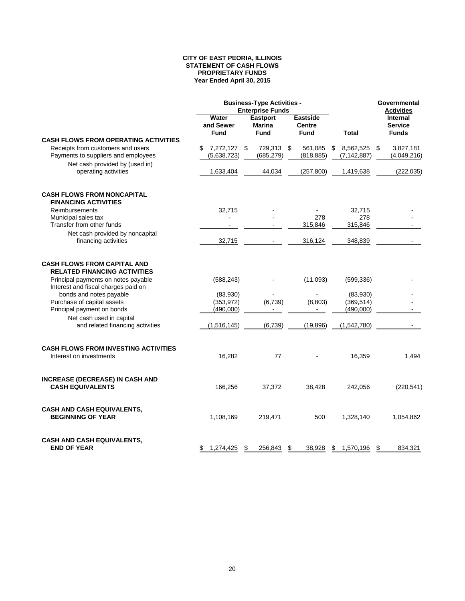#### **CITY OF EAST PEORIA, ILLINOIS STATEMENT OF CASH FLOWS PROPRIETARY FUNDS Year Ended April 30, 2015**

|                                                                            |                                   | <b>Business-Type Activities -</b><br><b>Enterprise Funds</b> |                                          |                                  | Governmental<br><b>Activities</b>                 |  |
|----------------------------------------------------------------------------|-----------------------------------|--------------------------------------------------------------|------------------------------------------|----------------------------------|---------------------------------------------------|--|
|                                                                            | Water<br>and Sewer<br><b>Fund</b> | <b>Eastport</b><br>Marina<br><b>Fund</b>                     | <b>Eastside</b><br><b>Centre</b><br>Fund | Total                            | <b>Internal</b><br><b>Service</b><br><b>Funds</b> |  |
| <b>CASH FLOWS FROM OPERATING ACTIVITIES</b>                                |                                   |                                                              |                                          |                                  |                                                   |  |
| Receipts from customers and users<br>Payments to suppliers and employees   | 7,272,127 \$<br>S<br>(5,638,723)  | 729,313 \$<br>(685, 279)                                     | 561,085<br>(818, 885)                    | 8,562,525<br>\$<br>(7, 142, 887) | \$<br>3,827,181<br>(4,049,216)                    |  |
| Net cash provided by (used in)<br>operating activities                     | 1,633,404                         | 44,034                                                       | (257, 800)                               | 1,419,638                        | (222, 035)                                        |  |
| <b>CASH FLOWS FROM NONCAPITAL</b><br><b>FINANCING ACTIVITIES</b>           |                                   |                                                              |                                          |                                  |                                                   |  |
| Reimbursements                                                             | 32,715                            |                                                              |                                          | 32,715                           |                                                   |  |
| Municipal sales tax                                                        |                                   |                                                              | 278                                      | 278                              |                                                   |  |
| Transfer from other funds                                                  |                                   |                                                              | 315,846                                  | 315,846                          |                                                   |  |
| Net cash provided by noncapital<br>financing activities                    | 32,715                            |                                                              | 316,124                                  | 348,839                          |                                                   |  |
| <b>CASH FLOWS FROM CAPITAL AND</b><br><b>RELATED FINANCING ACTIVITIES</b>  |                                   |                                                              |                                          |                                  |                                                   |  |
| Principal payments on notes payable<br>Interest and fiscal charges paid on | (588, 243)                        |                                                              | (11,093)                                 | (599, 336)                       |                                                   |  |
| bonds and notes payable                                                    | (83,930)                          |                                                              |                                          | (83,930)                         |                                                   |  |
| Purchase of capital assets                                                 | (353, 972)                        | (6, 739)                                                     | (8,803)                                  | (369, 514)                       |                                                   |  |
| Principal payment on bonds                                                 | (490,000)                         |                                                              |                                          | (490,000)                        |                                                   |  |
| Net cash used in capital<br>and related financing activities               | (1,516,145)                       | (6, 739)                                                     | (19, 896)                                | (1,542,780)                      |                                                   |  |
| <b>CASH FLOWS FROM INVESTING ACTIVITIES</b>                                |                                   |                                                              |                                          |                                  |                                                   |  |
| Interest on investments                                                    | 16,282                            | 77                                                           |                                          | 16,359                           | 1,494                                             |  |
| <b>INCREASE (DECREASE) IN CASH AND</b><br><b>CASH EQUIVALENTS</b>          | 166,256                           | 37,372                                                       | 38,428                                   | 242,056                          | (220, 541)                                        |  |
| <b>CASH AND CASH EQUIVALENTS,</b><br><b>BEGINNING OF YEAR</b>              | 1,108,169                         | 219,471                                                      | 500                                      | 1,328,140                        | 1,054,862                                         |  |
| <b>CASH AND CASH EQUIVALENTS,</b><br><b>END OF YEAR</b>                    | \$<br>1,274,425                   | - \$<br>256,843                                              | \$<br>38,928                             | \$<br>1,570,196                  | \$<br>834.321                                     |  |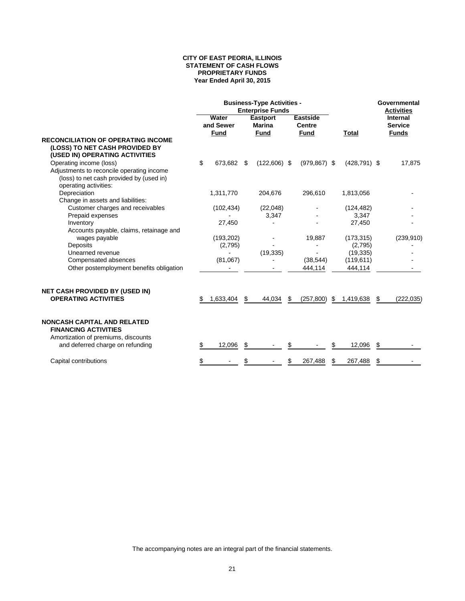#### **CITY OF EAST PEORIA, ILLINOIS STATEMENT OF CASH FLOWS PROPRIETARY FUNDS Year Ended April 30, 2015**

|                                                                                                                                           | <b>Business-Type Activities -</b><br><b>Enterprise Funds</b> |                                   |     |                                          |     |                                                 |    |                 |    | Governmental<br><b>Activities</b>          |  |
|-------------------------------------------------------------------------------------------------------------------------------------------|--------------------------------------------------------------|-----------------------------------|-----|------------------------------------------|-----|-------------------------------------------------|----|-----------------|----|--------------------------------------------|--|
|                                                                                                                                           |                                                              | Water<br>and Sewer<br><b>Fund</b> |     | <b>Eastport</b><br>Marina<br><b>Fund</b> |     | <b>Eastside</b><br><b>Centre</b><br><b>Fund</b> |    | Total           |    | Internal<br><b>Service</b><br><b>Funds</b> |  |
| <b>RECONCILIATION OF OPERATING INCOME</b><br>(LOSS) TO NET CASH PROVIDED BY<br>(USED IN) OPERATING ACTIVITIES                             |                                                              |                                   |     |                                          |     |                                                 |    |                 |    |                                            |  |
| Operating income (loss)<br>Adjustments to reconcile operating income<br>(loss) to net cash provided by (used in)<br>operating activities: | \$                                                           | 673,682                           | \$  | $(122,606)$ \$                           |     | $(979.867)$ \$                                  |    | $(428, 791)$ \$ |    | 17,875                                     |  |
| Depreciation<br>Change in assets and liabilities:                                                                                         |                                                              | 1,311,770                         |     | 204,676                                  |     | 296,610                                         |    | 1,813,056       |    |                                            |  |
| Customer charges and receivables                                                                                                          |                                                              | (102, 434)                        |     | (22,048)                                 |     |                                                 |    | (124, 482)      |    |                                            |  |
| Prepaid expenses                                                                                                                          |                                                              |                                   |     | 3,347                                    |     |                                                 |    | 3,347           |    |                                            |  |
| Inventory<br>Accounts payable, claims, retainage and                                                                                      |                                                              | 27,450                            |     |                                          |     |                                                 |    | 27,450          |    |                                            |  |
| wages payable                                                                                                                             |                                                              | (193, 202)                        |     |                                          |     | 19,887                                          |    | (173, 315)      |    | (239, 910)                                 |  |
| Deposits                                                                                                                                  |                                                              | (2,795)                           |     |                                          |     |                                                 |    | (2,795)         |    |                                            |  |
| Unearned revenue                                                                                                                          |                                                              |                                   |     | (19, 335)                                |     |                                                 |    | (19, 335)       |    |                                            |  |
| Compensated absences                                                                                                                      |                                                              | (81,067)                          |     |                                          |     | (38, 544)                                       |    | (119,611)       |    |                                            |  |
| Other postemployment benefits obligation                                                                                                  |                                                              |                                   |     |                                          |     | 444,114                                         |    | 444,114         |    |                                            |  |
| <b>NET CASH PROVIDED BY (USED IN)</b><br><b>OPERATING ACTIVITIES</b>                                                                      | \$                                                           | 1,633,404                         | -\$ | 44,034                                   | -\$ | (257, 800)                                      | \$ | 1,419,638       | \$ | (222, 035)                                 |  |
| <b>NONCASH CAPITAL AND RELATED</b><br><b>FINANCING ACTIVITIES</b><br>Amortization of premiums, discounts                                  |                                                              |                                   |     |                                          |     |                                                 |    |                 |    |                                            |  |
| and deferred charge on refunding                                                                                                          | \$                                                           | 12,096                            | \$  |                                          |     |                                                 |    | 12,096          | \$ |                                            |  |
| Capital contributions                                                                                                                     | \$                                                           |                                   | \$  |                                          | \$  | 267,488                                         | \$ | 267,488         | \$ |                                            |  |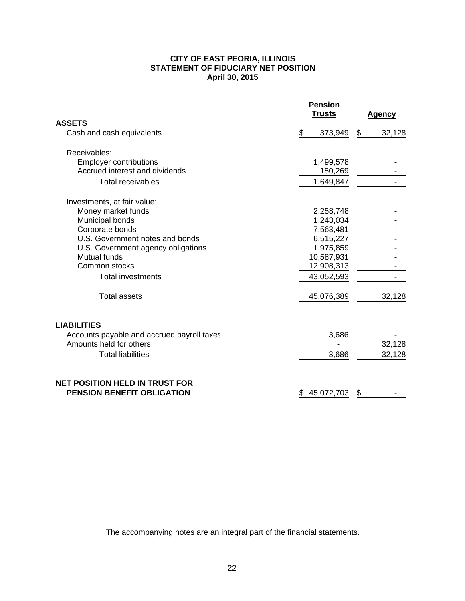#### **CITY OF EAST PEORIA, ILLINOIS STATEMENT OF FIDUCIARY NET POSITION April 30, 2015**

|                                                                     | <b>Pension</b><br><b>Trusts</b> | <b>Agency</b> |
|---------------------------------------------------------------------|---------------------------------|---------------|
| <b>ASSETS</b>                                                       |                                 |               |
| Cash and cash equivalents                                           | \$<br>373,949                   | \$<br>32,128  |
| Receivables:                                                        |                                 |               |
| <b>Employer contributions</b>                                       | 1,499,578                       |               |
| Accrued interest and dividends                                      | 150,269                         |               |
| <b>Total receivables</b>                                            | 1,649,847                       |               |
| Investments, at fair value:                                         |                                 |               |
| Money market funds                                                  | 2,258,748                       |               |
| Municipal bonds                                                     | 1,243,034                       |               |
| Corporate bonds                                                     | 7,563,481                       |               |
| U.S. Government notes and bonds                                     | 6,515,227                       |               |
| U.S. Government agency obligations                                  | 1,975,859                       |               |
| Mutual funds                                                        | 10,587,931                      |               |
| Common stocks                                                       | 12,908,313                      |               |
| <b>Total investments</b>                                            | 43,052,593                      |               |
| <b>Total assets</b>                                                 | 45,076,389                      | 32,128        |
| <b>LIABILITIES</b>                                                  |                                 |               |
| Accounts payable and accrued payroll taxes                          | 3,686                           |               |
| Amounts held for others                                             |                                 | 32,128        |
| <b>Total liabilities</b>                                            | 3,686                           | 32,128        |
| NET POSITION HELD IN TRUST FOR<br><b>PENSION BENEFIT OBLIGATION</b> | 45,072,703<br>\$                | \$            |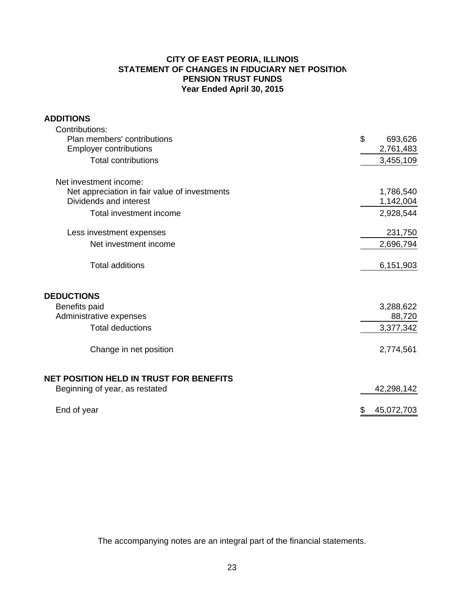## **CITY OF EAST PEORIA, ILLINOIS STATEMENT OF CHANGES IN FIDUCIARY NET POSITION PENSION TRUST FUNDS Year Ended April 30, 2015**

## **ADDITIONS**

| Contributions:                                |                  |
|-----------------------------------------------|------------------|
| Plan members' contributions                   | \$<br>693,626    |
| <b>Employer contributions</b>                 | 2,761,483        |
| <b>Total contributions</b>                    | 3,455,109        |
| Net investment income:                        |                  |
| Net appreciation in fair value of investments | 1,786,540        |
| Dividends and interest                        | 1,142,004        |
| Total investment income                       | 2,928,544        |
| Less investment expenses                      | 231,750          |
| Net investment income                         | 2,696,794        |
| <b>Total additions</b>                        | 6,151,903        |
| <b>DEDUCTIONS</b>                             |                  |
| Benefits paid                                 | 3,288,622        |
| Administrative expenses                       | 88,720           |
| <b>Total deductions</b>                       | 3,377,342        |
| Change in net position                        | 2,774,561        |
| NET POSITION HELD IN TRUST FOR BENEFITS       |                  |
| Beginning of year, as restated                | 42,298,142       |
| End of year                                   | \$<br>45,072,703 |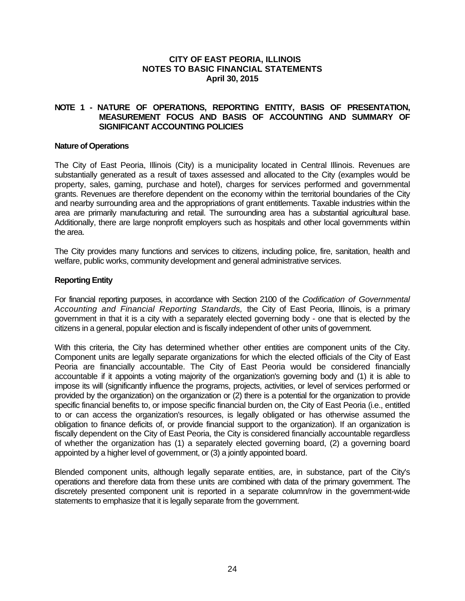## **NOTE 1 - NATURE OF OPERATIONS, REPORTING ENTITY, BASIS OF PRESENTATION, MEASUREMENT FOCUS AND BASIS OF ACCOUNTING AND SUMMARY OF SIGNIFICANT ACCOUNTING POLICIES**

#### **Nature of Operations**

The City of East Peoria, Illinois (City) is a municipality located in Central Illinois. Revenues are substantially generated as a result of taxes assessed and allocated to the City (examples would be property, sales, gaming, purchase and hotel), charges for services performed and governmental grants. Revenues are therefore dependent on the economy within the territorial boundaries of the City and nearby surrounding area and the appropriations of grant entitlements. Taxable industries within the area are primarily manufacturing and retail. The surrounding area has a substantial agricultural base. Additionally, there are large nonprofit employers such as hospitals and other local governments within the area.

The City provides many functions and services to citizens, including police, fire, sanitation, health and welfare, public works, community development and general administrative services.

#### **Reporting Entity**

For financial reporting purposes, in accordance with Section 2100 of the *Codification of Governmental Accounting and Financial Reporting Standards,* the City of East Peoria, Illinois, is a primary government in that it is a city with a separately elected governing body - one that is elected by the citizens in a general, popular election and is fiscally independent of other units of government.

With this criteria, the City has determined whether other entities are component units of the City. Component units are legally separate organizations for which the elected officials of the City of East Peoria are financially accountable. The City of East Peoria would be considered financially accountable if it appoints a voting majority of the organization's governing body and (1) it is able to impose its will (significantly influence the programs, projects, activities, or level of services performed or provided by the organization) on the organization or (2) there is a potential for the organization to provide specific financial benefits to, or impose specific financial burden on, the City of East Peoria (i.e., entitled to or can access the organization's resources, is legally obligated or has otherwise assumed the obligation to finance deficits of, or provide financial support to the organization). If an organization is fiscally dependent on the City of East Peoria, the City is considered financially accountable regardless of whether the organization has (1) a separately elected governing board, (2) a governing board appointed by a higher level of government, or (3) a jointly appointed board.

Blended component units, although legally separate entities, are, in substance, part of the City's operations and therefore data from these units are combined with data of the primary government. The discretely presented component unit is reported in a separate column/row in the government-wide statements to emphasize that it is legally separate from the government.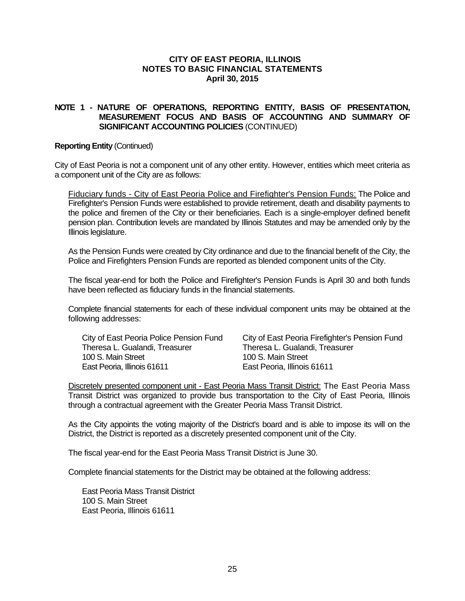#### **NOTE 1 - NATURE OF OPERATIONS, REPORTING ENTITY, BASIS OF PRESENTATION, MEASUREMENT FOCUS AND BASIS OF ACCOUNTING AND SUMMARY OF SIGNIFICANT ACCOUNTING POLICIES** (CONTINUED)

#### **Reporting Entity** (Continued)

City of East Peoria is not a component unit of any other entity. However, entities which meet criteria as a component unit of the City are as follows:

Fiduciary funds - City of East Peoria Police and Firefighter's Pension Funds: The Police and Firefighter's Pension Funds were established to provide retirement, death and disability payments to the police and firemen of the City or their beneficiaries. Each is a single-employer defined benefit pension plan. Contribution levels are mandated by Illinois Statutes and may be amended only by the Illinois legislature.

As the Pension Funds were created by City ordinance and due to the financial benefit of the City, the Police and Firefighters Pension Funds are reported as blended component units of the City.

The fiscal year-end for both the Police and Firefighter's Pension Funds is April 30 and both funds have been reflected as fiduciary funds in the financial statements.

Complete financial statements for each of these individual component units may be obtained at the following addresses:

Theresa L. Gualandi, Treasurer Theresa L. Gualandi, Treasurer 100 S. Main Street 100 S. Main Street East Peoria, Illinois 61611 **East Peoria, Illinois 61611** 

City of East Peoria Police Pension Fund City of East Peoria Firefighter's Pension Fund

Discretely presented component unit - East Peoria Mass Transit District: The East Peoria Mass Transit District was organized to provide bus transportation to the City of East Peoria, Illinois through a contractual agreement with the Greater Peoria Mass Transit District.

As the City appoints the voting majority of the District's board and is able to impose its will on the District, the District is reported as a discretely presented component unit of the City.

The fiscal year-end for the East Peoria Mass Transit District is June 30.

Complete financial statements for the District may be obtained at the following address:

East Peoria Mass Transit District 100 S. Main Street East Peoria, Illinois 61611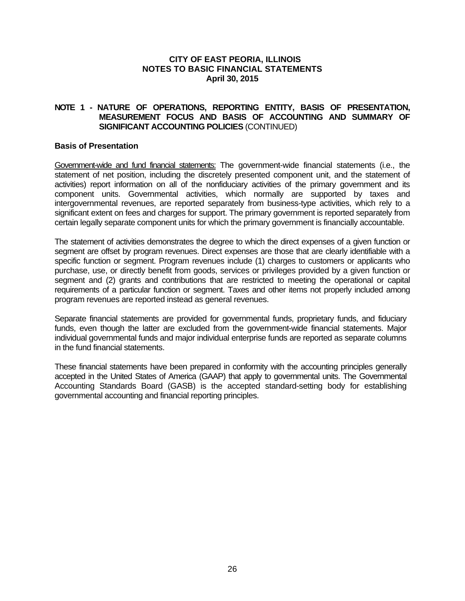## **NOTE 1 - NATURE OF OPERATIONS, REPORTING ENTITY, BASIS OF PRESENTATION, MEASUREMENT FOCUS AND BASIS OF ACCOUNTING AND SUMMARY OF SIGNIFICANT ACCOUNTING POLICIES** (CONTINUED)

#### **Basis of Presentation**

Government-wide and fund financial statements: The government-wide financial statements (i.e., the statement of net position, including the discretely presented component unit, and the statement of activities) report information on all of the nonfiduciary activities of the primary government and its component units. Governmental activities, which normally are supported by taxes and intergovernmental revenues, are reported separately from business-type activities, which rely to a significant extent on fees and charges for support. The primary government is reported separately from certain legally separate component units for which the primary government is financially accountable.

The statement of activities demonstrates the degree to which the direct expenses of a given function or segment are offset by program revenues. Direct expenses are those that are clearly identifiable with a specific function or segment. Program revenues include (1) charges to customers or applicants who purchase, use, or directly benefit from goods, services or privileges provided by a given function or segment and (2) grants and contributions that are restricted to meeting the operational or capital requirements of a particular function or segment. Taxes and other items not properly included among program revenues are reported instead as general revenues.

Separate financial statements are provided for governmental funds, proprietary funds, and fiduciary funds, even though the latter are excluded from the government-wide financial statements. Major individual governmental funds and major individual enterprise funds are reported as separate columns in the fund financial statements.

These financial statements have been prepared in conformity with the accounting principles generally accepted in the United States of America (GAAP) that apply to governmental units. The Governmental Accounting Standards Board (GASB) is the accepted standard-setting body for establishing governmental accounting and financial reporting principles.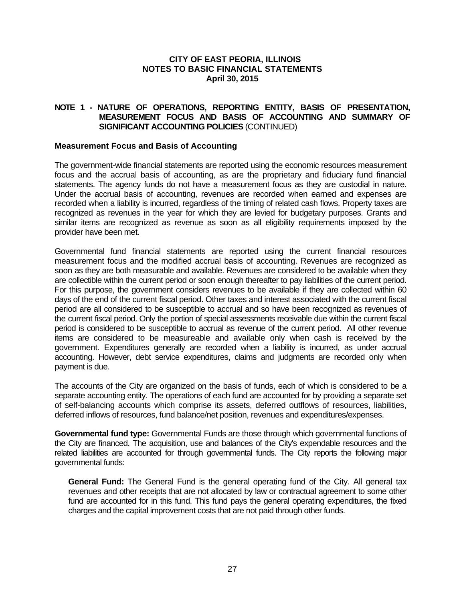## **NOTE 1 - NATURE OF OPERATIONS, REPORTING ENTITY, BASIS OF PRESENTATION, MEASUREMENT FOCUS AND BASIS OF ACCOUNTING AND SUMMARY OF SIGNIFICANT ACCOUNTING POLICIES** (CONTINUED)

#### **Measurement Focus and Basis of Accounting**

The government-wide financial statements are reported using the economic resources measurement focus and the accrual basis of accounting, as are the proprietary and fiduciary fund financial statements. The agency funds do not have a measurement focus as they are custodial in nature. Under the accrual basis of accounting, revenues are recorded when earned and expenses are recorded when a liability is incurred, regardless of the timing of related cash flows. Property taxes are recognized as revenues in the year for which they are levied for budgetary purposes. Grants and similar items are recognized as revenue as soon as all eligibility requirements imposed by the provider have been met.

Governmental fund financial statements are reported using the current financial resources measurement focus and the modified accrual basis of accounting. Revenues are recognized as soon as they are both measurable and available. Revenues are considered to be available when they are collectible within the current period or soon enough thereafter to pay liabilities of the current period. For this purpose, the government considers revenues to be available if they are collected within 60 days of the end of the current fiscal period. Other taxes and interest associated with the current fiscal period are all considered to be susceptible to accrual and so have been recognized as revenues of the current fiscal period. Only the portion of special assessments receivable due within the current fiscal period is considered to be susceptible to accrual as revenue of the current period. All other revenue items are considered to be measureable and available only when cash is received by the government. Expenditures generally are recorded when a liability is incurred, as under accrual accounting. However, debt service expenditures, claims and judgments are recorded only when payment is due.

The accounts of the City are organized on the basis of funds, each of which is considered to be a separate accounting entity. The operations of each fund are accounted for by providing a separate set of self-balancing accounts which comprise its assets, deferred outflows of resources, liabilities, deferred inflows of resources, fund balance/net position, revenues and expenditures/expenses.

**Governmental fund type:** Governmental Funds are those through which governmental functions of the City are financed. The acquisition, use and balances of the City's expendable resources and the related liabilities are accounted for through governmental funds. The City reports the following major governmental funds:

**General Fund:** The General Fund is the general operating fund of the City. All general tax revenues and other receipts that are not allocated by law or contractual agreement to some other fund are accounted for in this fund. This fund pays the general operating expenditures, the fixed charges and the capital improvement costs that are not paid through other funds.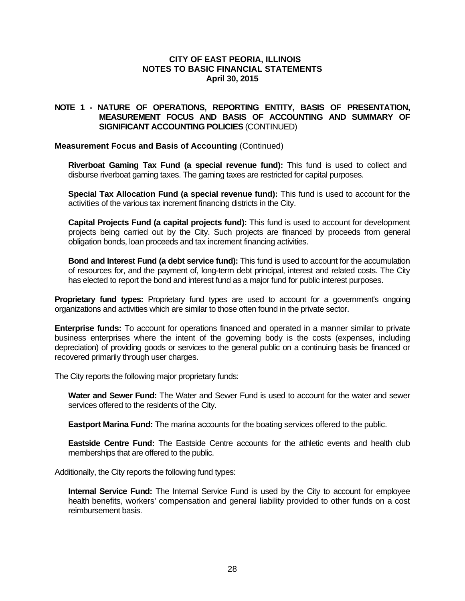## **NOTE 1 - NATURE OF OPERATIONS, REPORTING ENTITY, BASIS OF PRESENTATION, MEASUREMENT FOCUS AND BASIS OF ACCOUNTING AND SUMMARY OF SIGNIFICANT ACCOUNTING POLICIES** (CONTINUED)

#### **Measurement Focus and Basis of Accounting** (Continued)

**Riverboat Gaming Tax Fund (a special revenue fund):** This fund is used to collect and disburse riverboat gaming taxes. The gaming taxes are restricted for capital purposes.

**Special Tax Allocation Fund (a special revenue fund):** This fund is used to account for the activities of the various tax increment financing districts in the City.

**Capital Projects Fund (a capital projects fund):** This fund is used to account for development projects being carried out by the City. Such projects are financed by proceeds from general obligation bonds, loan proceeds and tax increment financing activities.

**Bond and Interest Fund (a debt service fund):** This fund is used to account for the accumulation of resources for, and the payment of, long-term debt principal, interest and related costs. The City has elected to report the bond and interest fund as a major fund for public interest purposes.

**Proprietary fund types:** Proprietary fund types are used to account for a government's ongoing organizations and activities which are similar to those often found in the private sector.

**Enterprise funds:** To account for operations financed and operated in a manner similar to private business enterprises where the intent of the governing body is the costs (expenses, including depreciation) of providing goods or services to the general public on a continuing basis be financed or recovered primarily through user charges.

The City reports the following major proprietary funds:

**Water and Sewer Fund:** The Water and Sewer Fund is used to account for the water and sewer services offered to the residents of the City.

**Eastport Marina Fund:** The marina accounts for the boating services offered to the public.

**Eastside Centre Fund:** The Eastside Centre accounts for the athletic events and health club memberships that are offered to the public.

Additionally, the City reports the following fund types:

**Internal Service Fund:** The Internal Service Fund is used by the City to account for employee health benefits, workers' compensation and general liability provided to other funds on a cost reimbursement basis.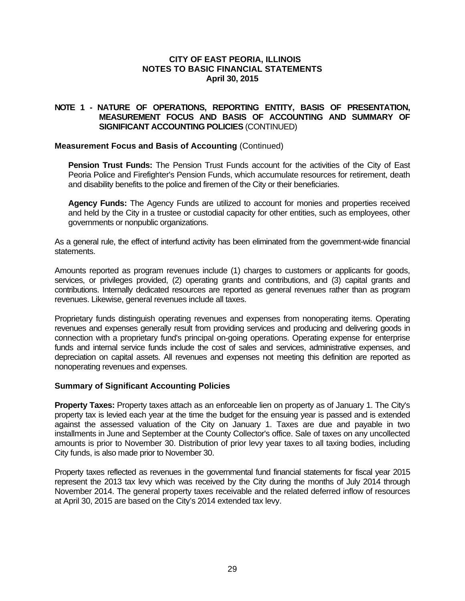## **NOTE 1 - NATURE OF OPERATIONS, REPORTING ENTITY, BASIS OF PRESENTATION, MEASUREMENT FOCUS AND BASIS OF ACCOUNTING AND SUMMARY OF SIGNIFICANT ACCOUNTING POLICIES** (CONTINUED)

#### **Measurement Focus and Basis of Accounting** (Continued)

**Pension Trust Funds:** The Pension Trust Funds account for the activities of the City of East Peoria Police and Firefighter's Pension Funds, which accumulate resources for retirement, death and disability benefits to the police and firemen of the City or their beneficiaries.

**Agency Funds:** The Agency Funds are utilized to account for monies and properties received and held by the City in a trustee or custodial capacity for other entities, such as employees, other governments or nonpublic organizations.

As a general rule, the effect of interfund activity has been eliminated from the government-wide financial statements.

Amounts reported as program revenues include (1) charges to customers or applicants for goods, services, or privileges provided, (2) operating grants and contributions, and (3) capital grants and contributions. Internally dedicated resources are reported as general revenues rather than as program revenues. Likewise, general revenues include all taxes.

Proprietary funds distinguish operating revenues and expenses from nonoperating items. Operating revenues and expenses generally result from providing services and producing and delivering goods in connection with a proprietary fund's principal on-going operations. Operating expense for enterprise funds and internal service funds include the cost of sales and services, administrative expenses, and depreciation on capital assets. All revenues and expenses not meeting this definition are reported as nonoperating revenues and expenses.

#### **Summary of Significant Accounting Policies**

**Property Taxes:** Property taxes attach as an enforceable lien on property as of January 1. The City's property tax is levied each year at the time the budget for the ensuing year is passed and is extended against the assessed valuation of the City on January 1. Taxes are due and payable in two installments in June and September at the County Collector's office. Sale of taxes on any uncollected amounts is prior to November 30. Distribution of prior levy year taxes to all taxing bodies, including City funds, is also made prior to November 30.

Property taxes reflected as revenues in the governmental fund financial statements for fiscal year 2015 represent the 2013 tax levy which was received by the City during the months of July 2014 through November 2014. The general property taxes receivable and the related deferred inflow of resources at April 30, 2015 are based on the City's 2014 extended tax levy.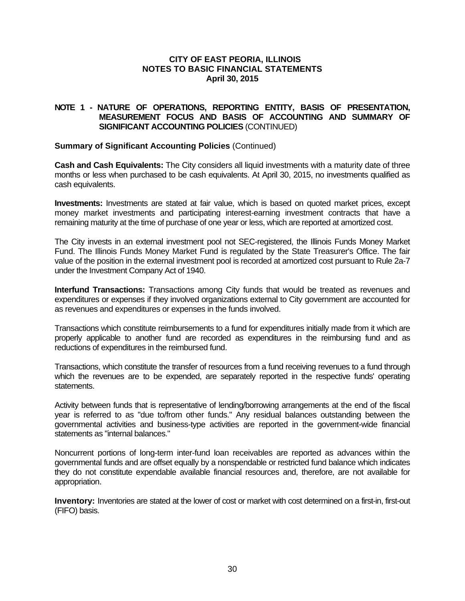## **NOTE 1 - NATURE OF OPERATIONS, REPORTING ENTITY, BASIS OF PRESENTATION, MEASUREMENT FOCUS AND BASIS OF ACCOUNTING AND SUMMARY OF SIGNIFICANT ACCOUNTING POLICIES** (CONTINUED)

#### **Summary of Significant Accounting Policies** (Continued)

**Cash and Cash Equivalents:** The City considers all liquid investments with a maturity date of three months or less when purchased to be cash equivalents. At April 30, 2015, no investments qualified as cash equivalents.

**Investments:** Investments are stated at fair value, which is based on quoted market prices, except money market investments and participating interest-earning investment contracts that have a remaining maturity at the time of purchase of one year or less, which are reported at amortized cost.

The City invests in an external investment pool not SEC-registered, the Illinois Funds Money Market Fund. The Illinois Funds Money Market Fund is regulated by the State Treasurer's Office. The fair value of the position in the external investment pool is recorded at amortized cost pursuant to Rule 2a-7 under the Investment Company Act of 1940.

**Interfund Transactions:** Transactions among City funds that would be treated as revenues and expenditures or expenses if they involved organizations external to City government are accounted for as revenues and expenditures or expenses in the funds involved.

Transactions which constitute reimbursements to a fund for expenditures initially made from it which are properly applicable to another fund are recorded as expenditures in the reimbursing fund and as reductions of expenditures in the reimbursed fund.

Transactions, which constitute the transfer of resources from a fund receiving revenues to a fund through which the revenues are to be expended, are separately reported in the respective funds' operating statements.

Activity between funds that is representative of lending/borrowing arrangements at the end of the fiscal year is referred to as "due to/from other funds." Any residual balances outstanding between the governmental activities and business-type activities are reported in the government-wide financial statements as "internal balances."

Noncurrent portions of long-term inter-fund loan receivables are reported as advances within the governmental funds and are offset equally by a nonspendable or restricted fund balance which indicates they do not constitute expendable available financial resources and, therefore, are not available for appropriation.

**Inventory:** Inventories are stated at the lower of cost or market with cost determined on a first-in, first-out (FIFO) basis.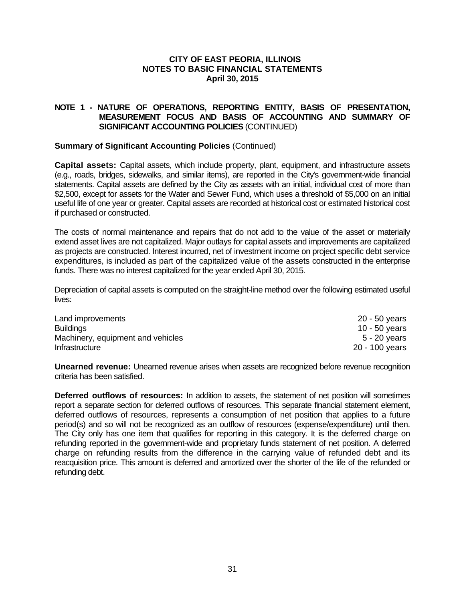## **NOTE 1 - NATURE OF OPERATIONS, REPORTING ENTITY, BASIS OF PRESENTATION, MEASUREMENT FOCUS AND BASIS OF ACCOUNTING AND SUMMARY OF SIGNIFICANT ACCOUNTING POLICIES** (CONTINUED)

#### **Summary of Significant Accounting Policies** (Continued)

**Capital assets:** Capital assets, which include property, plant, equipment, and infrastructure assets (e.g., roads, bridges, sidewalks, and similar items), are reported in the City's government-wide financial statements. Capital assets are defined by the City as assets with an initial, individual cost of more than \$2,500, except for assets for the Water and Sewer Fund, which uses a threshold of \$5,000 on an initial useful life of one year or greater. Capital assets are recorded at historical cost or estimated historical cost if purchased or constructed.

The costs of normal maintenance and repairs that do not add to the value of the asset or materially extend asset lives are not capitalized. Major outlays for capital assets and improvements are capitalized as projects are constructed. Interest incurred, net of investment income on project specific debt service expenditures, is included as part of the capitalized value of the assets constructed in the enterprise funds. There was no interest capitalized for the year ended April 30, 2015.

Depreciation of capital assets is computed on the straight-line method over the following estimated useful lives:

| Land improvements                 | 20 - 50 years  |
|-----------------------------------|----------------|
| <b>Buildings</b>                  | 10 - 50 years  |
| Machinery, equipment and vehicles | $5 - 20$ years |
| Infrastructure                    | 20 - 100 years |

**Unearned revenue:** Unearned revenue arises when assets are recognized before revenue recognition criteria has been satisfied.

**Deferred outflows of resources:** In addition to assets, the statement of net position will sometimes report a separate section for deferred outflows of resources. This separate financial statement element, deferred outflows of resources, represents a consumption of net position that applies to a future period(s) and so will not be recognized as an outflow of resources (expense/expenditure) until then. The City only has one item that qualifies for reporting in this category. It is the deferred charge on refunding reported in the government-wide and proprietary funds statement of net position. A deferred charge on refunding results from the difference in the carrying value of refunded debt and its reacquisition price. This amount is deferred and amortized over the shorter of the life of the refunded or refunding debt.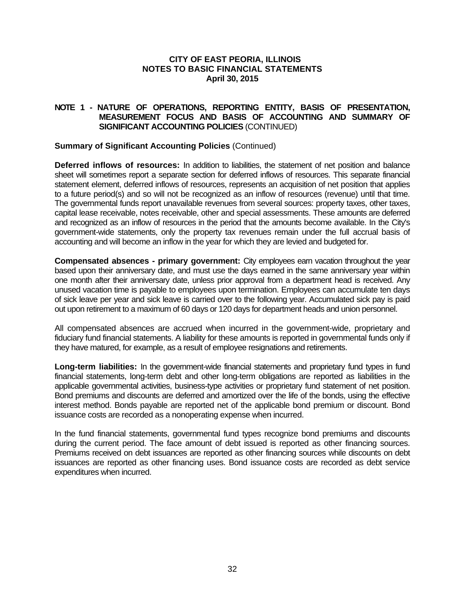## **NOTE 1 - NATURE OF OPERATIONS, REPORTING ENTITY, BASIS OF PRESENTATION, MEASUREMENT FOCUS AND BASIS OF ACCOUNTING AND SUMMARY OF SIGNIFICANT ACCOUNTING POLICIES** (CONTINUED)

#### **Summary of Significant Accounting Policies** (Continued)

**Deferred inflows of resources:** In addition to liabilities, the statement of net position and balance sheet will sometimes report a separate section for deferred inflows of resources. This separate financial statement element, deferred inflows of resources, represents an acquisition of net position that applies to a future period(s) and so will not be recognized as an inflow of resources (revenue) until that time. The governmental funds report unavailable revenues from several sources: property taxes, other taxes, capital lease receivable, notes receivable, other and special assessments. These amounts are deferred and recognized as an inflow of resources in the period that the amounts become available. In the City's government-wide statements, only the property tax revenues remain under the full accrual basis of accounting and will become an inflow in the year for which they are levied and budgeted for.

**Compensated absences - primary government:** City employees eam vacation throughout the year based upon their anniversary date, and must use the days earned in the same anniversary year within one month after their anniversary date, unless prior approval from a department head is received. Any unused vacation time is payable to employees upon termination. Employees can accumulate ten days of sick leave per year and sick leave is carried over to the following year. Accumulated sick pay is paid out upon retirement to a maximum of 60 days or 120 days for department heads and union personnel.

All compensated absences are accrued when incurred in the government-wide, proprietary and fiduciary fund financial statements. A liability for these amounts is reported in governmental funds only if they have matured, for example, as a result of employee resignations and retirements.

**Long-term liabilities:** In the government-wide financial statements and proprietary fund types in fund financial statements, long-term debt and other long-term obligations are reported as liabilities in the applicable governmental activities, business-type activities or proprietary fund statement of net position. Bond premiums and discounts are deferred and amortized over the life of the bonds, using the effective interest method. Bonds payable are reported net of the applicable bond premium or discount. Bond issuance costs are recorded as a nonoperating expense when incurred.

In the fund financial statements, governmental fund types recognize bond premiums and discounts during the current period. The face amount of debt issued is reported as other financing sources. Premiums received on debt issuances are reported as other financing sources while discounts on debt issuances are reported as other financing uses. Bond issuance costs are recorded as debt service expenditures when incurred.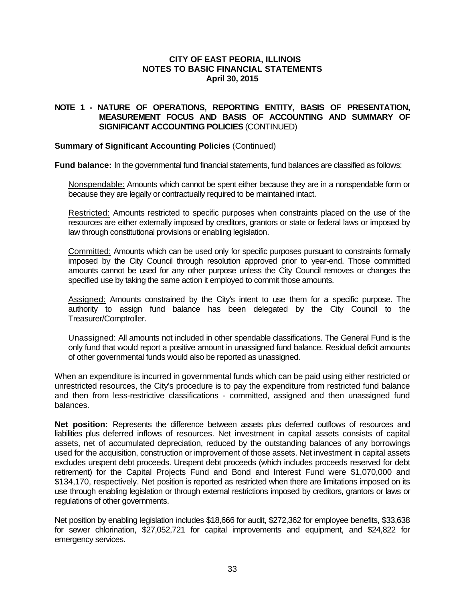## **NOTE 1 - NATURE OF OPERATIONS, REPORTING ENTITY, BASIS OF PRESENTATION, MEASUREMENT FOCUS AND BASIS OF ACCOUNTING AND SUMMARY OF SIGNIFICANT ACCOUNTING POLICIES** (CONTINUED)

#### **Summary of Significant Accounting Policies** (Continued)

**Fund balance:** In the governmental fund financial statements, fund balances are classified as follows:

Nonspendable: Amounts which cannot be spent either because they are in a nonspendable form or because they are legally or contractually required to be maintained intact.

Restricted: Amounts restricted to specific purposes when constraints placed on the use of the resources are either externally imposed by creditors, grantors or state or federal laws or imposed by law through constitutional provisions or enabling legislation.

Committed: Amounts which can be used only for specific purposes pursuant to constraints formally imposed by the City Council through resolution approved prior to year-end. Those committed amounts cannot be used for any other purpose unless the City Council removes or changes the specified use by taking the same action it employed to commit those amounts.

Assigned: Amounts constrained by the City's intent to use them for a specific purpose. The authority to assign fund balance has been delegated by the City Council to the Treasurer/Comptroller.

Unassigned: All amounts not included in other spendable classifications. The General Fund is the only fund that would report a positive amount in unassigned fund balance. Residual deficit amounts of other governmental funds would also be reported as unassigned.

When an expenditure is incurred in governmental funds which can be paid using either restricted or unrestricted resources, the City's procedure is to pay the expenditure from restricted fund balance and then from less-restrictive classifications - committed, assigned and then unassigned fund balances.

**Net position:** Represents the difference between assets plus deferred outflows of resources and liabilities plus deferred inflows of resources. Net investment in capital assets consists of capital assets, net of accumulated depreciation, reduced by the outstanding balances of any borrowings used for the acquisition, construction or improvement of those assets. Net investment in capital assets excludes unspent debt proceeds. Unspent debt proceeds (which includes proceeds reserved for debt retirement) for the Capital Projects Fund and Bond and Interest Fund were \$1,070,000 and \$134,170, respectively. Net position is reported as restricted when there are limitations imposed on its use through enabling legislation or through external restrictions imposed by creditors, grantors or laws or regulations of other governments.

Net position by enabling legislation includes \$18,666 for audit, \$272,362 for employee benefits, \$33,638 for sewer chlorination, \$27,052,721 for capital improvements and equipment, and \$24,822 for emergency services.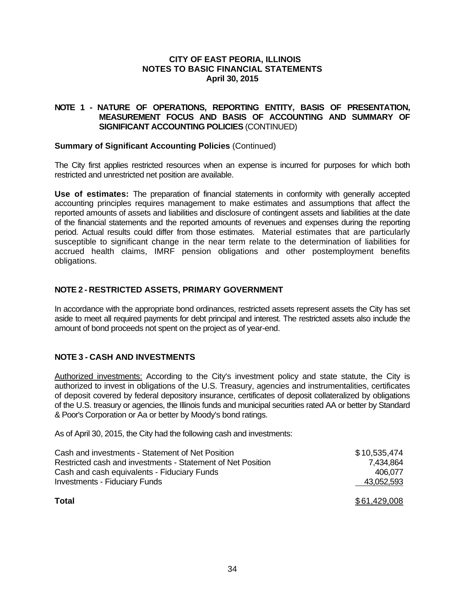### **NOTE 1 - NATURE OF OPERATIONS, REPORTING ENTITY, BASIS OF PRESENTATION, MEASUREMENT FOCUS AND BASIS OF ACCOUNTING AND SUMMARY OF SIGNIFICANT ACCOUNTING POLICIES** (CONTINUED)

### **Summary of Significant Accounting Policies** (Continued)

The City first applies restricted resources when an expense is incurred for purposes for which both restricted and unrestricted net position are available.

**Use of estimates:** The preparation of financial statements in conformity with generally accepted accounting principles requires management to make estimates and assumptions that affect the reported amounts of assets and liabilities and disclosure of contingent assets and liabilities at the date of the financial statements and the reported amounts of revenues and expenses during the reporting period. Actual results could differ from those estimates. Material estimates that are particularly susceptible to significant change in the near term relate to the determination of liabilities for accrued health claims, IMRF pension obligations and other postemployment benefits obligations.

### **NOTE 2 - RESTRICTED ASSETS, PRIMARY GOVERNMENT**

In accordance with the appropriate bond ordinances, restricted assets represent assets the City has set aside to meet all required payments for debt principal and interest. The restricted assets also include the amount of bond proceeds not spent on the project as of year-end.

### **NOTE 3 - CASH AND INVESTMENTS**

Authorized investments: According to the City's investment policy and state statute, the City is authorized to invest in obligations of the U.S. Treasury, agencies and instrumentalities, certificates of deposit covered by federal depository insurance, certificates of deposit collateralized by obligations of the U.S. treasury or agencies, the Illinois funds and municipal securities rated AA or better by Standard & Poor's Corporation or Aa or better by Moody's bond ratings.

As of April 30, 2015, the City had the following cash and investments:

| <b>Total</b>                                                | \$61,429,008 |
|-------------------------------------------------------------|--------------|
| <b>Investments - Fiduciary Funds</b>                        | 43,052,593   |
| Cash and cash equivalents - Fiduciary Funds                 | 406.077      |
| Restricted cash and investments - Statement of Net Position | 7.434.864    |
| Cash and investments - Statement of Net Position            | \$10,535,474 |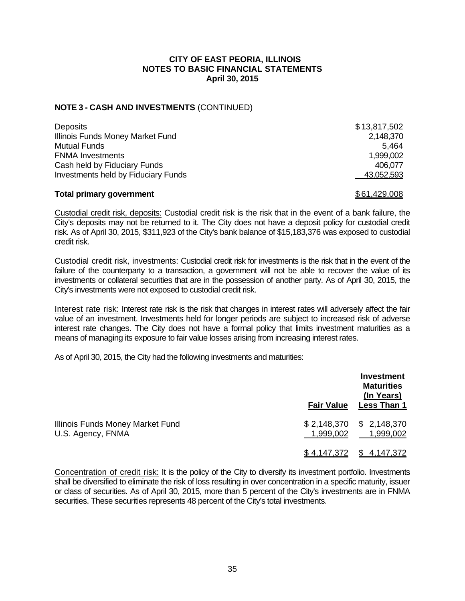### **NOTE 3 - CASH AND INVESTMENTS** (CONTINUED)

| <b>Deposits</b>                            | \$13,817,502 |
|--------------------------------------------|--------------|
| Illinois Funds Money Market Fund           | 2,148,370    |
| Mutual Funds                               | 5.464        |
| <b>FNMA Investments</b>                    | 1,999,002    |
| Cash held by Fiduciary Funds               | 406.077      |
| <b>Investments held by Fiduciary Funds</b> | 43,052,593   |
|                                            |              |

#### **Total primary government 1999 1999 1999 1999 1999 1999 1999 1999 1999 1999 1999 1999 1999 1999 1999 1999 1999 1999 1999 1999 1999 1999 1999 1999 1999 1999 1999 1999**

Custodial credit risk, deposits: Custodial credit risk is the risk that in the event of a bank failure, the City's deposits may not be returned to it. The City does not have a deposit policy for custodial credit risk. As of April 30, 2015, \$311,923 of the City's bank balance of \$15,183,376 was exposed to custodial credit risk.

Custodial credit risk, investments: Custodial credit risk for investments is the risk that in the event of the failure of the counterparty to a transaction, a government will not be able to recover the value of its investments or collateral securities that are in the possession of another party. As of April 30, 2015, the City's investments were not exposed to custodial credit risk.

Interest rate risk: Interest rate risk is the risk that changes in interest rates will adversely affect the fair value of an investment. Investments held for longer periods are subject to increased risk of adverse interest rate changes. The City does not have a formal policy that limits investment maturities as a means of managing its exposure to fair value losses arising from increasing interest rates.

As of April 30, 2015, the City had the following investments and maturities:

|                                                       | <b>Fair Value</b>  | Investment<br><b>Maturities</b><br>(In Years)<br><b>Less Than 1</b> |
|-------------------------------------------------------|--------------------|---------------------------------------------------------------------|
| Illinois Funds Money Market Fund<br>U.S. Agency, FNMA | 1,999,002          | $$2,148,370$ $$2,148,370$<br>1,999,002                              |
|                                                       | <u>\$4,147,372</u> | \$4,147,372                                                         |

Concentration of credit risk: It is the policy of the City to diversify its investment portfolio. Investments shall be diversified to eliminate the risk of loss resulting in over concentration in a specific maturity, issuer or class of securities. As of April 30, 2015, more than 5 percent of the City's investments are in FNMA securities. These securities represents 48 percent of the City's total investments.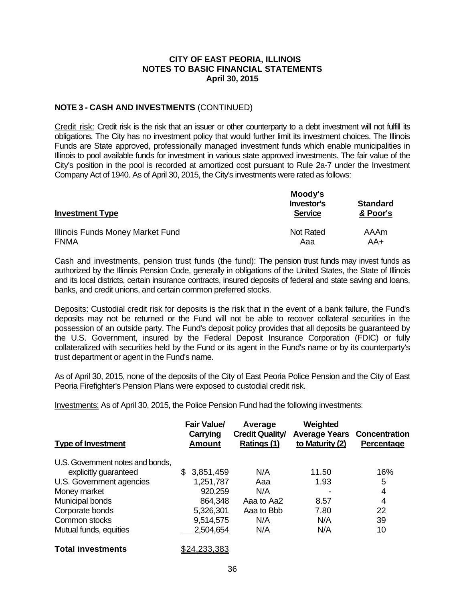### **NOTE 3 - CASH AND INVESTMENTS** (CONTINUED)

Credit risk: Credit risk is the risk that an issuer or other counterparty to a debt investment will not fulfill its obligations. The City has no investment policy that would further limit its investment choices. The Illinois Funds are State approved, professionally managed investment funds which enable municipalities in Illinois to pool available funds for investment in various state approved investments. The fair value of the City's position in the pool is recorded at amortized cost pursuant to Rule 2a-7 under the Investment Company Act of 1940. As of April 30, 2015, the City's investments were rated as follows:

| <b>Investment Type</b>           | Moody's<br>Investor's<br><b>Service</b> | <b>Standard</b><br>& Poor's |  |
|----------------------------------|-----------------------------------------|-----------------------------|--|
| Illinois Funds Money Market Fund | <b>Not Rated</b>                        | AAAm                        |  |
| <b>FNMA</b>                      | Aaa                                     | AA+                         |  |

Cash and investments, pension trust funds (the fund): The pension trust funds may invest funds as authorized by the Illinois Pension Code, generally in obligations of the United States, the State of Illinois and its local districts, certain insurance contracts, insured deposits of federal and state saving and loans, banks, and credit unions, and certain common preferred stocks.

Deposits: Custodial credit risk for deposits is the risk that in the event of a bank failure, the Fund's deposits may not be returned or the Fund will not be able to recover collateral securities in the possession of an outside party. The Fund's deposit policy provides that all deposits be guaranteed by the U.S. Government, insured by the Federal Deposit Insurance Corporation (FDIC) or fully collateralized with securities held by the Fund or its agent in the Fund's name or by its counterparty's trust department or agent in the Fund's name.

As of April 30, 2015, none of the deposits of the City of East Peoria Police Pension and the City of East Peoria Firefighter's Pension Plans were exposed to custodial credit risk.

Investments: As of April 30, 2015, the Police Pension Fund had the following investments:

| <b>Type of Investment</b>        | <b>Fair Value/</b><br>Carrying<br>Amount | Average<br><b>Credit Quality/</b><br>Ratings (1) | Weighted<br>to Maturity (2) | <b>Average Years Concentration</b><br>Percentage |
|----------------------------------|------------------------------------------|--------------------------------------------------|-----------------------------|--------------------------------------------------|
| U.S. Government notes and bonds, |                                          |                                                  |                             |                                                  |
| explicitly guaranteed            | \$<br>3,851,459                          | N/A                                              | 11.50                       | 16%                                              |
| U.S. Government agencies         | 1,251,787                                | Aaa                                              | 1.93                        | 5                                                |
| Money market                     | 920,259                                  | N/A                                              |                             | 4                                                |
| Municipal bonds                  | 864,348                                  | Aaa to Aa2                                       | 8.57                        | 4                                                |
| Corporate bonds                  | 5,326,301                                | Aaa to Bbb                                       | 7.80                        | 22                                               |
| Common stocks                    | 9,514,575                                | N/A                                              | N/A                         | 39                                               |
| Mutual funds, equities           | 2,504,654                                | N/A                                              | N/A                         | 10                                               |
| <b>Total investments</b>         | <u>\$24,233,383</u>                      |                                                  |                             |                                                  |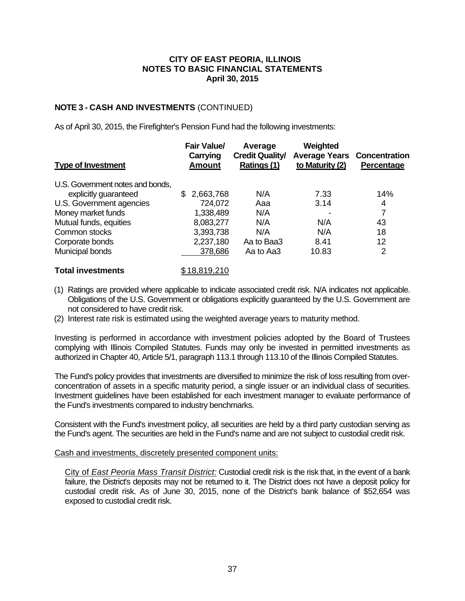## **NOTE 3 - CASH AND INVESTMENTS** (CONTINUED)

As of April 30, 2015, the Firefighter's Pension Fund had the following investments:

| <b>Type of Investment</b>        | <b>Fair Value/</b><br>Carrying<br><b>Amount</b> | Average<br><b>Credit Quality/</b><br>Ratings (1) | Weighted<br><b>Average Years</b><br>to Maturity (2) | <b>Concentration</b><br>Percentage |
|----------------------------------|-------------------------------------------------|--------------------------------------------------|-----------------------------------------------------|------------------------------------|
| U.S. Government notes and bonds, |                                                 |                                                  |                                                     |                                    |
| explicitly guaranteed            | 2,663,768<br>S.                                 | N/A                                              | 7.33                                                | 14%                                |
| U.S. Government agencies         | 724,072                                         | Aaa                                              | 3.14                                                | 4                                  |
| Money market funds               | 1,338,489                                       | N/A                                              |                                                     |                                    |
| Mutual funds, equities           | 8,083,277                                       | N/A                                              | N/A                                                 | 43                                 |
| Common stocks                    | 3,393,738                                       | N/A                                              | N/A                                                 | 18                                 |
| Corporate bonds                  | 2,237,180                                       | Aa to Baa3                                       | 8.41                                                | 12                                 |
| Municipal bonds                  | 378,686                                         | Aa to Aa3                                        | 10.83                                               | 2                                  |

## **Total investments** \$18,819,210

- (1) Ratings are provided where applicable to indicate associated credit risk. N/A indicates not applicable. Obligations of the U.S. Government or obligations explicitly guaranteed by the U.S. Government are not considered to have credit risk.
- (2) Interest rate risk is estimated using the weighted average years to maturity method.

Investing is performed in accordance with investment policies adopted by the Board of Trustees complying with Illinois Compiled Statutes. Funds may only be invested in permitted investments as authorized in Chapter 40, Article 5/1, paragraph 113.1 through 113.10 of the Illinois Compiled Statutes.

The Fund's policy provides that investments are diversified to minimize the risk of loss resulting from overconcentration of assets in a specific maturity period, a single issuer or an individual class of securities. Investment guidelines have been established for each investment manager to evaluate performance of the Fund's investments compared to industry benchmarks.

Consistent with the Fund's investment policy, all securities are held by a third party custodian serving as the Fund's agent. The securities are held in the Fund's name and are not subject to custodial credit risk.

#### Cash and investments, discretely presented component units:

City of *East Peoria Mass Transit District:* Custodial credit risk is the risk that, in the event of a bank failure, the District's deposits may not be returned to it. The District does not have a deposit policy for custodial credit risk. As of June 30, 2015, none of the District's bank balance of \$52,654 was exposed to custodial credit risk.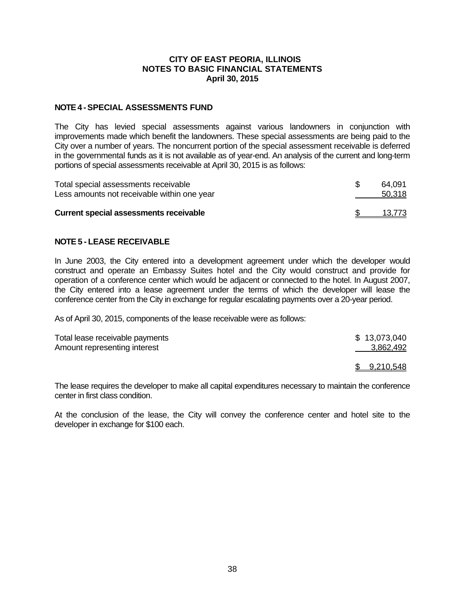#### **NOTE 4 - SPECIAL ASSESSMENTS FUND**

The City has levied special assessments against various landowners in conjunction with improvements made which benefit the landowners. These special assessments are being paid to the City over a number of years. The noncurrent portion of the special assessment receivable is deferred in the governmental funds as it is not available as of year-end. An analysis of the current and long-term portions of special assessments receivable at April 30, 2015 is as follows:

| Total special assessments receivable<br>Less amounts not receivable within one year | 64.091<br>50,318 |
|-------------------------------------------------------------------------------------|------------------|
| <b>Current special assessments receivable</b>                                       | 13.773           |

### **NOTE 5 - LEASE RECEIVABLE**

In June 2003, the City entered into a development agreement under which the developer would construct and operate an Embassy Suites hotel and the City would construct and provide for operation of a conference center which would be adjacent or connected to the hotel. In August 2007, the City entered into a lease agreement under the terms of which the developer will lease the conference center from the City in exchange for regular escalating payments over a 20-year period.

As of April 30, 2015, components of the lease receivable were as follows:

| Total lease receivable payments | \$13,073,040 |
|---------------------------------|--------------|
| Amount representing interest    | 3,862,492    |
|                                 | \$9,210,548  |

The lease requires the developer to make all capital expenditures necessary to maintain the conference center in first class condition.

At the conclusion of the lease, the City will convey the conference center and hotel site to the developer in exchange for \$100 each.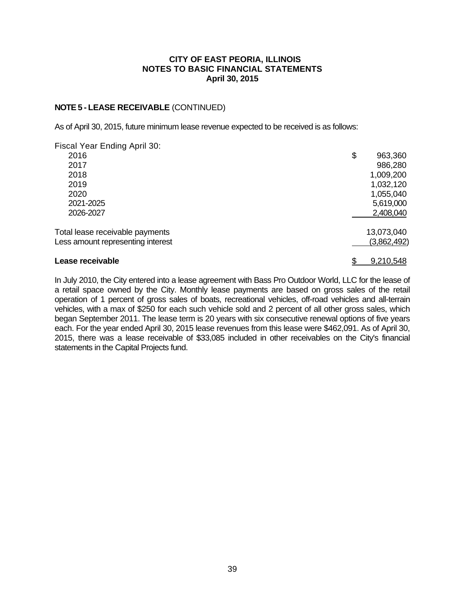### **NOTE 5 - LEASE RECEIVABLE** (CONTINUED)

As of April 30, 2015, future minimum lease revenue expected to be received is as follows:

| Fiscal Year Ending April 30:      |               |
|-----------------------------------|---------------|
| 2016                              | \$<br>963,360 |
| 2017                              | 986,280       |
| 2018                              | 1,009,200     |
| 2019                              | 1,032,120     |
| 2020                              | 1,055,040     |
| 2021-2025                         | 5,619,000     |
| 2026-2027                         | 2,408,040     |
| Total lease receivable payments   | 13,073,040    |
| Less amount representing interest | (3,862,492)   |
| Lease receivable                  | 9,210,548     |

In July 2010, the City entered into a lease agreement with Bass Pro Outdoor World, LLC for the lease of a retail space owned by the City. Monthly lease payments are based on gross sales of the retail operation of 1 percent of gross sales of boats, recreational vehicles, off-road vehicles and all-terrain vehicles, with a max of \$250 for each such vehicle sold and 2 percent of all other gross sales, which began September 2011. The lease term is 20 years with six consecutive renewal options of five years each. For the year ended April 30, 2015 lease revenues from this lease were \$462,091. As of April 30, 2015, there was a lease receivable of \$33,085 included in other receivables on the City's financial statements in the Capital Projects fund.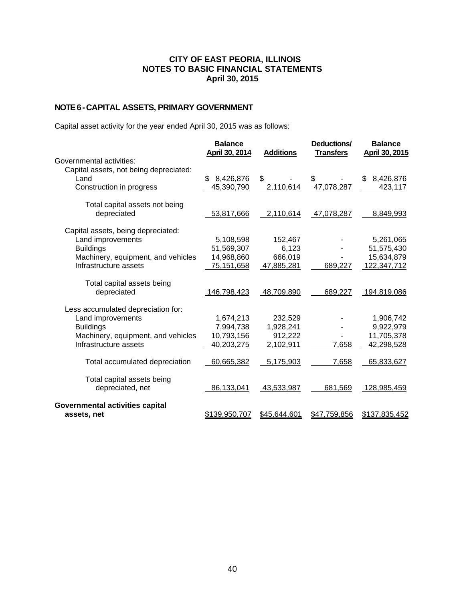# **NOTE 6 - CAPITAL ASSETS, PRIMARY GOVERNMENT**

Capital asset activity for the year ended April 30, 2015 was as follows:

|                                        | <b>Balance</b><br>April 30, 2014 | <b>Additions</b> | Deductions/<br><b>Transfers</b> | <b>Balance</b><br>April 30, 2015 |
|----------------------------------------|----------------------------------|------------------|---------------------------------|----------------------------------|
| Governmental activities:               |                                  |                  |                                 |                                  |
| Capital assets, not being depreciated: |                                  |                  |                                 |                                  |
| Land                                   | 8,426,876<br>\$                  | \$               | \$                              | 8,426,876<br>\$                  |
| Construction in progress               | 45,390,790                       | 2,110,614        | 47,078,287                      | 423,117                          |
| Total capital assets not being         |                                  |                  |                                 |                                  |
| depreciated                            | 53,817,666                       | 2,110,614        | 47,078,287                      | 8,849,993                        |
| Capital assets, being depreciated:     |                                  |                  |                                 |                                  |
| Land improvements                      | 5,108,598                        | 152,467          |                                 | 5,261,065                        |
| <b>Buildings</b>                       | 51,569,307                       | 6,123            |                                 | 51,575,430                       |
| Machinery, equipment, and vehicles     | 14,968,860                       | 666,019          |                                 | 15,634,879                       |
| Infrastructure assets                  | 75,151,658                       | 47,885,281       | 689,227                         | 122,347,712                      |
| Total capital assets being             |                                  |                  |                                 |                                  |
| depreciated                            | 146,798,423                      | 48,709,890       | 689,227                         | 194,819,086                      |
| Less accumulated depreciation for:     |                                  |                  |                                 |                                  |
| Land improvements                      | 1,674,213                        | 232,529          |                                 | 1,906,742                        |
| <b>Buildings</b>                       | 7,994,738                        | 1,928,241        |                                 | 9,922,979                        |
| Machinery, equipment, and vehicles     | 10,793,156                       | 912,222          |                                 | 11,705,378                       |
| Infrastructure assets                  | 40,203,275                       | 2,102,911        | 7,658                           | 42,298,528                       |
| Total accumulated depreciation         | 60,665,382                       | 5,175,903        | 7,658                           | 65,833,627                       |
| Total capital assets being             |                                  |                  |                                 |                                  |
| depreciated, net                       | 86,133,041                       | 43,533,987       | 681,569                         | 128,985,459                      |
| Governmental activities capital        |                                  |                  |                                 |                                  |
| assets, net                            | \$139,950,707                    | \$45,644,601     | \$47,759,856                    | \$137,835,452                    |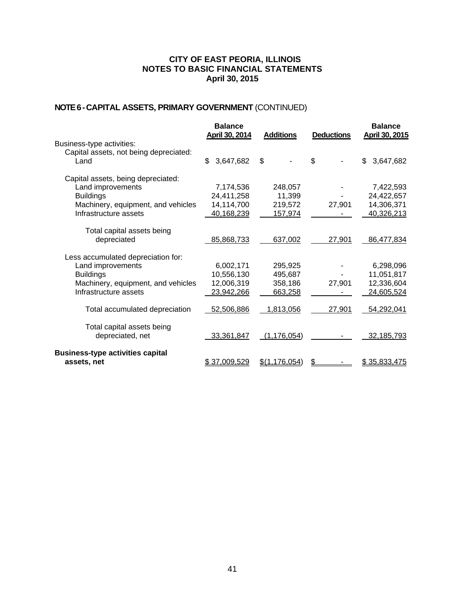# **NOTE 6 - CAPITAL ASSETS, PRIMARY GOVERNMENT** (CONTINUED)

| Business-type activities:                                                                                                                  | <b>Balance</b><br>April 30, 2014                    | <b>Additions</b>                         | <b>Deductions</b> | <b>Balance</b><br>April 30, 2015                    |
|--------------------------------------------------------------------------------------------------------------------------------------------|-----------------------------------------------------|------------------------------------------|-------------------|-----------------------------------------------------|
| Capital assets, not being depreciated:<br>Land                                                                                             | \$<br>3,647,682                                     | \$                                       | \$                | 3,647,682<br>\$                                     |
| Capital assets, being depreciated:<br>Land improvements<br><b>Buildings</b><br>Machinery, equipment, and vehicles<br>Infrastructure assets | 7,174,536<br>24,411,258<br>14,114,700<br>40,168,239 | 248,057<br>11,399<br>219,572<br>157,974  | 27,901            | 7,422,593<br>24,422,657<br>14,306,371<br>40,326,213 |
| Total capital assets being<br>depreciated                                                                                                  | 85,868,733                                          | 637,002                                  | 27,901            | 86,477,834                                          |
| Less accumulated depreciation for:<br>Land improvements<br><b>Buildings</b><br>Machinery, equipment, and vehicles<br>Infrastructure assets | 6,002,171<br>10,556,130<br>12,006,319<br>23,942,266 | 295,925<br>495,687<br>358,186<br>663,258 | 27,901            | 6,298,096<br>11,051,817<br>12,336,604<br>24,605,524 |
| Total accumulated depreciation                                                                                                             | 52,506,886                                          | 1,813,056                                | 27,901            | 54,292,041                                          |
| Total capital assets being<br>depreciated, net                                                                                             | 33,361,847                                          | (1, 176, 054)                            |                   | 32,185,793                                          |
| <b>Business-type activities capital</b><br>assets, net                                                                                     | \$37,009,529                                        | \$(1, 176, 054)                          | \$                | \$35,833,475                                        |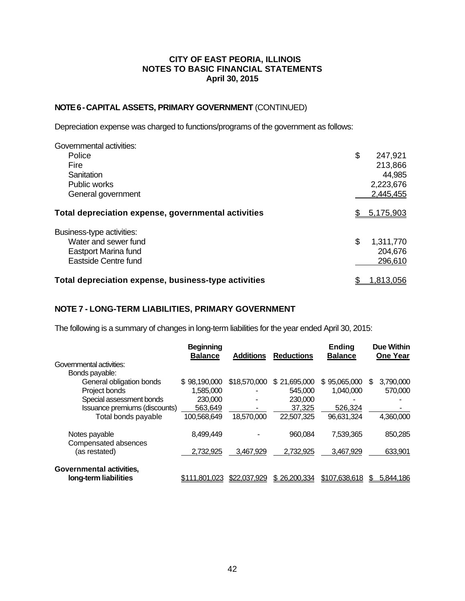### **NOTE 6 - CAPITAL ASSETS, PRIMARY GOVERNMENT** (CONTINUED)

Depreciation expense was charged to functions/programs of the government as follows:

| Governmental activities:                             |                 |
|------------------------------------------------------|-----------------|
| Police                                               | \$<br>247,921   |
| Fire                                                 | 213,866         |
| Sanitation                                           | 44,985          |
| <b>Public works</b>                                  | 2,223,676       |
| General government                                   | 2,445,455       |
| Total depreciation expense, governmental activities  | 5,175,903       |
| Business-type activities:                            |                 |
| Water and sewer fund                                 | \$<br>1,311,770 |
| Eastport Marina fund                                 | 204,676         |
| Eastside Centre fund                                 | 296,610         |
| Total depreciation expense, business-type activities | 1,813,056       |

### **NOTE 7 - LONG-TERM LIABILITIES, PRIMARY GOVERNMENT**

The following is a summary of changes in long-term liabilities for the year ended April 30, 2015:

|                                                   | <b>Beginning</b><br><b>Balance</b> | <b>Additions</b> | <b>Reductions</b> | Ending<br><b>Balance</b> | <b>Due Within</b><br><b>One Year</b> |
|---------------------------------------------------|------------------------------------|------------------|-------------------|--------------------------|--------------------------------------|
| Governmental activities:                          |                                    |                  |                   |                          |                                      |
| Bonds payable:                                    |                                    |                  |                   |                          |                                      |
| General obligation bonds                          | \$98,190,000                       | \$18,570,000     | \$21,695,000      | 95,065,000<br>\$.        | 3,790,000<br>S                       |
| Project bonds                                     | 1.585.000                          |                  | 545,000           | 1.040.000                | 570,000                              |
| Special assessment bonds                          | 230,000                            | ۰                | 230,000           |                          |                                      |
| Issuance premiums (discounts)                     | 563.649                            |                  | 37,325            | 526.324                  |                                      |
| Total bonds payable                               | 100,568,649                        | 18,570,000       | 22,507,325        | 96,631,324               | 4,360,000                            |
| Notes payable<br>Compensated absences             | 8.499.449                          |                  | 960.084           | 7,539,365                | 850,285                              |
| (as restated)                                     | 2,732,925                          | 3,467,929        | 2.732.925         | 3,467,929                | 633,901                              |
| Governmental activities,<br>long-term liabilities | \$111.801.023                      | \$22,037,929     | \$26,200,334      | \$107,638,618            | 5,844,186<br>S                       |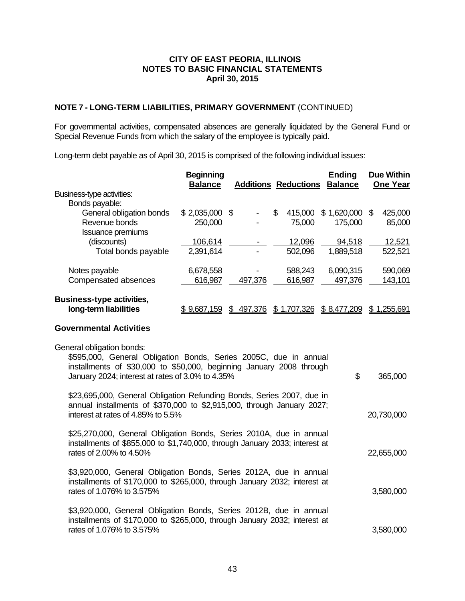## **NOTE 7 - LONG-TERM LIABILITIES, PRIMARY GOVERNMENT** (CONTINUED)

For governmental activities, compensated absences are generally liquidated by the General Fund or Special Revenue Funds from which the salary of the employee is typically paid.

Long-term debt payable as of April 30, 2015 is comprised of the following individual issues:

|                                                           | <b>Beginning</b><br><b>Balance</b> |         | <b>Additions Reductions</b> | <b>Ending</b><br><b>Balance</b> | <b>Due Within</b><br><b>One Year</b> |
|-----------------------------------------------------------|------------------------------------|---------|-----------------------------|---------------------------------|--------------------------------------|
| Business-type activities:                                 |                                    |         |                             |                                 |                                      |
| Bonds payable:                                            |                                    |         |                             |                                 |                                      |
| General obligation bonds                                  | $$2,035,000$ \$                    |         | \$<br>415,000               | 1,620,000<br>\$.                | 425,000<br>\$                        |
| Revenue bonds                                             | 250,000                            |         | 75,000                      | 175,000                         | 85,000                               |
| <b>Issuance premiums</b>                                  |                                    |         |                             |                                 |                                      |
| (discounts)                                               | 106,614                            |         | 12,096                      | 94,518                          | 12,521                               |
| Total bonds payable                                       | 2,391,614                          |         | 502,096                     | 1,889,518                       | 522,521                              |
| Notes payable                                             | 6,678,558                          |         | 588,243                     | 6,090,315                       | 590,069                              |
| Compensated absences                                      | 616,987                            | 497,376 | 616,987                     | 497,376                         | 143,101                              |
| <b>Business-type activities,</b><br>long-term liabilities | <u>\$9,687,159</u>                 | 497,376 | ,707,326<br>S               | \$ 8,477,209                    | <u>.255,691</u><br>\$                |
|                                                           |                                    |         |                             |                                 |                                      |

### **Governmental Activities**

|            | General obligation bonds:                                                                                                                                                                          |
|------------|----------------------------------------------------------------------------------------------------------------------------------------------------------------------------------------------------|
| 365,000    | \$<br>\$595,000, General Obligation Bonds, Series 2005C, due in annual<br>installments of \$30,000 to \$50,000, beginning January 2008 through<br>January 2024; interest at rates of 3.0% to 4.35% |
| 20,730,000 | \$23,695,000, General Obligation Refunding Bonds, Series 2007, due in<br>annual installments of \$370,000 to \$2,915,000, through January 2027;<br>interest at rates of 4.85% to 5.5%              |
| 22,655,000 | \$25,270,000, General Obligation Bonds, Series 2010A, due in annual<br>installments of \$855,000 to \$1,740,000, through January 2033; interest at<br>rates of 2,00% to 4,50%                      |
| 3,580,000  | \$3,920,000, General Obligation Bonds, Series 2012A, due in annual<br>installments of \$170,000 to \$265,000, through January 2032; interest at<br>rates of 1.076% to 3.575%                       |
| 3,580,000  | \$3,920,000, General Obligation Bonds, Series 2012B, due in annual<br>installments of \$170,000 to \$265,000, through January 2032; interest at<br>rates of 1.076% to 3.575%                       |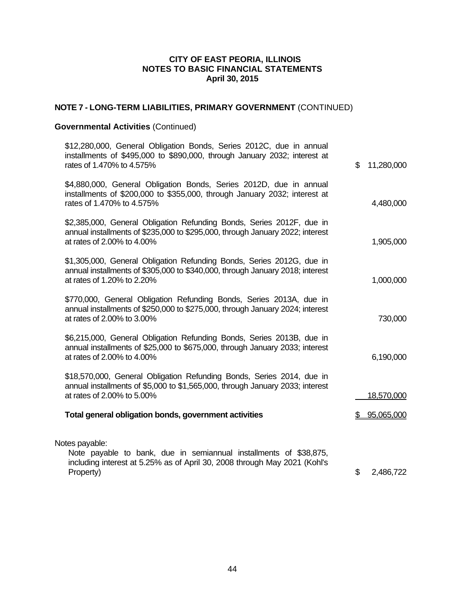# **NOTE 7 - LONG-TERM LIABILITIES, PRIMARY GOVERNMENT** (CONTINUED)

# **Governmental Activities** (Continued)

| \$12,280,000, General Obligation Bonds, Series 2012C, due in annual<br>installments of \$495,000 to \$890,000, through January 2032; interest at<br>rates of 1.470% to 4.575%        | \$<br>11,280,000 |
|--------------------------------------------------------------------------------------------------------------------------------------------------------------------------------------|------------------|
| \$4,880,000, General Obligation Bonds, Series 2012D, due in annual<br>installments of \$200,000 to \$355,000, through January 2032; interest at<br>rates of 1.470% to 4.575%         | 4,480,000        |
| \$2,385,000, General Obligation Refunding Bonds, Series 2012F, due in<br>annual installments of \$235,000 to \$295,000, through January 2022; interest<br>at rates of 2.00% to 4.00% | 1,905,000        |
| \$1,305,000, General Obligation Refunding Bonds, Series 2012G, due in<br>annual installments of \$305,000 to \$340,000, through January 2018; interest<br>at rates of 1.20% to 2.20% | 1,000,000        |
| \$770,000, General Obligation Refunding Bonds, Series 2013A, due in<br>annual installments of \$250,000 to \$275,000, through January 2024; interest<br>at rates of 2.00% to 3.00%   | 730,000          |
| \$6,215,000, General Obligation Refunding Bonds, Series 2013B, due in<br>annual installments of \$25,000 to \$675,000, through January 2033; interest<br>at rates of 2.00% to 4.00%  | 6,190,000        |
| \$18,570,000, General Obligation Refunding Bonds, Series 2014, due in<br>annual installments of \$5,000 to \$1,565,000, through January 2033; interest<br>at rates of 2.00% to 5.00% | 18,570,000       |
| Total general obligation bonds, government activities                                                                                                                                | 95,065,000       |
| Notes payable:<br>Note payable to bank, due in semiannual installments of \$38,875,<br>including interest at 5.25% as of April 30, 2008 through May 2021 (Kohl's<br>Property)        | \$<br>2,486,722  |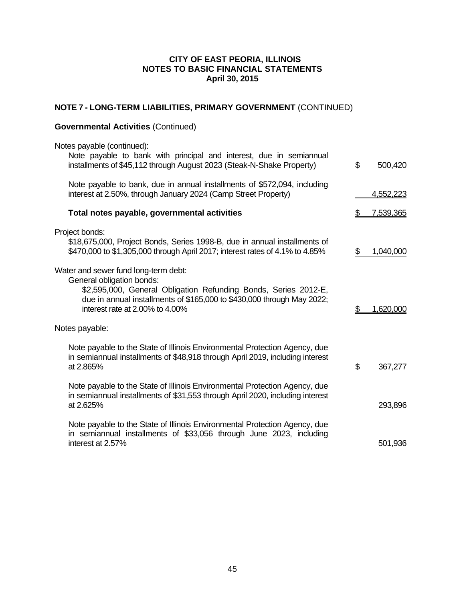# **NOTE 7 - LONG-TERM LIABILITIES, PRIMARY GOVERNMENT** (CONTINUED)

# **Governmental Activities** (Continued)

| Notes payable (continued):<br>Note payable to bank with principal and interest, due in semiannual                                                                                                                                                 |    |           |
|---------------------------------------------------------------------------------------------------------------------------------------------------------------------------------------------------------------------------------------------------|----|-----------|
| installments of \$45,112 through August 2023 (Steak-N-Shake Property)                                                                                                                                                                             | \$ | 500,420   |
| Note payable to bank, due in annual installments of \$572,094, including<br>interest at 2.50%, through January 2024 (Camp Street Property)                                                                                                        |    | 4,552,223 |
| Total notes payable, governmental activities                                                                                                                                                                                                      |    | 7,539,365 |
| Project bonds:<br>\$18,675,000, Project Bonds, Series 1998-B, due in annual installments of<br>\$470,000 to \$1,305,000 through April 2017; interest rates of 4.1% to 4.85%                                                                       | S  | 1,040,000 |
| Water and sewer fund long-term debt:<br>General obligation bonds:<br>\$2,595,000, General Obligation Refunding Bonds, Series 2012-E,<br>due in annual installments of \$165,000 to \$430,000 through May 2022;<br>interest rate at 2.00% to 4.00% | \$ | 1,620,000 |
| Notes payable:                                                                                                                                                                                                                                    |    |           |
| Note payable to the State of Illinois Environmental Protection Agency, due<br>in semiannual installments of \$48,918 through April 2019, including interest<br>at 2.865%                                                                          | \$ | 367,277   |
| Note payable to the State of Illinois Environmental Protection Agency, due<br>in semiannual installments of \$31,553 through April 2020, including interest<br>at 2.625%                                                                          |    | 293,896   |
| Note payable to the State of Illinois Environmental Protection Agency, due<br>in semiannual installments of \$33,056 through June 2023, including<br>interest at 2.57%                                                                            |    | 501,936   |
|                                                                                                                                                                                                                                                   |    |           |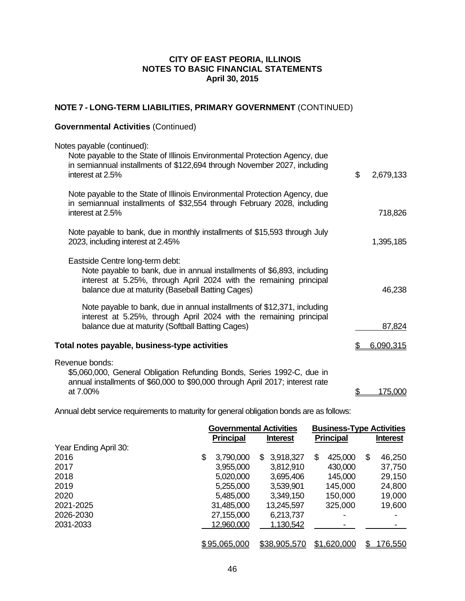# **NOTE 7 - LONG-TERM LIABILITIES, PRIMARY GOVERNMENT** (CONTINUED)

## **Governmental Activities** (Continued)

| Notes payable (continued):<br>Note payable to the State of Illinois Environmental Protection Agency, due<br>in semiannual installments of \$122,694 through November 2027, including<br>interest at 2.5%                            | \$<br>2,679,133 |
|-------------------------------------------------------------------------------------------------------------------------------------------------------------------------------------------------------------------------------------|-----------------|
| Note payable to the State of Illinois Environmental Protection Agency, due<br>in semiannual installments of \$32,554 through February 2028, including<br>interest at 2.5%                                                           | 718,826         |
| Note payable to bank, due in monthly installments of \$15,593 through July<br>2023, including interest at 2.45%                                                                                                                     | 1,395,185       |
| Eastside Centre long-term debt:<br>Note payable to bank, due in annual installments of \$6,893, including<br>interest at 5.25%, through April 2024 with the remaining principal<br>balance due at maturity (Baseball Batting Cages) | 46,238          |
| Note payable to bank, due in annual installments of \$12,371, including<br>interest at 5.25%, through April 2024 with the remaining principal<br>balance due at maturity (Softball Batting Cages)                                   | 87,824          |
| Total notes payable, business-type activities                                                                                                                                                                                       | 6,090,315       |
| Revenue bonds:<br>\$5,060,000, General Obligation Refunding Bonds, Series 1992-C, due in<br>annual installments of \$60,000 to \$90,000 through April 2017; interest rate<br>at 7.00%                                               | 175.000         |
|                                                                                                                                                                                                                                     |                 |

Annual debt service requirements to maturity for general obligation bonds are as follows:

|                       | <b>Governmental Activities</b> |                  |     | <b>Business-Type Activities</b> |   |                  |    |                 |
|-----------------------|--------------------------------|------------------|-----|---------------------------------|---|------------------|----|-----------------|
|                       |                                | <b>Principal</b> |     | <b>Interest</b>                 |   | <b>Principal</b> |    | <b>Interest</b> |
| Year Ending April 30: |                                |                  |     |                                 |   |                  |    |                 |
| 2016                  | \$                             | 3,790,000        | \$. | 3,918,327                       | S | 425,000          | \$ | 46,250          |
| 2017                  |                                | 3,955,000        |     | 3,812,910                       |   | 430,000          |    | 37,750          |
| 2018                  |                                | 5,020,000        |     | 3,695,406                       |   | 145,000          |    | 29,150          |
| 2019                  |                                | 5,255,000        |     | 3,539,901                       |   | 145,000          |    | 24,800          |
| 2020                  |                                | 5,485,000        |     | 3,349,150                       |   | 150,000          |    | 19,000          |
| 2021-2025             |                                | 31,485,000       |     | 13,245,597                      |   | 325,000          |    | 19,600          |
| 2026-2030             |                                | 27,155,000       |     | 6,213,737                       |   |                  |    |                 |
| 2031-2033             |                                | 12,960,000       |     | 1,130,542                       |   |                  |    |                 |
|                       |                                |                  |     |                                 |   |                  |    |                 |
|                       |                                | \$95,065,000     |     | \$38,905,570                    |   | \$1,620,000      | S  | 176,550         |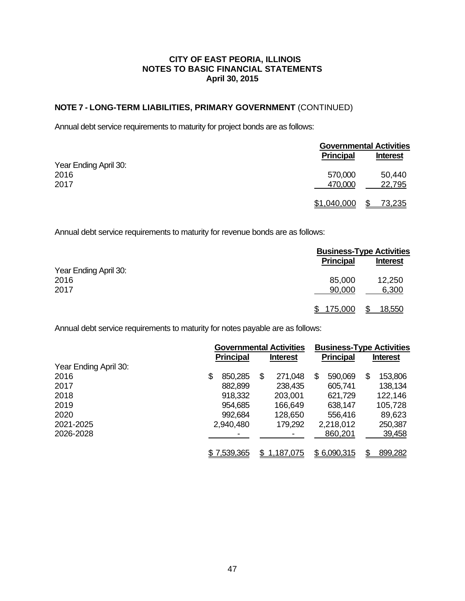## **NOTE 7 - LONG-TERM LIABILITIES, PRIMARY GOVERNMENT** (CONTINUED)

Annual debt service requirements to maturity for project bonds are as follows:

|                       |                  | <b>Governmental Activities</b> |  |  |
|-----------------------|------------------|--------------------------------|--|--|
|                       | <b>Principal</b> | <b>Interest</b>                |  |  |
| Year Ending April 30: |                  |                                |  |  |
| 2016                  | 570,000          | 50,440                         |  |  |
| 2017                  | 470,000          | 22,795                         |  |  |
|                       | \$1,040,000      | \$<br>73,235                   |  |  |

Annual debt service requirements to maturity for revenue bonds are as follows:

|                       |                  | <b>Business-Type Activities</b> |  |  |
|-----------------------|------------------|---------------------------------|--|--|
|                       | <b>Principal</b> | <b>Interest</b>                 |  |  |
| Year Ending April 30: |                  |                                 |  |  |
| 2016                  | 85,000           | 12,250                          |  |  |
| 2017                  | 90,000           | 6,300                           |  |  |
|                       | 175,000          | <u>18,550</u>                   |  |  |

Annual debt service requirements to maturity for notes payable are as follows:

|                       | <b>Governmental Activities</b> |                 | <b>Business-Type Activities</b> |                 |  |
|-----------------------|--------------------------------|-----------------|---------------------------------|-----------------|--|
|                       | <b>Principal</b>               | <b>Interest</b> | <b>Principal</b>                | <b>Interest</b> |  |
| Year Ending April 30: |                                |                 |                                 |                 |  |
| 2016                  | \$<br>850,285                  | \$<br>271,048   | 590,069<br>\$.                  | \$<br>153,806   |  |
| 2017                  | 882,899                        | 238,435         | 605,741                         | 138,134         |  |
| 2018                  | 918,332                        | 203,001         | 621,729                         | 122,146         |  |
| 2019                  | 954,685                        | 166,649         | 638,147                         | 105,728         |  |
| 2020                  | 992,684                        | 128,650         | 556,416                         | 89,623          |  |
| 2021-2025             | 2,940,480                      | 179,292         | 2,218,012                       | 250,387         |  |
| 2026-2028             |                                |                 | 860,201                         | 39,458          |  |
|                       | \$7,539,365                    | 1,187,075       | \$6,090,315                     | 899,282         |  |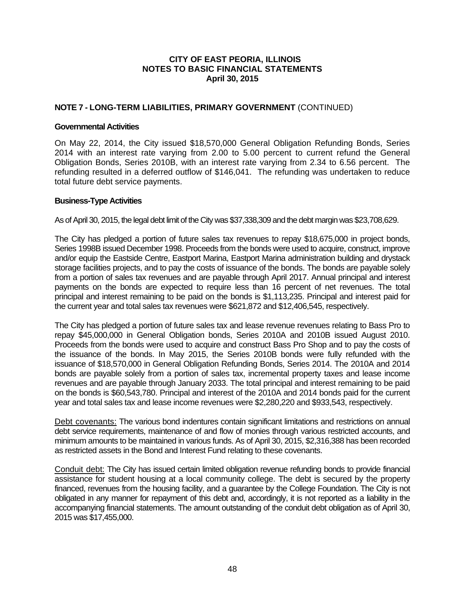### **NOTE 7 - LONG-TERM LIABILITIES, PRIMARY GOVERNMENT** (CONTINUED)

### **Governmental Activities**

On May 22, 2014, the City issued \$18,570,000 General Obligation Refunding Bonds, Series 2014 with an interest rate varying from 2.00 to 5.00 percent to current refund the General Obligation Bonds, Series 2010B, with an interest rate varying from 2.34 to 6.56 percent. The refunding resulted in a deferred outflow of \$146,041. The refunding was undertaken to reduce total future debt service payments.

### **Business-Type Activities**

As of April 30, 2015, the legal debt limit of the City was \$37,338,309 and the debt margin was \$23,708,629.

The City has pledged a portion of future sales tax revenues to repay \$18,675,000 in project bonds, Series 1998B issued December 1998. Proceeds from the bonds were used to acquire, construct, improve and/or equip the Eastside Centre, Eastport Marina, Eastport Marina administration building and drystack storage facilities projects, and to pay the costs of issuance of the bonds. The bonds are payable solely from a portion of sales tax revenues and are payable through April 2017. Annual principal and interest payments on the bonds are expected to require less than 16 percent of net revenues. The total principal and interest remaining to be paid on the bonds is \$1,113,235. Principal and interest paid for the current year and total sales tax revenues were \$621,872 and \$12,406,545, respectively.

The City has pledged a portion of future sales tax and lease revenue revenues relating to Bass Pro to repay \$45,000,000 in General Obligation bonds, Series 2010A and 2010B issued August 2010. Proceeds from the bonds were used to acquire and construct Bass Pro Shop and to pay the costs of the issuance of the bonds. In May 2015, the Series 2010B bonds were fully refunded with the issuance of \$18,570,000 in General Obligation Refunding Bonds, Series 2014. The 2010A and 2014 bonds are payable solely from a portion of sales tax, incremental property taxes and lease income revenues and are payable through January 2033. The total principal and interest remaining to be paid on the bonds is \$60,543,780. Principal and interest of the 2010A and 2014 bonds paid for the current year and total sales tax and lease income revenues were \$2,280,220 and \$933,543, respectively.

Debt covenants: The various bond indentures contain significant limitations and restrictions on annual debt service requirements, maintenance of and flow of monies through various restricted accounts, and minimum amounts to be maintained in various funds. As of April 30, 2015, \$2,316,388 has been recorded as restricted assets in the Bond and Interest Fund relating to these covenants.

Conduit debt: The City has issued certain limited obligation revenue refunding bonds to provide financial assistance for student housing at a local community college. The debt is secured by the property financed, revenues from the housing facility, and a guarantee by the College Foundation. The City is not obligated in any manner for repayment of this debt and, accordingly, it is not reported as a liability in the accompanying financial statements. The amount outstanding of the conduit debt obligation as of April 30, 2015 was \$17,455,000.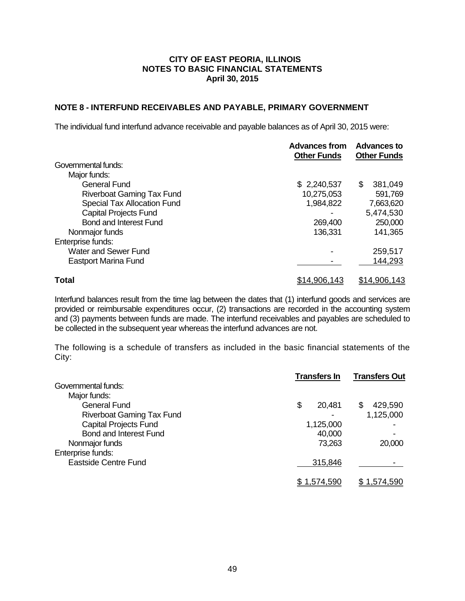### **NOTE 8 - INTERFUND RECEIVABLES AND PAYABLE, PRIMARY GOVERNMENT**

The individual fund interfund advance receivable and payable balances as of April 30, 2015 were:

|                                  | <b>Advances from</b><br><b>Other Funds</b> | <b>Advances to</b><br><b>Other Funds</b> |
|----------------------------------|--------------------------------------------|------------------------------------------|
| Governmental funds:              |                                            |                                          |
| Major funds:                     |                                            |                                          |
| <b>General Fund</b>              | \$2,240,537                                | 381,049<br>S                             |
| <b>Riverboat Gaming Tax Fund</b> | 10,275,053                                 | 591,769                                  |
| Special Tax Allocation Fund      | 1,984,822                                  | 7,663,620                                |
| <b>Capital Projects Fund</b>     |                                            | 5,474,530                                |
| <b>Bond and Interest Fund</b>    | 269,400                                    | 250,000                                  |
| Nonmajor funds                   | 136,331                                    | 141,365                                  |
| Enterprise funds:                |                                            |                                          |
| <b>Water and Sewer Fund</b>      |                                            | 259,517                                  |
| <b>Eastport Marina Fund</b>      |                                            | 144,293                                  |
| Total                            | \$14,906,143                               | \$14,906,143                             |

Interfund balances result from the time lag between the dates that (1) interfund goods and services are provided or reimbursable expenditures occur, (2) transactions are recorded in the accounting system and (3) payments between funds are made. The interfund receivables and payables are scheduled to be collected in the subsequent year whereas the interfund advances are not.

The following is a schedule of transfers as included in the basic financial statements of the City:

|                                  | <b>Transfers In</b> | <b>Transfers Out</b> |
|----------------------------------|---------------------|----------------------|
| Governmental funds:              |                     |                      |
| Major funds:                     |                     |                      |
| <b>General Fund</b>              | \$<br>20,481        | 429,590              |
| <b>Riverboat Gaming Tax Fund</b> |                     | 1,125,000            |
| <b>Capital Projects Fund</b>     | 1,125,000           |                      |
| <b>Bond and Interest Fund</b>    | 40,000              |                      |
| Nonmajor funds                   | 73,263              | 20,000               |
| Enterprise funds:                |                     |                      |
| Eastside Centre Fund             | 315,846             |                      |
|                                  | \$ 1.574.590        | \$1.574.590          |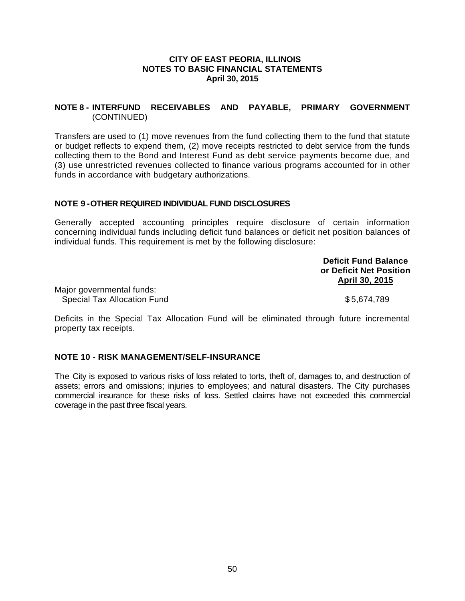### **NOTE 8 - INTERFUND RECEIVABLES AND PAYABLE, PRIMARY GOVERNMENT** (CONTINUED)

Transfers are used to (1) move revenues from the fund collecting them to the fund that statute or budget reflects to expend them, (2) move receipts restricted to debt service from the funds collecting them to the Bond and Interest Fund as debt service payments become due, and (3) use unrestricted revenues collected to finance various programs accounted for in other funds in accordance with budgetary authorizations.

### **NOTE 9 - OTHER REQUIRED INDIVIDUAL FUND DISCLOSURES**

Generally accepted accounting principles require disclosure of certain information concerning individual funds including deficit fund balances or deficit net position balances of individual funds. This requirement is met by the following disclosure:

> **Deficit Fund Balance or Deficit Net Position April 30, 2015**

Major governmental funds: Special Tax Allocation Fund \$ 5,674,789

Deficits in the Special Tax Allocation Fund will be eliminated through future incremental property tax receipts.

#### **NOTE 10 - RISK MANAGEMENT/SELF-INSURANCE**

The City is exposed to various risks of loss related to torts, theft of, damages to, and destruction of assets; errors and omissions; injuries to employees; and natural disasters. The City purchases commercial insurance for these risks of loss. Settled claims have not exceeded this commercial coverage in the past three fiscal years.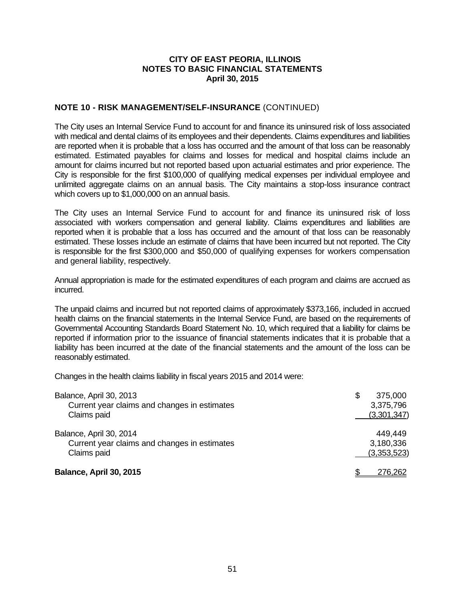### **NOTE 10 - RISK MANAGEMENT/SELF-INSURANCE** (CONTINUED)

The City uses an Internal Service Fund to account for and finance its uninsured risk of loss associated with medical and dental claims of its employees and their dependents. Claims expenditures and liabilities are reported when it is probable that a loss has occurred and the amount of that loss can be reasonably estimated. Estimated payables for claims and losses for medical and hospital claims include an amount for claims incurred but not reported based upon actuarial estimates and prior experience. The City is responsible for the first \$100,000 of qualifying medical expenses per individual employee and unlimited aggregate claims on an annual basis. The City maintains a stop-loss insurance contract which covers up to \$1,000,000 on an annual basis.

The City uses an Internal Service Fund to account for and finance its uninsured risk of loss associated with workers compensation and general liability. Claims expenditures and liabilities are reported when it is probable that a loss has occurred and the amount of that loss can be reasonably estimated. These losses include an estimate of claims that have been incurred but not reported. The City is responsible for the first \$300,000 and \$50,000 of qualifying expenses for workers compensation and general liability, respectively.

Annual appropriation is made for the estimated expenditures of each program and claims are accrued as incurred.

The unpaid claims and incurred but not reported claims of approximately \$373,166, included in accrued health claims on the financial statements in the Internal Service Fund, are based on the requirements of Governmental Accounting Standards Board Statement No. 10, which required that a liability for claims be reported if information prior to the issuance of financial statements indicates that it is probable that a liability has been incurred at the date of the financial statements and the amount of the loss can be reasonably estimated.

Changes in the health claims liability in fiscal years 2015 and 2014 were:

| Balance, April 30, 2013<br>Current year claims and changes in estimates<br>Claims paid | \$<br>375,000<br>3,375,796<br>(3,301,347) |  |
|----------------------------------------------------------------------------------------|-------------------------------------------|--|
| Balance, April 30, 2014<br>Current year claims and changes in estimates<br>Claims paid | 449.449<br>3,180,336<br>(3,353,523)       |  |
| Balance, April 30, 2015                                                                | 276.262                                   |  |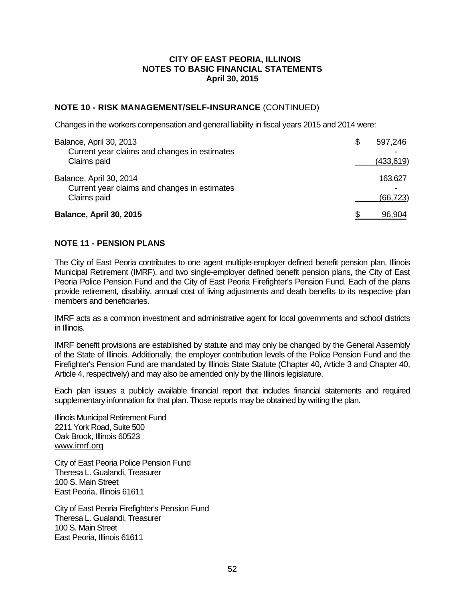### **NOTE 10 - RISK MANAGEMENT/SELF-INSURANCE** (CONTINUED)

Changes in the workers compensation and general liability in fiscal years 2015 and 2014 were:

| Balance, April 30, 2013<br>Current year claims and changes in estimates | S | 597,246    |
|-------------------------------------------------------------------------|---|------------|
| Claims paid                                                             |   | (433, 619) |
| Balance, April 30, 2014<br>Current year claims and changes in estimates |   | 163,627    |
| Claims paid                                                             |   | (66, 723)  |
| Balance, April 30, 2015                                                 |   | 96,904     |

### **NOTE 11 - PENSION PLANS**

The City of East Peoria contributes to one agent multiple-employer defined benefit pension plan, Illinois Municipal Retirement (IMRF), and two single-employer defined benefit pension plans, the City of East Peoria Police Pension Fund and the City of East Peoria Firefighter's Pension Fund. Each of the plans provide retirement, disability, annual cost of living adjustments and death benefits to its respective plan members and beneficiaries.

IMRF acts as a common investment and administrative agent for local governments and school districts in Illinois.

IMRF benefit provisions are established by statute and may only be changed by the General Assembly of the State of Illinois. Additionally, the employer contribution levels of the Police Pension Fund and the Firefighter's Pension Fund are mandated by Illinois State Statute (Chapter 40, Article 3 and Chapter 40, Article 4, respectively) and may also be amended only by the Illinois legislature.

Each plan issues a publicly available financial report that includes financial statements and required supplementary information for that plan. Those reports may be obtained by writing the plan.

Illinois Municipal Retirement Fund 2211 York Road, Suite 500 Oak Brook, Illinois 60523 www.imrf.orq

City of East Peoria Police Pension Fund Theresa L. Gualandi, Treasurer 100 S. Main Street East Peoria, Illinois 61611

City of East Peoria Firefighter's Pension Fund Theresa L. Gualandi, Treasurer 100 S. Main Street East Peoria, Illinois 61611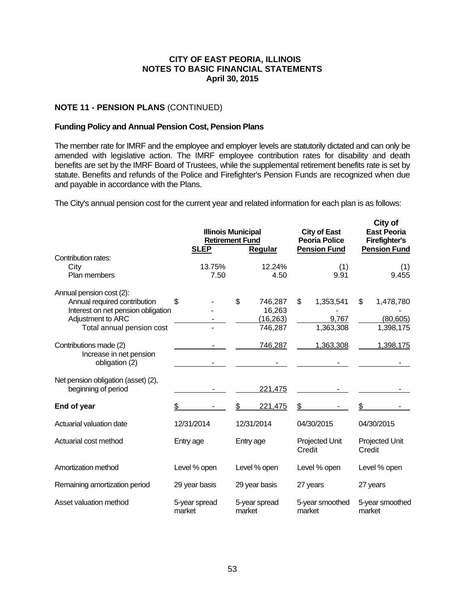### **NOTE 11 - PENSION PLANS** (CONTINUED)

#### **Funding Policy and Annual Pension Cost, Pension Plans**

The member rate for IMRF and the employee and employer levels are statutorily dictated and can only be amended with legislative action. The IMRF employee contribution rates for disability and death benefits are set by the IMRF Board of Trustees, while the supplemental retirement benefits rate is set by statute. Benefits and refunds of the Police and Firefighter's Pension Funds are recognized when due and payable in accordance with the Plans.

The City's annual pension cost for the current year and related information for each plan is as follows:

|                                                                                                                                                  | <b>SLEP</b>             | <b>Illinois Municipal</b><br><b>Retirement Fund</b><br>Regular | <b>City of East</b><br><b>Peoria Police</b><br><b>Pension Fund</b> | City of<br><b>East Peoria</b><br><b>Firefighter's</b><br><b>Pension Fund</b> |
|--------------------------------------------------------------------------------------------------------------------------------------------------|-------------------------|----------------------------------------------------------------|--------------------------------------------------------------------|------------------------------------------------------------------------------|
| Contribution rates:<br>City<br>Plan members                                                                                                      | 13.75%<br>7.50          | 12.24%<br>4.50                                                 | (1)<br>9.91                                                        | (1)<br>9.455                                                                 |
| Annual pension cost (2):<br>Annual required contribution<br>Interest on net pension obligation<br>Adjustment to ARC<br>Total annual pension cost | \$                      | \$<br>746,287<br>16,263<br>(16, 263)<br>746,287                | \$<br>1,353,541<br>9,767<br>1,363,308                              | \$<br>1,478,780<br>(80, 605)<br>1,398,175                                    |
| Contributions made (2)<br>Increase in net pension<br>obligation (2)                                                                              |                         | 746,287                                                        | 1,363,308                                                          | 1,398,175                                                                    |
| Net pension obligation (asset) (2),<br>beginning of period                                                                                       |                         | 221,475                                                        |                                                                    |                                                                              |
| End of year                                                                                                                                      | \$                      | \$<br>221,475                                                  | \$                                                                 |                                                                              |
| Actuarial valuation date                                                                                                                         | 12/31/2014              | 12/31/2014                                                     | 04/30/2015                                                         | 04/30/2015                                                                   |
| Actuarial cost method                                                                                                                            | Entry age               | Entry age                                                      | Projected Unit<br>Credit                                           | Projected Unit<br>Credit                                                     |
| Amortization method                                                                                                                              | Level % open            | Level % open                                                   | Level % open                                                       | Level % open                                                                 |
| Remaining amortization period                                                                                                                    | 29 year basis           | 29 year basis                                                  | 27 years                                                           | 27 years                                                                     |
| Asset valuation method                                                                                                                           | 5-year spread<br>market | 5-year spread<br>market                                        | 5-year smoothed<br>market                                          | 5-year smoothed<br>market                                                    |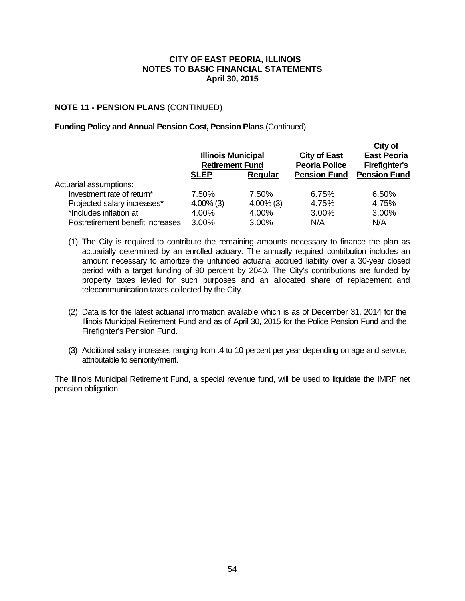### **NOTE 11 - PENSION PLANS** (CONTINUED)

#### **Funding Policy and Annual Pension Cost, Pension Plans** (Continued)

|                                  | <b>Illinois Municipal</b><br><b>Retirement Fund</b> |              | <b>City of East</b><br><b>Peoria Police</b> | City of<br><b>East Peoria</b><br><b>Firefighter's</b> |
|----------------------------------|-----------------------------------------------------|--------------|---------------------------------------------|-------------------------------------------------------|
|                                  | <b>SLEP</b>                                         | Regular      | <b>Pension Fund</b>                         | <b>Pension Fund</b>                                   |
| Actuarial assumptions:           |                                                     |              |                                             |                                                       |
| Investment rate of return*       | 7.50%                                               | 7.50%        | 6.75%                                       | 6.50%                                                 |
| Projected salary increases*      | $4.00\%$ (3)                                        | $4.00\%$ (3) | 4.75%                                       | 4.75%                                                 |
| *Includes inflation at           | 4.00%                                               | 4.00%        | 3.00%                                       | 3.00%                                                 |
| Postretirement benefit increases | 3.00%                                               | 3.00%        | N/A                                         | N/A                                                   |

- (1) The City is required to contribute the remaining amounts necessary to finance the plan as actuarially determined by an enrolled actuary. The annually required contribution includes an amount necessary to amortize the unfunded actuarial accrued liability over a 30-year closed period with a target funding of 90 percent by 2040. The City's contributions are funded by property taxes levied for such purposes and an allocated share of replacement and telecommunication taxes collected by the City.
- (2) Data is for the latest actuarial information available which is as of December 31, 2014 for the Illinois Municipal Retirement Fund and as of April 30, 2015 for the Police Pension Fund and the Firefighter's Pension Fund.
- (3) Additional salary increases ranging from .4 to 10 percent per year depending on age and service, attributable to seniority/merit.

The Illinois Municipal Retirement Fund, a special revenue fund, will be used to liquidate the IMRF net pension obligation.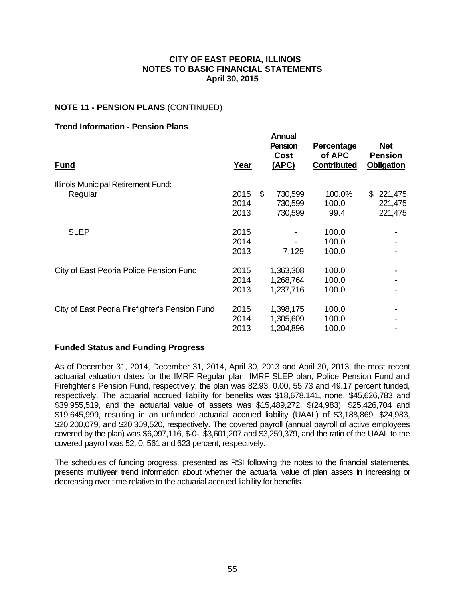### **NOTE 11 - PENSION PLANS** (CONTINUED)

### **Trend Information - Pension Plans**

| <b>Fund</b>                                    | Year | <b>Annual</b><br><b>Pension</b><br>Cost<br>(APC) | Percentage<br>of APC<br><b>Contributed</b> | <b>Net</b><br><b>Pension</b><br><b>Obligation</b> |
|------------------------------------------------|------|--------------------------------------------------|--------------------------------------------|---------------------------------------------------|
| Illinois Municipal Retirement Fund:            |      |                                                  |                                            |                                                   |
| Regular                                        | 2015 | \$<br>730,599                                    | 100.0%                                     | \$<br>221,475                                     |
|                                                | 2014 | 730,599                                          | 100.0                                      | 221,475                                           |
|                                                | 2013 | 730,599                                          | 99.4                                       | 221,475                                           |
| <b>SLEP</b>                                    | 2015 |                                                  | 100.0                                      |                                                   |
|                                                | 2014 |                                                  | 100.0                                      |                                                   |
|                                                | 2013 | 7,129                                            | 100.0                                      |                                                   |
| City of East Peoria Police Pension Fund        | 2015 | 1,363,308                                        | 100.0                                      |                                                   |
|                                                | 2014 | 1,268,764                                        | 100.0                                      |                                                   |
|                                                | 2013 | 1,237,716                                        | 100.0                                      |                                                   |
| City of East Peoria Firefighter's Pension Fund | 2015 | 1,398,175                                        | 100.0                                      |                                                   |
|                                                | 2014 | 1,305,609                                        | 100.0                                      |                                                   |
|                                                | 2013 | 1,204,896                                        | 100.0                                      |                                                   |
|                                                |      |                                                  |                                            |                                                   |

#### **Funded Status and Funding Progress**

As of December 31, 2014, December 31, 2014, April 30, 2013 and April 30, 2013, the most recent actuarial valuation dates for the IMRF Regular plan, IMRF SLEP plan, Police Pension Fund and Firefighter's Pension Fund, respectively, the plan was 82.93, 0.00, 55.73 and 49.17 percent funded, respectively. The actuarial accrued liability for benefits was \$18,678,141, none, \$45,626,783 and \$39,955,519, and the actuarial value of assets was \$15,489,272, \$(24,983), \$25,426,704 and \$19,645,999, resulting in an unfunded actuarial accrued liability (UAAL) of \$3,188,869, \$24,983, \$20,200,079, and \$20,309,520, respectively. The covered payroll (annual payroll of active employees covered by the plan) was \$6,097,116, \$-0-, \$3,601,207 and \$3,259,379, and the ratio of the UAAL to the covered payroll was 52, 0, 561 and 623 percent, respectively.

The schedules of funding progress, presented as RSI following the notes to the financial statements, presents multiyear trend information about whether the actuarial value of plan assets in increasing or decreasing over time relative to the actuarial accrued liability for benefits.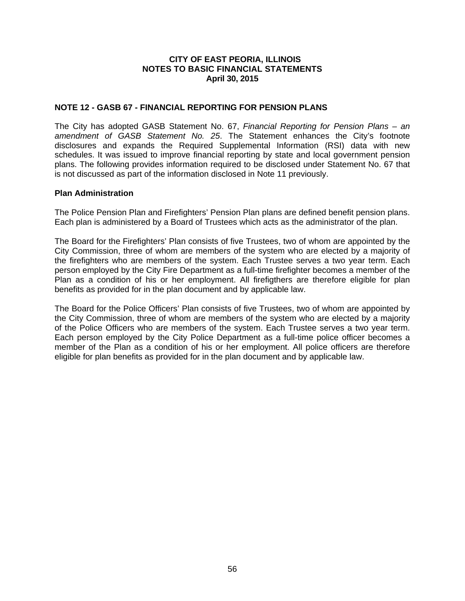### **NOTE 12 - GASB 67 - FINANCIAL REPORTING FOR PENSION PLANS**

The City has adopted GASB Statement No. 67, *Financial Reporting for Pension Plans – an amendment of GASB Statement No. 25*. The Statement enhances the City's footnote disclosures and expands the Required Supplemental Information (RSI) data with new schedules. It was issued to improve financial reporting by state and local government pension plans. The following provides information required to be disclosed under Statement No. 67 that is not discussed as part of the information disclosed in Note 11 previously.

#### **Plan Administration**

The Police Pension Plan and Firefighters' Pension Plan plans are defined benefit pension plans. Each plan is administered by a Board of Trustees which acts as the administrator of the plan.

The Board for the Firefighters' Plan consists of five Trustees, two of whom are appointed by the City Commission, three of whom are members of the system who are elected by a majority of the firefighters who are members of the system. Each Trustee serves a two year term. Each person employed by the City Fire Department as a full-time firefighter becomes a member of the Plan as a condition of his or her employment. All firefigthers are therefore eligible for plan benefits as provided for in the plan document and by applicable law.

The Board for the Police Officers' Plan consists of five Trustees, two of whom are appointed by the City Commission, three of whom are members of the system who are elected by a majority of the Police Officers who are members of the system. Each Trustee serves a two year term. Each person employed by the City Police Department as a full-time police officer becomes a member of the Plan as a condition of his or her employment. All police officers are therefore eligible for plan benefits as provided for in the plan document and by applicable law.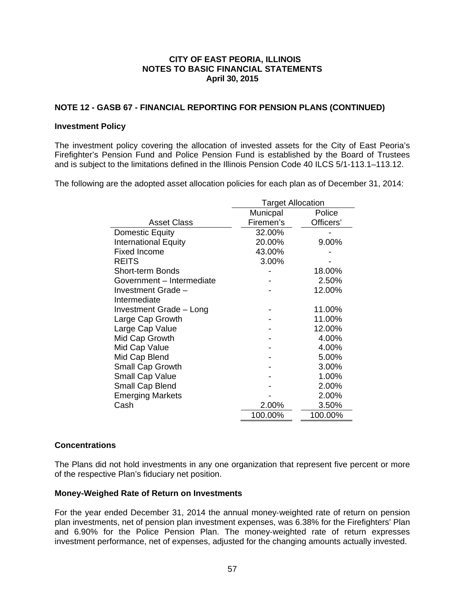### **NOTE 12 - GASB 67 - FINANCIAL REPORTING FOR PENSION PLANS (CONTINUED)**

#### **Investment Policy**

The investment policy covering the allocation of invested assets for the City of East Peoria's Firefighter's Pension Fund and Police Pension Fund is established by the Board of Trustees and is subject to the limitations defined in the Illinois Pension Code 40 ILCS 5/1-113.1–113.12.

The following are the adopted asset allocation policies for each plan as of December 31, 2014:

|                             | <b>Target Allocation</b> |           |  |
|-----------------------------|--------------------------|-----------|--|
|                             | Municpal                 | Police    |  |
| <b>Asset Class</b>          | Firemen's                | Officers' |  |
| Domestic Equity             | 32.00%                   |           |  |
| <b>International Equity</b> | 20.00%                   | 9.00%     |  |
| <b>Fixed Income</b>         | 43.00%                   |           |  |
| <b>REITS</b>                | 3.00%                    |           |  |
| Short-term Bonds            |                          | 18.00%    |  |
| Government - Intermediate   |                          | 2.50%     |  |
| Investment Grade -          |                          | 12.00%    |  |
| Intermediate                |                          |           |  |
| Investment Grade - Long     |                          | 11.00%    |  |
| Large Cap Growth            |                          | 11.00%    |  |
| Large Cap Value             |                          | 12.00%    |  |
| Mid Cap Growth              |                          | 4.00%     |  |
| Mid Cap Value               |                          | 4.00%     |  |
| Mid Cap Blend               |                          | 5.00%     |  |
| <b>Small Cap Growth</b>     |                          | 3.00%     |  |
| Small Cap Value             |                          | 1.00%     |  |
| Small Cap Blend             |                          | 2.00%     |  |
| <b>Emerging Markets</b>     |                          | 2.00%     |  |
| Cash                        | 2.00%                    | 3.50%     |  |
|                             | 100.00%                  | 100.00%   |  |

### **Concentrations**

The Plans did not hold investments in any one organization that represent five percent or more of the respective Plan's fiduciary net position.

#### **Money-Weighed Rate of Return on Investments**

For the year ended December 31, 2014 the annual money‐weighted rate of return on pension plan investments, net of pension plan investment expenses, was 6.38% for the Firefighters' Plan and 6.90% for the Police Pension Plan. The money-weighted rate of return expresses investment performance, net of expenses, adjusted for the changing amounts actually invested.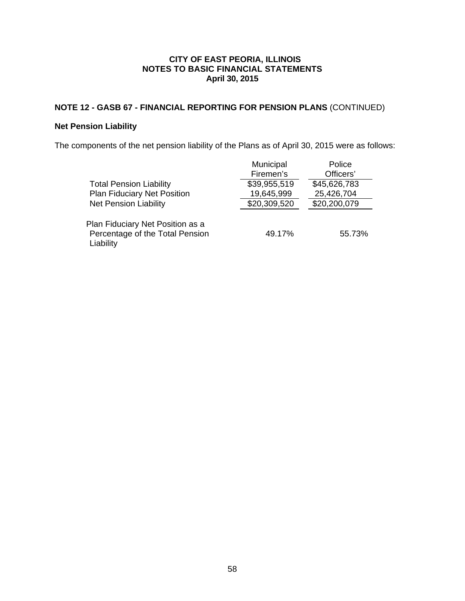## **NOTE 12 - GASB 67 - FINANCIAL REPORTING FOR PENSION PLANS** (CONTINUED)

## **Net Pension Liability**

The components of the net pension liability of the Plans as of April 30, 2015 were as follows:

| <b>Total Pension Liability</b><br><b>Plan Fiduciary Net Position</b><br><b>Net Pension Liability</b> | Municipal<br>Firemen's<br>\$39,955,519<br>19,645,999<br>\$20,309,520 | Police<br>Officers'<br>\$45,626,783<br>25,426,704<br>\$20,200,079 |
|------------------------------------------------------------------------------------------------------|----------------------------------------------------------------------|-------------------------------------------------------------------|
| Plan Fiduciary Net Position as a<br>Percentage of the Total Pension<br>Liability                     | 49.17%                                                               | 55.73%                                                            |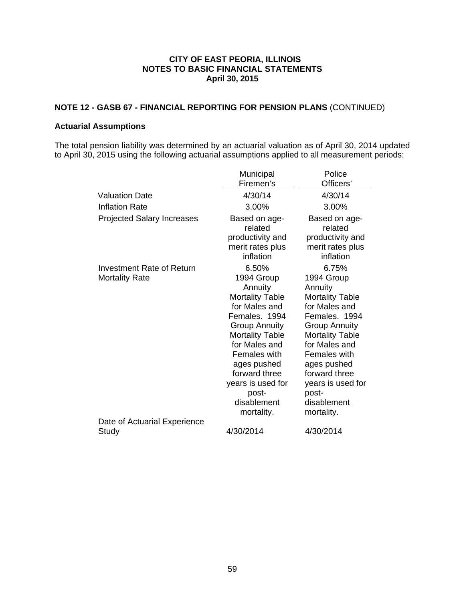## **NOTE 12 - GASB 67 - FINANCIAL REPORTING FOR PENSION PLANS** (CONTINUED)

#### **Actuarial Assumptions**

The total pension liability was determined by an actuarial valuation as of April 30, 2014 updated to April 30, 2015 using the following actuarial assumptions applied to all measurement periods:

|                                                    | Municipal                                                                                                                                                                                                                                                                | Police                                                                                                                                                                                                                                                                          |
|----------------------------------------------------|--------------------------------------------------------------------------------------------------------------------------------------------------------------------------------------------------------------------------------------------------------------------------|---------------------------------------------------------------------------------------------------------------------------------------------------------------------------------------------------------------------------------------------------------------------------------|
|                                                    | Firemen's                                                                                                                                                                                                                                                                | Officers'                                                                                                                                                                                                                                                                       |
| <b>Valuation Date</b>                              | 4/30/14                                                                                                                                                                                                                                                                  | 4/30/14                                                                                                                                                                                                                                                                         |
| <b>Inflation Rate</b>                              | 3.00%                                                                                                                                                                                                                                                                    | 3.00%                                                                                                                                                                                                                                                                           |
| <b>Projected Salary Increases</b>                  | Based on age-<br>related<br>productivity and<br>merit rates plus<br>inflation                                                                                                                                                                                            | Based on age-<br>related<br>productivity and<br>merit rates plus<br>inflation                                                                                                                                                                                                   |
| Investment Rate of Return<br><b>Mortality Rate</b> | 6.50%<br>1994 Group<br>Annuity<br><b>Mortality Table</b><br>for Males and<br>Females, 1994<br><b>Group Annuity</b><br><b>Mortality Table</b><br>for Males and<br>Females with<br>ages pushed<br>forward three<br>years is used for<br>post-<br>disablement<br>mortality. | 6.75%<br>1994 Group<br>Annuity<br><b>Mortality Table</b><br>for Males and<br>Females. 1994<br><b>Group Annuity</b><br><b>Mortality Table</b><br>for Males and<br><b>Females with</b><br>ages pushed<br>forward three<br>years is used for<br>post-<br>disablement<br>mortality. |
| Date of Actuarial Experience<br>Study              | 4/30/2014                                                                                                                                                                                                                                                                | 4/30/2014                                                                                                                                                                                                                                                                       |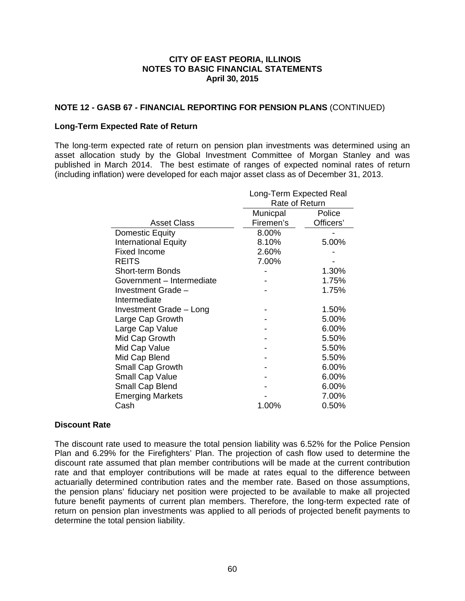### **NOTE 12 - GASB 67 - FINANCIAL REPORTING FOR PENSION PLANS** (CONTINUED)

#### **Long-Term Expected Rate of Return**

The long-term expected rate of return on pension plan investments was determined using an asset allocation study by the Global Investment Committee of Morgan Stanley and was published in March 2014. The best estimate of ranges of expected nominal rates of return (including inflation) were developed for each major asset class as of December 31, 2013.

|                             | Long-Term Expected Real |           |  |
|-----------------------------|-------------------------|-----------|--|
|                             | Rate of Return          |           |  |
|                             | Municpal                | Police    |  |
| <b>Asset Class</b>          | Firemen's               | Officers' |  |
| Domestic Equity             | 8.00%                   |           |  |
| <b>International Equity</b> | 8.10%                   | 5.00%     |  |
| Fixed Income                | 2.60%                   |           |  |
| <b>REITS</b>                | 7.00%                   |           |  |
| <b>Short-term Bonds</b>     |                         | 1.30%     |  |
| Government – Intermediate   |                         | 1.75%     |  |
| Investment Grade -          |                         | 1.75%     |  |
| Intermediate                |                         |           |  |
| Investment Grade - Long     |                         | 1.50%     |  |
| Large Cap Growth            |                         | 5.00%     |  |
| Large Cap Value             |                         | 6.00%     |  |
| Mid Cap Growth              |                         | 5.50%     |  |
| Mid Cap Value               |                         | 5.50%     |  |
| Mid Cap Blend               |                         | 5.50%     |  |
| <b>Small Cap Growth</b>     |                         | 6.00%     |  |
| <b>Small Cap Value</b>      |                         | 6.00%     |  |
| Small Cap Blend             |                         | 6.00%     |  |
| <b>Emerging Markets</b>     |                         | 7.00%     |  |
| Cash                        | 1.00%                   | 0.50%     |  |

#### **Discount Rate**

The discount rate used to measure the total pension liability was 6.52% for the Police Pension Plan and 6.29% for the Firefighters' Plan. The projection of cash flow used to determine the discount rate assumed that plan member contributions will be made at the current contribution rate and that employer contributions will be made at rates equal to the difference between actuarially determined contribution rates and the member rate. Based on those assumptions, the pension plans' fiduciary net position were projected to be available to make all projected future benefit payments of current plan members. Therefore, the long-term expected rate of return on pension plan investments was applied to all periods of projected benefit payments to determine the total pension liability.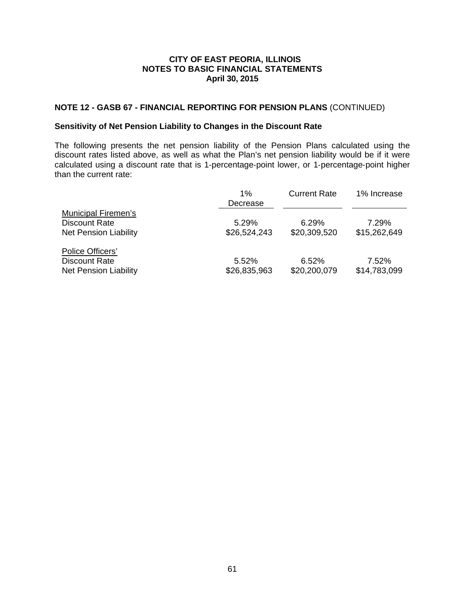### **NOTE 12 - GASB 67 - FINANCIAL REPORTING FOR PENSION PLANS** (CONTINUED)

### **Sensitivity of Net Pension Liability to Changes in the Discount Rate**

The following presents the net pension liability of the Pension Plans calculated using the discount rates listed above, as well as what the Plan's net pension liability would be if it were calculated using a discount rate that is 1‐percentage‐point lower, or 1‐percentage‐point higher than the current rate:

|                                                                                    | $1\%$<br>Decrease     | <b>Current Rate</b>   | 1% Increase           |
|------------------------------------------------------------------------------------|-----------------------|-----------------------|-----------------------|
| <b>Municipal Firemen's</b><br><b>Discount Rate</b><br><b>Net Pension Liability</b> | 5.29%<br>\$26,524,243 | 6.29%<br>\$20,309,520 | 7.29%<br>\$15,262,649 |
| Police Officers'<br><b>Discount Rate</b><br><b>Net Pension Liability</b>           | 5.52%<br>\$26,835,963 | 6.52%<br>\$20,200,079 | 7.52%<br>\$14,783,099 |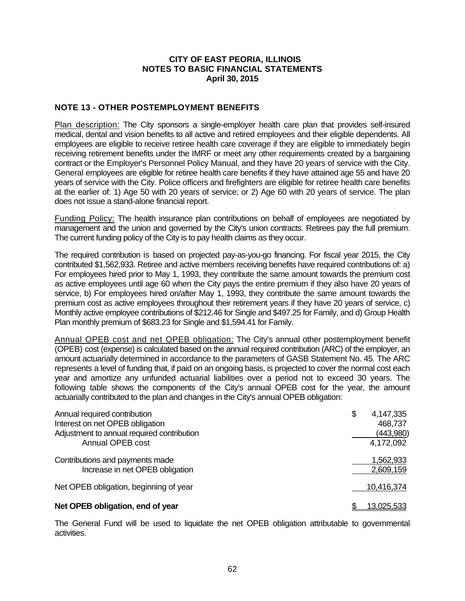### **NOTE 13 - OTHER POSTEMPLOYMENT BENEFITS**

Plan description: The City sponsors a single-employer health care plan that provides self-insured medical, dental and vision benefits to all active and retired employees and their eligible dependents. All employees are eligible to receive retiree health care coverage if they are eligible to immediately begin receiving retirement benefits under the IMRF or meet any other requirements created by a bargaining contract or the Employer's Personnel Policy Manual, and they have 20 years of service with the City. General employees are eligible for retiree health care benefits if they have attained age 55 and have 20 years of service with the City. Police officers and firefighters are eligible for retiree health care benefits at the earlier of: 1) Age 50 with 20 years of service; or 2) Age 60 with 20 years of service. The plan does not issue a stand-alone financial report.

Funding Policy: The health insurance plan contributions on behalf of employees are negotiated by management and the union and governed by the City's union contracts. Retirees pay the full premium. The current funding policy of the City is to pay health claims as they occur.

The required contribution is based on projected pay-as-you-go financing. For fiscal year 2015, the City contributed \$1,562,933. Retiree and active members receiving benefits have required contributions of: a) For employees hired prior to May 1, 1993, they contribute the same amount towards the premium cost as active employees until age 60 when the City pays the entire premium if they also have 20 years of service, b) For employees hired on/after May 1, 1993, they contribute the same amount towards the premium cost as active employees throughout their retirement years if they have 20 years of service, c) Monthly active employee contributions of \$212.46 for Single and \$497.25 for Family, and d) Group Health Plan monthly premium of \$683.23 for Single and \$1,594.41 for Family.

Annual OPEB cost and net OPEB obligation: The City's annual other postemployment benefit (OPEB) cost (expense) is calculated based on the annual required contribution (ARC) of the employer, an amount actuarially determined in accordance to the parameters of GASB Statement No. 45. The ARC represents a level of funding that, if paid on an ongoing basis, is projected to cover the normal cost each year and amortize any unfunded actuarial liabilities over a period not to exceed 30 years. The following table shows the components of the City's annual OPEB cost for the year, the amount actuarially contributed to the plan and changes in the City's annual OPEB obligation:

| Annual required contribution<br>Interest on net OPEB obligation<br>Adjustment to annual required contribution<br>Annual OPEB cost | \$<br>4,147,335<br>468,737<br>(443,980)<br>4,172,092 |
|-----------------------------------------------------------------------------------------------------------------------------------|------------------------------------------------------|
| Contributions and payments made<br>Increase in net OPEB obligation                                                                | 1,562,933<br>2,609,159                               |
| Net OPEB obligation, beginning of year                                                                                            | 10,416,374                                           |
| Net OPEB obligation, end of year                                                                                                  | <u>13,025,533</u>                                    |

The General Fund will be used to liquidate the net OPEB obligation attributable to governmental activities.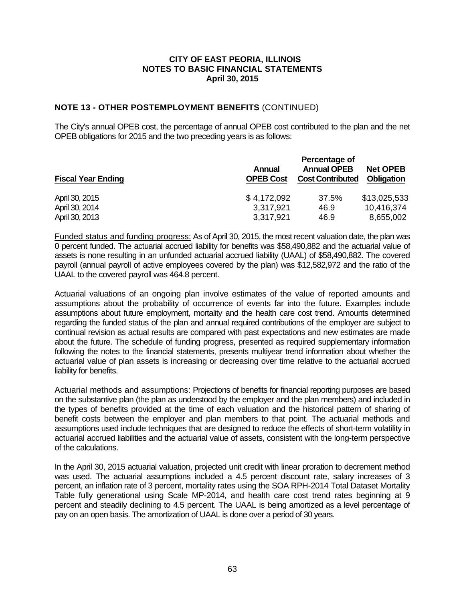### **NOTE 13 - OTHER POSTEMPLOYMENT BENEFITS** (CONTINUED)

The City's annual OPEB cost, the percentage of annual OPEB cost contributed to the plan and the net OPEB obligations for 2015 and the two preceding years is as follows:

| <b>Fiscal Year Ending</b> | Annual<br><b>OPEB Cost</b> | Percentage of<br><b>Annual OPEB</b><br><b>Cost Contributed</b> | <b>Net OPEB</b><br><b>Obligation</b> |
|---------------------------|----------------------------|----------------------------------------------------------------|--------------------------------------|
| April 30, 2015            | \$4,172,092                | 37.5%                                                          | \$13,025,533                         |
| April 30, 2014            | 3,317,921                  | 46.9                                                           | 10,416,374                           |
| April 30, 2013            | 3,317,921                  | 46.9                                                           | 8,655,002                            |

Funded status and funding progress: As of April 30, 2015, the most recent valuation date, the plan was 0 percent funded. The actuarial accrued liability for benefits was \$58,490,882 and the actuarial value of assets is none resulting in an unfunded actuarial accrued liability (UAAL) of \$58,490,882. The covered payroll (annual payroll of active employees covered by the plan) was \$12,582,972 and the ratio of the UAAL to the covered payroll was 464.8 percent.

Actuarial valuations of an ongoing plan involve estimates of the value of reported amounts and assumptions about the probability of occurrence of events far into the future. Examples include assumptions about future employment, mortality and the health care cost trend. Amounts determined regarding the funded status of the plan and annual required contributions of the employer are subject to continual revision as actual results are compared with past expectations and new estimates are made about the future. The schedule of funding progress, presented as required supplementary information following the notes to the financial statements, presents multiyear trend information about whether the actuarial value of plan assets is increasing or decreasing over time relative to the actuarial accrued liability for benefits.

Actuarial methods and assumptions: Projections of benefits for financial reporting purposes are based on the substantive plan (the plan as understood by the employer and the plan members) and included in the types of benefits provided at the time of each valuation and the historical pattern of sharing of benefit costs between the employer and plan members to that point. The actuarial methods and assumptions used include techniques that are designed to reduce the effects of short-term volatility in actuarial accrued liabilities and the actuarial value of assets, consistent with the long-term perspective of the calculations.

In the April 30, 2015 actuarial valuation, projected unit credit with linear proration to decrement method was used. The actuarial assumptions included a 4.5 percent discount rate, salary increases of 3 percent, an inflation rate of 3 percent, mortality rates using the SOA RPH-2014 Total Dataset Mortality Table fully generational using Scale MP-2014, and health care cost trend rates beginning at 9 percent and steadily declining to 4.5 percent. The UAAL is being amortized as a level percentage of pay on an open basis. The amortization of UAAL is done over a period of 30 years.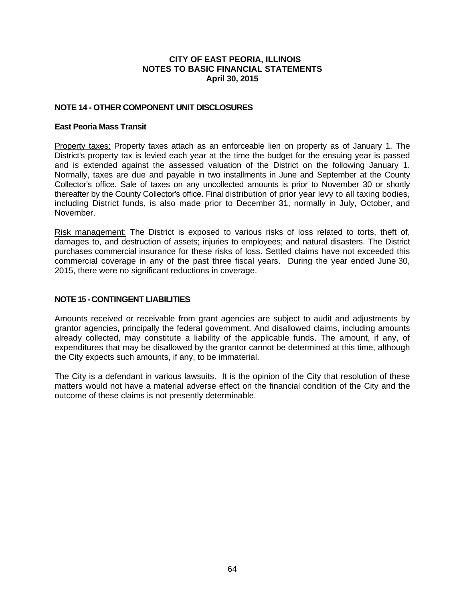### **NOTE 14 - OTHER COMPONENT UNIT DISCLOSURES**

#### **East Peoria Mass Transit**

Property taxes: Property taxes attach as an enforceable lien on property as of January 1. The District's property tax is levied each year at the time the budget for the ensuing year is passed and is extended against the assessed valuation of the District on the following January 1. Normally, taxes are due and payable in two installments in June and September at the County Collector's office. Sale of taxes on any uncollected amounts is prior to November 30 or shortly thereafter by the County Collector's office. Final distribution of prior year levy to all taxing bodies, including District funds, is also made prior to December 31, normally in July, October, and November.

Risk management: The District is exposed to various risks of loss related to torts, theft of, damages to, and destruction of assets; injuries to employees; and natural disasters. The District purchases commercial insurance for these risks of loss. Settled claims have not exceeded this commercial coverage in any of the past three fiscal years. During the year ended June 30, 2015, there were no significant reductions in coverage.

### **NOTE 15 - CONTINGENT LIABILITIES**

Amounts received or receivable from grant agencies are subject to audit and adjustments by grantor agencies, principally the federal government. And disallowed claims, including amounts already collected, may constitute a liability of the applicable funds. The amount, if any, of expenditures that may be disallowed by the grantor cannot be determined at this time, although the City expects such amounts, if any, to be immaterial.

The City is a defendant in various lawsuits. It is the opinion of the City that resolution of these matters would not have a material adverse effect on the financial condition of the City and the outcome of these claims is not presently determinable.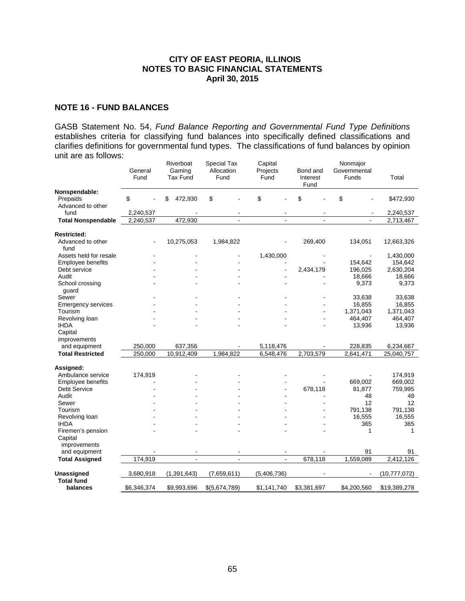#### **NOTE 16 - FUND BALANCES**

GASB Statement No. 54, *Fund Balance Reporting and Governmental Fund Type Definitions* establishes criteria for classifying fund balances into specifically defined classifications and clarifies definitions for governmental fund types. The classifications of fund balances by opinion unit are as follows:

|                               | General<br>Fund |                              | Riverboat<br>Gaming<br><b>Tax Fund</b> | Special Tax<br>Allocation<br>Fund | Capital<br>Projects<br>Fund |                | Bond and<br>Interest<br>Fund | Nonmajor<br>Governmental<br>Funds | Total          |
|-------------------------------|-----------------|------------------------------|----------------------------------------|-----------------------------------|-----------------------------|----------------|------------------------------|-----------------------------------|----------------|
| Nonspendable:                 |                 |                              |                                        |                                   |                             |                |                              |                                   |                |
| Prepaids<br>Advanced to other | \$              |                              | \$<br>472,930                          | \$                                | \$                          |                | \$                           | \$                                | \$472,930      |
| fund                          | 2,240,537       |                              |                                        |                                   |                             |                |                              |                                   | 2,240,537      |
| <b>Total Nonspendable</b>     | 2,240,537       |                              | 472,930                                | $\mathbf{r}$                      |                             | $\blacksquare$ | $\mathbf{r}$                 | $\blacksquare$                    | 2,713,467      |
|                               |                 |                              |                                        |                                   |                             |                |                              |                                   |                |
| <b>Restricted:</b>            |                 |                              |                                        |                                   |                             |                |                              |                                   |                |
| Advanced to other<br>fund     |                 | $\qquad \qquad \blacksquare$ | 10,275,053                             | 1,984,822                         |                             |                | 269,400                      | 134,051                           | 12,663,326     |
| Assets held for resale        |                 |                              |                                        |                                   |                             | 1,430,000      |                              |                                   | 1,430,000      |
| Employee benefits             |                 |                              |                                        |                                   |                             |                |                              | 154,642                           | 154,642        |
| Debt service                  |                 |                              |                                        |                                   |                             |                | 2,434,179                    | 196,025                           | 2,630,204      |
| Audit                         |                 |                              |                                        |                                   |                             |                |                              | 18,666                            | 18,666         |
| School crossing<br>guard      |                 |                              |                                        |                                   |                             |                |                              | 9,373                             | 9,373          |
| Sewer                         |                 |                              |                                        |                                   |                             |                |                              | 33,638                            | 33,638         |
| <b>Emergency services</b>     |                 |                              |                                        |                                   |                             |                |                              | 16,855                            | 16,855         |
| Tourism                       |                 |                              |                                        |                                   |                             |                |                              | 1,371,043                         | 1,371,043      |
| Revolving loan                |                 |                              |                                        |                                   |                             |                |                              | 464,407                           | 464,407        |
| <b>IHDA</b>                   |                 |                              |                                        |                                   |                             |                |                              | 13,936                            | 13,936         |
| Capital                       |                 |                              |                                        |                                   |                             |                |                              |                                   |                |
| improvements                  |                 |                              |                                        |                                   |                             |                |                              |                                   |                |
| and equipment                 | 250,000         |                              | 637,356                                |                                   |                             | 5,118,476      |                              | 228,835                           | 6,234,667      |
| <b>Total Restricted</b>       | 250,000         |                              | 10,912,409                             | 1,984,822                         |                             | 6,548,476      | 2,703,579                    | 2,641,471                         | 25,040,757     |
| Assigned:                     |                 |                              |                                        |                                   |                             |                |                              |                                   |                |
| Ambulance service             | 174,919         |                              |                                        |                                   |                             |                |                              |                                   | 174,919        |
| Employee benefits             |                 |                              |                                        |                                   |                             |                |                              | 669,002                           | 669,002        |
| <b>Debt Service</b>           |                 |                              |                                        |                                   |                             |                | 678,118                      | 81,877                            | 759,995        |
| Audit                         |                 |                              |                                        |                                   |                             |                |                              | 48                                | 48             |
| Sewer                         |                 |                              |                                        |                                   |                             |                |                              | 12                                | 12             |
| Tourism                       |                 |                              |                                        |                                   |                             |                |                              | 791,138                           | 791,138        |
| Revolving loan                |                 |                              |                                        |                                   |                             |                |                              | 16,555                            | 16,555         |
| <b>IHDA</b>                   |                 |                              |                                        |                                   |                             |                |                              | 365                               | 365            |
| Firemen's pension             |                 |                              |                                        |                                   |                             |                |                              | 1                                 | 1              |
| Capital                       |                 |                              |                                        |                                   |                             |                |                              |                                   |                |
| improvements                  |                 |                              |                                        |                                   |                             |                |                              |                                   |                |
| and equipment                 |                 |                              | $\blacksquare$                         |                                   |                             |                |                              | 91                                | 91             |
| <b>Total Assigned</b>         | 174,919         |                              | $\blacksquare$                         | $\overline{a}$                    |                             | $\overline{a}$ | 678,118                      | 1,559,089                         | 2,412,126      |
| Unassigned                    | 3,680,918       |                              | (1, 391, 643)                          | (7,659,611)                       | (5,406,736)                 |                |                              |                                   | (10, 777, 072) |
| <b>Total fund</b><br>balances | \$6,346,374     |                              | \$9,993,696                            | \$(5,674,789)                     | \$1,141,740                 |                | \$3,381,697                  | \$4,200,560                       | \$19,389,278   |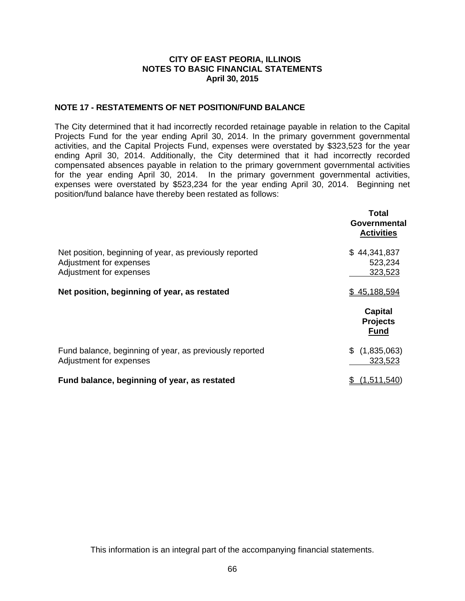### **NOTE 17 - RESTATEMENTS OF NET POSITION/FUND BALANCE**

The City determined that it had incorrectly recorded retainage payable in relation to the Capital Projects Fund for the year ending April 30, 2014. In the primary government governmental activities, and the Capital Projects Fund, expenses were overstated by \$323,523 for the year ending April 30, 2014. Additionally, the City determined that it had incorrectly recorded compensated absences payable in relation to the primary government governmental activities for the year ending April 30, 2014. In the primary government governmental activities, expenses were overstated by \$523,234 for the year ending April 30, 2014. Beginning net position/fund balance have thereby been restated as follows:

|                                                                                                               | Total<br>Governmental<br><b>Activities</b> |
|---------------------------------------------------------------------------------------------------------------|--------------------------------------------|
| Net position, beginning of year, as previously reported<br>Adjustment for expenses<br>Adjustment for expenses | \$44,341,837<br>523,234<br>323,523         |
| Net position, beginning of year, as restated                                                                  | \$45,188,594                               |
|                                                                                                               | Capital<br><b>Projects</b><br><b>Fund</b>  |
| Fund balance, beginning of year, as previously reported<br>Adjustment for expenses                            | \$<br>(1,835,063)<br>323,523               |
| Fund balance, beginning of year, as restated                                                                  | (1.511.540)                                |

This information is an integral part of the accompanying financial statements.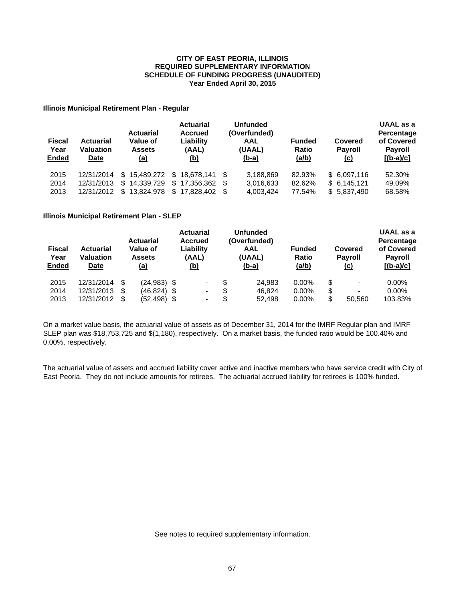#### **CITY OF EAST PEORIA, ILLINOIS SCHEDULE OF FUNDING PROGRESS (UNAUDITED) Year Ended April 30, 2015 REQUIRED SUPPLEMENTARY INFORMATION**

#### **Illinois Municipal Retirement Plan - Regular**

| <b>Fiscal</b><br>Year<br><b>Ended</b> | <b>Actuarial</b><br><b>Valuation</b><br>Date | <b>Actuarial</b><br>Value of<br><b>Assets</b><br><u>(a)</u> | <b>Actuarial</b><br><b>Accrued</b><br>Liability<br>(AAL)<br><u>(b)</u> |   | <b>Unfunded</b><br>(Overfunded)<br>AAL<br>(UAAL)<br>$(b-a)$ | <b>Funded</b><br>Ratio<br><u>(a/b)</u> | Covered<br><b>Payroll</b><br><u>(c)</u> | UAAL as a<br>Percentage<br>of Covered<br><b>Payroll</b><br>$[(b-a)/c]$ |
|---------------------------------------|----------------------------------------------|-------------------------------------------------------------|------------------------------------------------------------------------|---|-------------------------------------------------------------|----------------------------------------|-----------------------------------------|------------------------------------------------------------------------|
| 2015                                  | 12/31/2014                                   |                                                             | \$15.489.272 \$18.678.141 \$                                           |   | 3,188,869                                                   | 82.93%                                 | \$6.097.116                             | 52.30%                                                                 |
| 2014                                  | 12/31/2013                                   | 14.339.729<br>S.                                            | $$17.356.362$ \$                                                       |   | 3,016,633                                                   | 82.62%                                 | \$6.145.121                             | 49.09%                                                                 |
| 2013                                  | 12/31/2012                                   | 13.824.978<br>\$                                            | \$17,828,402                                                           | S | 4,003,424                                                   | 77.54%                                 | \$5,837,490                             | 68.58%                                                                 |

#### **Illinois Municipal Retirement Plan - SLEP**

| <b>Fiscal</b><br>Year<br>Ended | <b>Actuarial</b><br>Value of<br><b>Actuarial</b><br><b>Valuation</b><br><b>Assets</b><br><u>(a)</u><br>Date |    | <b>Actuarial</b><br><b>Accrued</b><br>Liability<br>(AAL)<br><u>(b)</u> |  | <b>Unfunded</b><br>(Overfunded)<br>AAL<br>(UAAL)<br><u>(b-a)</u> |    | <b>Funded</b><br><b>Ratio</b><br>(a/b) | Covered<br><b>Payroll</b><br><u>(c)</u> |    | UAAL as a<br>Percentage<br>of Covered<br><b>Payroll</b><br>$[(b-a)/c]$ |          |
|--------------------------------|-------------------------------------------------------------------------------------------------------------|----|------------------------------------------------------------------------|--|------------------------------------------------------------------|----|----------------------------------------|-----------------------------------------|----|------------------------------------------------------------------------|----------|
| 2015                           | 12/31/2014                                                                                                  |    | $(24,983)$ \$                                                          |  | $\blacksquare$                                                   | \$ | 24.983                                 | $0.00\%$                                | S  |                                                                        | $0.00\%$ |
| 2014                           | 12/31/2013                                                                                                  | \$ | $(46, 824)$ \$                                                         |  | $\blacksquare$                                                   | \$ | 46.824                                 | $0.00\%$                                | \$ | $\overline{\phantom{0}}$                                               | $0.00\%$ |
| 2013                           | 12/31/2012                                                                                                  |    | (52,498) \$                                                            |  | $\blacksquare$                                                   | \$ | 52.498                                 | $0.00\%$                                | \$ | 50.560                                                                 | 103.83%  |

On a market value basis, the actuarial value of assets as of December 31, 2014 for the IMRF Regular plan and IMRF SLEP plan was \$18,753,725 and \$(1,180), respectively. On a market basis, the funded ratio would be 100.40% and 0.00%, respectively.

The actuarial value of assets and accrued liability cover active and inactive members who have service credit with City of East Peoria. They do not include amounts for retirees. The actuarial accrued liability for retirees is 100% funded.

See notes to required supplementary information.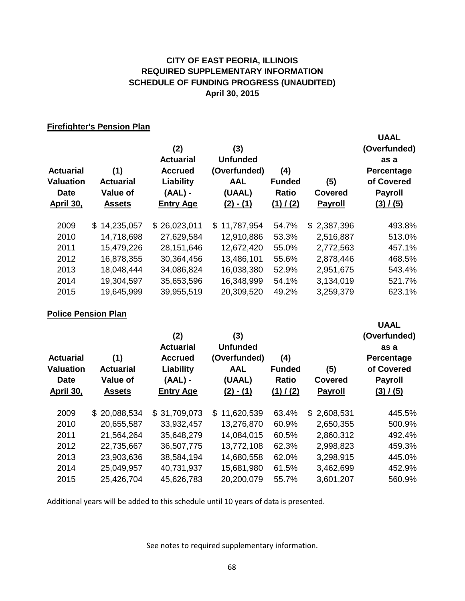## **CITY OF EAST PEORIA, ILLINOIS SCHEDULE OF FUNDING PROGRESS (UNAUDITED) April 30, 2015 REQUIRED SUPPLEMENTARY INFORMATION**

### **Firefighter's Pension Plan**

| <b>Actuarial</b><br><b>Valuation</b><br><b>Date</b><br>April 30, | (1)<br><b>Actuarial</b><br>Value of<br><b>Assets</b> | (2)<br><b>Actuarial</b><br><b>Accrued</b><br>Liability<br>$(AAL)$ -<br><b>Entry Age</b> | (3)<br><b>Unfunded</b><br>(Overfunded)<br><b>AAL</b><br>(UAAL)<br>$(2) - (1)$ | (4)<br><b>Funded</b><br>Ratio<br>(1) / (2) | (5)<br><b>Covered</b><br><b>Payroll</b> | <b>UAAL</b><br>(Overfunded)<br>as a<br>Percentage<br>of Covered<br><b>Payroll</b><br>(3) / (5) |
|------------------------------------------------------------------|------------------------------------------------------|-----------------------------------------------------------------------------------------|-------------------------------------------------------------------------------|--------------------------------------------|-----------------------------------------|------------------------------------------------------------------------------------------------|
| 2009                                                             | \$14,235,057                                         | \$26,023,011                                                                            | \$11,787,954                                                                  | 54.7%                                      | \$2,387,396                             | 493.8%                                                                                         |
| 2010                                                             | 14,718,698                                           | 27,629,584                                                                              | 12,910,886                                                                    | 53.3%                                      | 2,516,887                               | 513.0%                                                                                         |
| 2011                                                             | 15,479,226                                           | 28,151,646                                                                              | 12,672,420                                                                    | 55.0%                                      | 2,772,563                               | 457.1%                                                                                         |
| 2012                                                             | 16,878,355                                           | 30,364,456                                                                              | 13,486,101                                                                    | 55.6%                                      | 2,878,446                               | 468.5%                                                                                         |
| 2013                                                             | 18,048,444                                           | 34,086,824                                                                              | 16,038,380                                                                    | 52.9%                                      | 2,951,675                               | 543.4%                                                                                         |
| 2014                                                             | 19,304,597                                           | 35,653,596                                                                              | 16,348,999                                                                    | 54.1%                                      | 3,134,019                               | 521.7%                                                                                         |
| 2015                                                             | 19,645,999                                           | 39,955,519                                                                              | 20,309,520                                                                    | 49.2%                                      | 3,259,379                               | 623.1%                                                                                         |

# **Police Pension Plan**

| <b>Actuarial</b><br>Valuation<br><b>Date</b><br>April 30, | (1)<br><b>Actuarial</b><br><b>Value of</b><br><b>Assets</b> | (2)<br><b>Actuarial</b><br><b>Accrued</b><br>Liability<br>$(AAL)$ -<br><b>Entry Age</b> | (3)<br><b>Unfunded</b><br>(Overfunded)<br><b>AAL</b><br>(UAAL)<br>$(2) - (1)$ | (4)<br><b>Funded</b><br>Ratio<br>(1) / (2) | (5)<br><b>Covered</b><br><b>Payroll</b> | (Overfunded)<br>as a<br>Percentage<br>of Covered<br><b>Payroll</b><br>(3) / (5) |
|-----------------------------------------------------------|-------------------------------------------------------------|-----------------------------------------------------------------------------------------|-------------------------------------------------------------------------------|--------------------------------------------|-----------------------------------------|---------------------------------------------------------------------------------|
| 2009                                                      | \$20,088,534                                                | \$31,709,073                                                                            | 11,620,539<br>\$.                                                             | 63.4%                                      | \$2,608,531                             | 445.5%                                                                          |
| 2010                                                      | 20,655,587                                                  | 33,932,457                                                                              | 13,276,870                                                                    | 60.9%                                      | 2,650,355                               | 500.9%                                                                          |
| 2011                                                      | 21,564,264                                                  | 35,648,279                                                                              | 14,084,015                                                                    | 60.5%                                      | 2,860,312                               | 492.4%                                                                          |
| 2012                                                      | 22,735,667                                                  | 36,507,775                                                                              | 13,772,108                                                                    | 62.3%                                      | 2,998,823                               | 459.3%                                                                          |
| 2013                                                      | 23,903,636                                                  | 38,584,194                                                                              | 14,680,558                                                                    | 62.0%                                      | 3,298,915                               | 445.0%                                                                          |
| 2014                                                      | 25,049,957                                                  | 40,731,937                                                                              | 15,681,980                                                                    | 61.5%                                      | 3,462,699                               | 452.9%                                                                          |
| 2015                                                      | 25,426,704                                                  | 45,626,783                                                                              | 20,200,079                                                                    | 55.7%                                      | 3,601,207                               | 560.9%                                                                          |

**UAAL**

Additional years will be added to this schedule until 10 years of data is presented.

See notes to required supplementary information.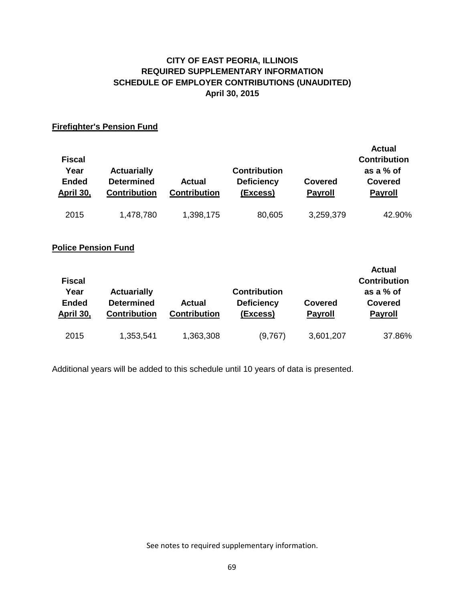# **CITY OF EAST PEORIA, ILLINOIS SCHEDULE OF EMPLOYER CONTRIBUTIONS (UNAUDITED) April 30, 2015 REQUIRED SUPPLEMENTARY INFORMATION**

## **Firefighter's Pension Fund**

| <b>Fiscal</b><br>Year<br><b>Ended</b><br>April 30, | <b>Actuarially</b><br><b>Determined</b><br><b>Contribution</b> | <b>Actual</b><br><b>Contribution</b> | <b>Contribution</b><br><b>Deficiency</b><br>(Excess) | Covered<br><b>Payroll</b> | <b>Actual</b><br><b>Contribution</b><br>as a % of<br><b>Covered</b><br><b>Payroll</b> |
|----------------------------------------------------|----------------------------------------------------------------|--------------------------------------|------------------------------------------------------|---------------------------|---------------------------------------------------------------------------------------|
| 2015                                               | 1,478,780                                                      | 1,398,175                            | 80,605                                               | 3,259,379                 | 42.90%                                                                                |

# **Police Pension Fund**

| <b>Fiscal</b><br>Year<br><b>Ended</b><br>April 30, | <b>Actuarially</b><br><b>Determined</b><br><b>Contribution</b> | <b>Actual</b><br><b>Contribution</b> | <b>Contribution</b><br><b>Deficiency</b><br>(Excess) | Covered<br><b>Payroll</b> | <b>Actual</b><br><b>Contribution</b><br>as a $%$ of<br><b>Covered</b><br><b>Payroll</b> |
|----------------------------------------------------|----------------------------------------------------------------|--------------------------------------|------------------------------------------------------|---------------------------|-----------------------------------------------------------------------------------------|
| 2015                                               | 1,353,541                                                      | 1,363,308                            | (9,767)                                              | 3,601,207                 | 37.86%                                                                                  |

Additional years will be added to this schedule until 10 years of data is presented.

See notes to required supplementary information.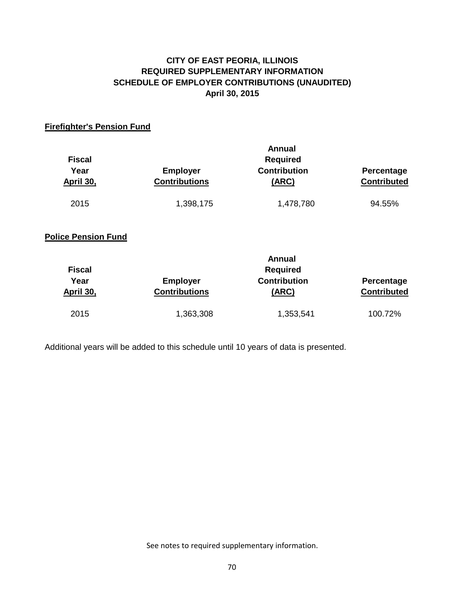# **CITY OF EAST PEORIA, ILLINOIS SCHEDULE OF EMPLOYER CONTRIBUTIONS (UNAUDITED) April 30, 2015 REQUIRED SUPPLEMENTARY INFORMATION**

# **Firefighter's Pension Fund**

| <b>Fiscal</b><br>Year<br>April 30, | <b>Employer</b><br><b>Contributions</b> | <b>Annual</b><br><b>Required</b><br><b>Contribution</b><br>(ARC) | Percentage<br><b>Contributed</b> |
|------------------------------------|-----------------------------------------|------------------------------------------------------------------|----------------------------------|
| 2015                               | 1,398,175                               | 1,478,780                                                        | 94.55%                           |
| <b>Police Pension Fund</b>         |                                         |                                                                  |                                  |
| <b>Fiscal</b><br>Year<br>April 30, | <b>Employer</b><br><b>Contributions</b> | Annual<br><b>Required</b><br><b>Contribution</b><br><u>(ARC)</u> | Percentage<br><b>Contributed</b> |
| 2015                               | 1,363,308                               | 1,353,541                                                        | 100.72%                          |

Additional years will be added to this schedule until 10 years of data is presented.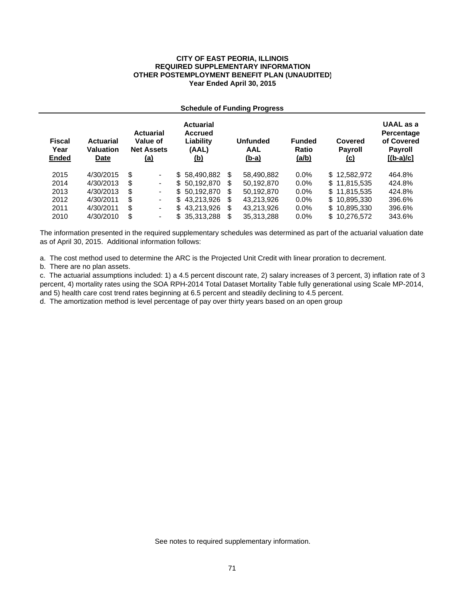#### **CITY OF EAST PEORIA, ILLINOIS REQUIRED SUPPLEMENTARY INFORMATION OTHER POSTEMPLOYMENT BENEFIT PLAN (UNAUDITED) Year Ended April 30, 2015**

#### **Schedule of Funding Progress**

| <b>Fiscal</b><br>Year<br><b>Ended</b> | <b>Actuarial</b><br>Valuation<br><b>Date</b> |    | <b>Actuarial</b><br>Value of<br><b>Net Assets</b><br><u>(a)</u> | <b>Actuarial</b><br><b>Accrued</b><br>Liability<br>(AAL)<br><u>(b)</u> |    | <b>Unfunded</b><br>AAL<br><u>(b-a)</u> | <b>Funded</b><br><b>Ratio</b><br>(a/b) | Covered<br><b>Payroll</b><br><u>(c)</u> | <b>UAAL</b> as a<br>Percentage<br>of Covered<br><b>Payroll</b><br>$[(b-a)/c]$ |
|---------------------------------------|----------------------------------------------|----|-----------------------------------------------------------------|------------------------------------------------------------------------|----|----------------------------------------|----------------------------------------|-----------------------------------------|-------------------------------------------------------------------------------|
| 2015                                  | 4/30/2015                                    | \$ | $\blacksquare$                                                  | \$58,490,882                                                           | \$ | 58.490.882                             | $0.0\%$                                | \$12,582,972                            | 464.8%                                                                        |
| 2014                                  | 4/30/2013                                    | S  | $\blacksquare$                                                  | \$50.192.870                                                           | S  | 50,192,870                             | $0.0\%$                                | \$11,815,535                            | 424.8%                                                                        |
| 2013                                  | 4/30/2013                                    | \$ | $\blacksquare$                                                  | \$50.192.870                                                           | S  | 50.192.870                             | $0.0\%$                                | \$11,815,535                            | 424.8%                                                                        |
| 2012                                  | 4/30/2011                                    | \$ | $\blacksquare$                                                  | \$43,213,926                                                           | S  | 43.213.926                             | $0.0\%$                                | \$10,895,330                            | 396.6%                                                                        |
| 2011                                  | 4/30/2011                                    | \$ | $\blacksquare$                                                  | \$43,213,926                                                           | \$ | 43.213.926                             | $0.0\%$                                | \$10,895,330                            | 396.6%                                                                        |
| 2010                                  | 4/30/2010                                    | \$ | $\blacksquare$                                                  | \$35,313,288                                                           | \$ | 35,313,288                             | $0.0\%$                                | \$10,276,572                            | 343.6%                                                                        |

The information presented in the required supplementary schedules was determined as part of the actuarial valuation date as of April 30, 2015. Additional information follows:

a. The cost method used to determine the ARC is the Projected Unit Credit with linear proration to decrement.

b. There are no plan assets.

c. The actuarial assumptions included: 1) a 4.5 percent discount rate, 2) salary increases of 3 percent, 3) inflation rate of 3 percent, 4) mortality rates using the SOA RPH-2014 Total Dataset Mortality Table fully generational using Scale MP-2014, and 5) health care cost trend rates beginning at 6.5 percent and steadily declining to 4.5 percent.

d. The amortization method is level percentage of pay over thirty years based on an open group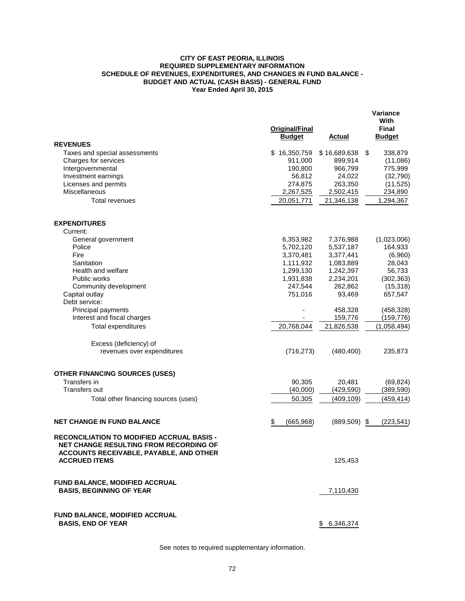#### **CITY OF EAST PEORIA, ILLINOIS REQUIRED SUPPLEMENTARY INFORMATION SCHEDULE OF REVENUES, EXPENDITURES, AND CHANGES IN FUND BALANCE - BUDGET AND ACTUAL (CASH BASIS) - GENERAL FUND Year Ended April 30, 2015**

|                                                                                                                                               | Original/Final<br><b>Budget</b> | Actual             | Variance<br>With<br><b>Final</b><br><b>Budget</b> |
|-----------------------------------------------------------------------------------------------------------------------------------------------|---------------------------------|--------------------|---------------------------------------------------|
| <b>REVENUES</b>                                                                                                                               |                                 |                    |                                                   |
| Taxes and special assessments                                                                                                                 | \$16,350,759                    | \$16,689,638       | \$<br>338,879                                     |
| Charges for services<br>Intergovernmental                                                                                                     | 911,000<br>190,800              | 899,914<br>966,799 | (11,086)<br>775,999                               |
| Investment earnings                                                                                                                           | 56,812                          | 24,022             | (32, 790)                                         |
| Licenses and permits                                                                                                                          | 274,875                         | 263,350            | (11, 525)                                         |
| Miscellaneous                                                                                                                                 | 2,267,525                       | 2,502,415          | 234,890                                           |
| <b>Total revenues</b>                                                                                                                         | 20,051,771                      | 21,346,138         | 1,294,367                                         |
| <b>EXPENDITURES</b>                                                                                                                           |                                 |                    |                                                   |
| Current:                                                                                                                                      |                                 |                    |                                                   |
| General government                                                                                                                            | 6,353,982                       | 7,376,988          | (1,023,006)                                       |
| Police                                                                                                                                        | 5,702,120                       | 5,537,187          | 164,933                                           |
| Fire                                                                                                                                          | 3,370,481                       | 3,377,441          | (6,960)                                           |
| Sanitation                                                                                                                                    | 1,111,932                       | 1,083,889          | 28,043                                            |
| Health and welfare                                                                                                                            | 1,299,130                       | 1,242,397          | 56,733                                            |
| Public works                                                                                                                                  | 1,931,838                       | 2,234,201          | (302, 363)                                        |
| Community development                                                                                                                         | 247,544                         | 262,862            | (15, 318)                                         |
| Capital outlay                                                                                                                                | 751,016                         | 93,469             | 657,547                                           |
| Debt service:<br>Principal payments                                                                                                           |                                 | 458,328            | (458, 328)                                        |
| Interest and fiscal charges                                                                                                                   |                                 | 159,776            | (159, 776)                                        |
| <b>Total expenditures</b>                                                                                                                     | 20,768,044                      | 21,826,538         | (1,058,494)                                       |
| Excess (deficiency) of<br>revenues over expenditures                                                                                          | (716, 273)                      | (480, 400)         | 235,873                                           |
| <b>OTHER FINANCING SOURCES (USES)</b>                                                                                                         |                                 |                    |                                                   |
| Transfers in                                                                                                                                  | 90,305                          | 20,481             | (69, 824)                                         |
| Transfers out                                                                                                                                 | (40,000)                        | (429,590)          | (389, 590)                                        |
| Total other financing sources (uses)                                                                                                          | 50,305                          | (409,109)          | (459, 414)                                        |
|                                                                                                                                               |                                 |                    |                                                   |
| <b>NET CHANGE IN FUND BALANCE</b>                                                                                                             | \$<br>(665, 968)                | (889, 509)         | \$<br>(223, 541)                                  |
| <b>RECONCILIATION TO MODIFIED ACCRUAL BASIS -</b><br><b>NET CHANGE RESULTING FROM RECORDING OF</b><br>ACCOUNTS RECEIVABLE, PAYABLE, AND OTHER |                                 |                    |                                                   |
| <b>ACCRUED ITEMS</b>                                                                                                                          |                                 | 125,453            |                                                   |
| FUND BALANCE, MODIFIED ACCRUAL<br><b>BASIS, BEGINNING OF YEAR</b>                                                                             |                                 | 7,110,430          |                                                   |
|                                                                                                                                               |                                 |                    |                                                   |
| FUND BALANCE, MODIFIED ACCRUAL<br><b>BASIS, END OF YEAR</b>                                                                                   |                                 | \$6,346,374        |                                                   |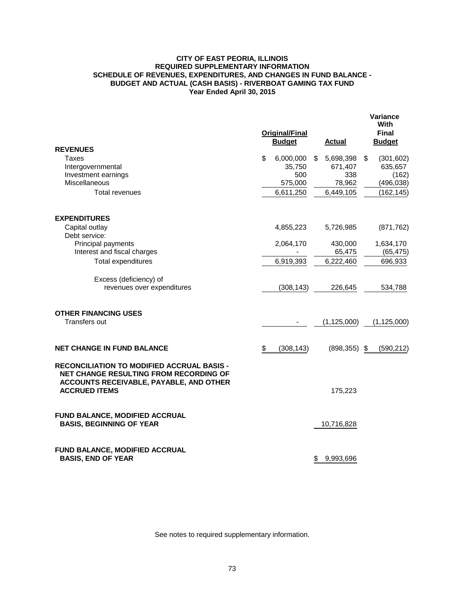#### **CITY OF EAST PEORIA, ILLINOIS REQUIRED SUPPLEMENTARY INFORMATION SCHEDULE OF REVENUES, EXPENDITURES, AND CHANGES IN FUND BALANCE - BUDGET AND ACTUAL (CASH BASIS) - RIVERBOAT GAMING TAX FUND Year Ended April 30, 2015**

|                                                                                                                                                                       | <b>Original/Final</b><br><b>Budget</b> | <b>Actual</b>   | <b>Variance</b><br>With<br><b>Final</b><br><b>Budget</b> |
|-----------------------------------------------------------------------------------------------------------------------------------------------------------------------|----------------------------------------|-----------------|----------------------------------------------------------|
| <b>REVENUES</b><br>Taxes                                                                                                                                              | \$<br>6,000,000                        | \$<br>5,698,398 | \$<br>(301, 602)                                         |
| Intergovernmental                                                                                                                                                     | 35,750                                 | 671,407         | 635,657                                                  |
| Investment earnings                                                                                                                                                   | 500                                    | 338             | (162)                                                    |
| Miscellaneous                                                                                                                                                         | 575,000                                | 78,962          | (496, 038)                                               |
| <b>Total revenues</b>                                                                                                                                                 | 6,611,250                              | 6,449,105       | (162, 145)                                               |
| <b>EXPENDITURES</b>                                                                                                                                                   |                                        |                 |                                                          |
| Capital outlay                                                                                                                                                        | 4,855,223                              | 5,726,985       | (871, 762)                                               |
| Debt service:                                                                                                                                                         |                                        |                 |                                                          |
| Principal payments                                                                                                                                                    | 2,064,170                              | 430,000         | 1,634,170                                                |
| Interest and fiscal charges                                                                                                                                           |                                        | 65,475          | (65, 475)                                                |
| <b>Total expenditures</b>                                                                                                                                             | 6,919,393                              | 6,222,460       | 696,933                                                  |
| Excess (deficiency) of                                                                                                                                                |                                        |                 |                                                          |
| revenues over expenditures                                                                                                                                            | (308, 143)                             | 226,645         | 534,788                                                  |
|                                                                                                                                                                       |                                        |                 |                                                          |
| <b>OTHER FINANCING USES</b>                                                                                                                                           |                                        |                 |                                                          |
| <b>Transfers out</b>                                                                                                                                                  |                                        | (1, 125, 000)   | (1, 125, 000)                                            |
| <b>NET CHANGE IN FUND BALANCE</b>                                                                                                                                     | \$<br>(308, 143)                       | $(898, 355)$ \$ | (590, 212)                                               |
| <b>RECONCILIATION TO MODIFIED ACCRUAL BASIS -</b><br><b>NET CHANGE RESULTING FROM RECORDING OF</b><br>ACCOUNTS RECEIVABLE, PAYABLE, AND OTHER<br><b>ACCRUED ITEMS</b> |                                        | 175,223         |                                                          |
|                                                                                                                                                                       |                                        |                 |                                                          |
| FUND BALANCE, MODIFIED ACCRUAL                                                                                                                                        |                                        |                 |                                                          |
| <b>BASIS, BEGINNING OF YEAR</b>                                                                                                                                       |                                        | 10,716,828      |                                                          |
| FUND BALANCE, MODIFIED ACCRUAL                                                                                                                                        |                                        |                 |                                                          |
| <b>BASIS, END OF YEAR</b>                                                                                                                                             |                                        | \$<br>9,993,696 |                                                          |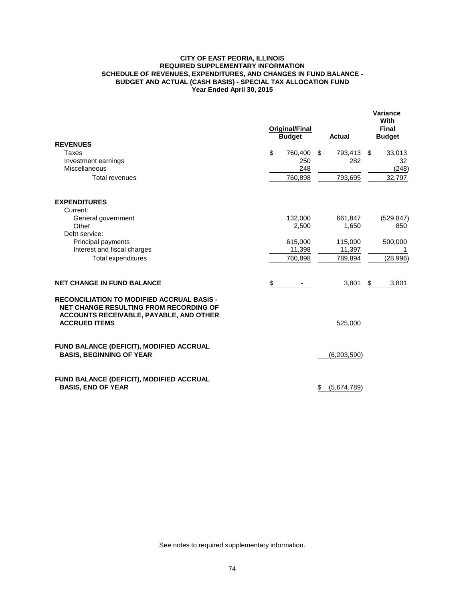#### **CITY OF EAST PEORIA, ILLINOIS REQUIRED SUPPLEMENTARY INFORMATION SCHEDULE OF REVENUES, EXPENDITURES, AND CHANGES IN FUND BALANCE - BUDGET AND ACTUAL (CASH BASIS) - SPECIAL TAX ALLOCATION FUND Year Ended April 30, 2015**

|                                                                                                                                               | <b>Original/Final</b><br><b>Budget</b> | Actual            | Variance<br>With<br>Final<br><b>Budget</b> |
|-----------------------------------------------------------------------------------------------------------------------------------------------|----------------------------------------|-------------------|--------------------------------------------|
| <b>REVENUES</b>                                                                                                                               |                                        |                   |                                            |
| Taxes                                                                                                                                         | \$<br>760,400                          | \$<br>793,413     | \$<br>33,013                               |
| Investment earnings<br>Miscellaneous                                                                                                          | 250<br>248                             | 282               | 32<br>(248)                                |
| Total revenues                                                                                                                                | 760,898                                | 793,695           | 32,797                                     |
| <b>EXPENDITURES</b>                                                                                                                           |                                        |                   |                                            |
| Current:                                                                                                                                      |                                        |                   |                                            |
| General government                                                                                                                            | 132,000                                | 661,847           | (529, 847)                                 |
| Other                                                                                                                                         | 2,500                                  | 1,650             | 850                                        |
| Debt service:                                                                                                                                 |                                        |                   |                                            |
| Principal payments                                                                                                                            | 615,000                                | 115,000           | 500,000                                    |
| Interest and fiscal charges                                                                                                                   | 11,398                                 | 11,397            |                                            |
| <b>Total expenditures</b>                                                                                                                     | 760,898                                | 789,894           | (28, 996)                                  |
| <b>NET CHANGE IN FUND BALANCE</b>                                                                                                             | \$                                     | 3,801             | \$<br>3,801                                |
| <b>RECONCILIATION TO MODIFIED ACCRUAL BASIS -</b><br><b>NET CHANGE RESULTING FROM RECORDING OF</b><br>ACCOUNTS RECEIVABLE, PAYABLE, AND OTHER |                                        |                   |                                            |
| <b>ACCRUED ITEMS</b>                                                                                                                          |                                        | 525,000           |                                            |
| FUND BALANCE (DEFICIT), MODIFIED ACCRUAL<br><b>BASIS, BEGINNING OF YEAR</b>                                                                   |                                        | (6, 203, 590)     |                                            |
| <b>FUND BALANCE (DEFICIT), MODIFIED ACCRUAL</b><br><b>BASIS, END OF YEAR</b>                                                                  |                                        | \$<br>(5,674,789) |                                            |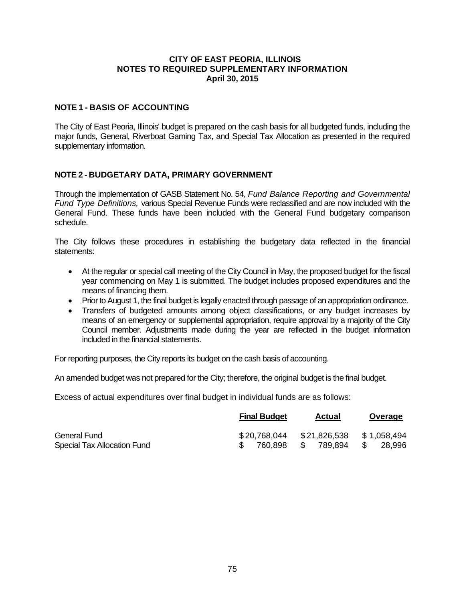## **CITY OF EAST PEORIA, ILLINOIS NOTES TO REQUIRED SUPPLEMENTARY INFORMATION April 30, 2015**

## **NOTE 1 - BASIS OF ACCOUNTING**

The City of East Peoria, Illinois' budget is prepared on the cash basis for all budgeted funds, including the major funds, General, Riverboat Gaming Tax, and Special Tax Allocation as presented in the required supplementary information.

## **NOTE 2 - BUDGETARY DATA, PRIMARY GOVERNMENT**

Through the implementation of GASB Statement No. 54, *Fund Balance Reporting and Governmental Fund Type Definitions,* various Special Revenue Funds were reclassified and are now included with the General Fund. These funds have been included with the General Fund budgetary comparison schedule.

The City follows these procedures in establishing the budgetary data reflected in the financial statements:

- At the regular or special call meeting of the City Council in May, the proposed budget for the fiscal year commencing on May 1 is submitted. The budget includes proposed expenditures and the means of financing them.
- Prior to August 1, the final budget is legally enacted through passage of an appropriation ordinance.
- Transfers of budgeted amounts among object classifications, or any budget increases by means of an emergency or supplemental appropriation, require approval by a majority of the City Council member. Adjustments made during the year are reflected in the budget information included in the financial statements.

For reporting purposes, the City reports its budget on the cash basis of accounting.

An amended budget was not prepared for the City; therefore, the original budget is the final budget.

Excess of actual expenditures over final budget in individual funds are as follows:

|                             | <b>Final Budget</b> | Actual          | Overage       |
|-----------------------------|---------------------|-----------------|---------------|
| <b>General Fund</b>         | \$20.768.044        | \$21,826,538    | \$1,058,494   |
| Special Tax Allocation Fund | 760.898             | 789.894<br>- SS | -SS<br>28,996 |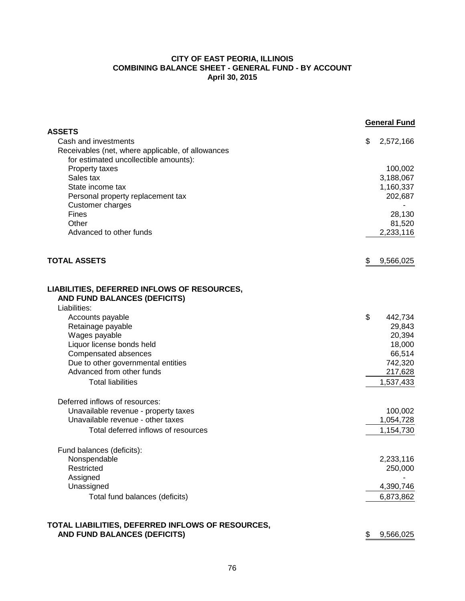## **CITY OF EAST PEORIA, ILLINOIS COMBINING BALANCE SHEET - GENERAL FUND - BY ACCOUNT April 30, 2015**

|                                                                           | <b>General Fund</b> |
|---------------------------------------------------------------------------|---------------------|
| <b>ASSETS</b><br>Cash and investments                                     | \$<br>2,572,166     |
| Receivables (net, where applicable, of allowances                         |                     |
| for estimated uncollectible amounts):                                     |                     |
| Property taxes                                                            | 100,002             |
| Sales tax                                                                 | 3,188,067           |
| State income tax                                                          | 1,160,337           |
| Personal property replacement tax                                         | 202,687             |
| Customer charges                                                          |                     |
| Fines                                                                     | 28,130              |
| Other                                                                     | 81,520              |
| Advanced to other funds                                                   | 2,233,116           |
| <b>TOTAL ASSETS</b>                                                       | \$<br>9,566,025     |
|                                                                           |                     |
| LIABILITIES, DEFERRED INFLOWS OF RESOURCES,                               |                     |
| AND FUND BALANCES (DEFICITS)                                              |                     |
| Liabilities:                                                              |                     |
| Accounts payable                                                          | \$<br>442,734       |
| Retainage payable                                                         | 29,843              |
| Wages payable                                                             | 20,394              |
| Liquor license bonds held                                                 | 18,000              |
| Compensated absences                                                      | 66,514              |
| Due to other governmental entities                                        | 742,320             |
| Advanced from other funds                                                 | 217,628             |
| <b>Total liabilities</b>                                                  | 1,537,433           |
| Deferred inflows of resources:                                            |                     |
| Unavailable revenue - property taxes<br>Unavailable revenue - other taxes | 100,002             |
|                                                                           | 1,054,728           |
| Total deferred inflows of resources                                       | 1,154,730           |
| Fund balances (deficits):                                                 |                     |
| Nonspendable                                                              | 2,233,116           |
| Restricted                                                                | 250,000             |
| Assigned                                                                  |                     |
| Unassigned                                                                | 4,390,746           |
| Total fund balances (deficits)                                            | 6,873,862           |
| TOTAL LIABILITIES, DEFERRED INFLOWS OF RESOURCES,                         |                     |
| AND FUND BALANCES (DEFICITS)                                              | 9,566,025<br>\$     |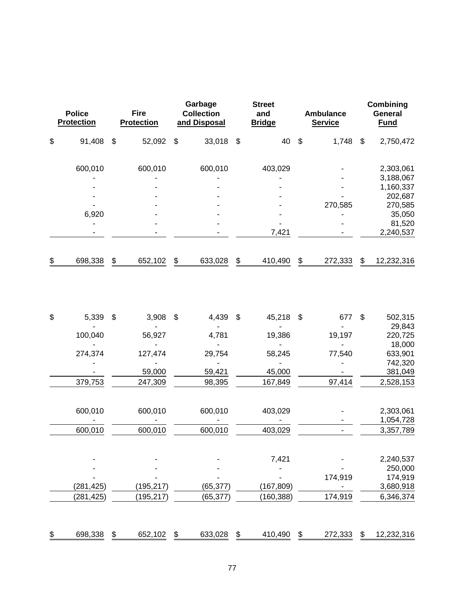| <b>Police</b><br><b>Protection</b> |            | <b>Fire</b><br><b>Protection</b> |            |                           | Garbage<br><b>Collection</b><br>and Disposal |                           | <b>Street</b><br>and<br><b>Bridge</b> |                           | <b>Ambulance</b><br><b>Service</b> | Combining<br>General<br><b>Fund</b> |
|------------------------------------|------------|----------------------------------|------------|---------------------------|----------------------------------------------|---------------------------|---------------------------------------|---------------------------|------------------------------------|-------------------------------------|
| \$                                 | 91,408     | $\boldsymbol{\mathsf{S}}$        | 52,092     | \$                        | 33,018                                       | $\boldsymbol{\mathsf{S}}$ | 40                                    | $\boldsymbol{\mathsf{S}}$ | 1,748                              | \$<br>2,750,472                     |
|                                    | 600,010    |                                  | 600,010    |                           | 600,010                                      |                           | 403,029                               |                           |                                    | 2,303,061                           |
|                                    |            |                                  |            |                           |                                              |                           |                                       |                           |                                    | 3,188,067                           |
|                                    |            |                                  |            |                           |                                              |                           |                                       |                           |                                    | 1,160,337                           |
|                                    |            |                                  |            |                           |                                              |                           |                                       |                           |                                    | 202,687                             |
|                                    |            |                                  |            |                           |                                              |                           |                                       |                           | 270,585                            | 270,585                             |
|                                    | 6,920      |                                  |            |                           |                                              |                           |                                       |                           |                                    | 35,050                              |
|                                    |            |                                  |            |                           |                                              |                           |                                       |                           |                                    | 81,520                              |
|                                    |            |                                  |            |                           |                                              |                           | 7,421                                 |                           |                                    | 2,240,537                           |
| \$                                 | 698,338    | \$                               | 652,102    | \$                        | 633,028                                      | \$                        | 410,490                               | \$                        | 272,333                            | \$<br>12,232,316                    |
| \$                                 | 5,339      | \$                               | 3,908      | $\boldsymbol{\mathsf{S}}$ | 4,439                                        | \$                        | 45,218                                | \$                        | 677                                | \$<br>502,315                       |
|                                    |            |                                  |            |                           |                                              |                           |                                       |                           |                                    | 29,843                              |
|                                    | 100,040    |                                  | 56,927     |                           | 4,781                                        |                           | 19,386                                |                           | 19,197                             | 220,725                             |
|                                    |            |                                  |            |                           |                                              |                           |                                       |                           |                                    | 18,000                              |
|                                    | 274,374    |                                  | 127,474    |                           | 29,754                                       |                           | 58,245                                |                           | 77,540                             | 633,901                             |
|                                    |            |                                  |            |                           |                                              |                           |                                       |                           |                                    | 742,320                             |
|                                    |            |                                  | 59,000     |                           | 59,421                                       |                           | 45,000                                |                           |                                    | 381,049                             |
|                                    | 379,753    |                                  | 247,309    |                           | 98,395                                       |                           | 167,849                               |                           | 97,414                             | 2,528,153                           |
|                                    | 600,010    |                                  | 600,010    |                           | 600,010                                      |                           | 403,029                               |                           |                                    | 2,303,061                           |
|                                    |            |                                  |            |                           |                                              |                           |                                       |                           |                                    | 1,054,728                           |
|                                    | 600,010    |                                  | 600,010    |                           | 600,010                                      |                           | 403,029                               |                           |                                    | 3,357,789                           |
|                                    |            |                                  |            |                           |                                              |                           |                                       |                           |                                    |                                     |
|                                    |            |                                  |            |                           |                                              |                           | 7,421                                 |                           |                                    | 2,240,537<br>250,000                |
|                                    |            |                                  |            |                           |                                              |                           |                                       |                           | 174,919                            | 174,919                             |
|                                    | (281, 425) |                                  | (195, 217) |                           | (65, 377)                                    |                           | (167, 809)                            |                           |                                    | 3,680,918                           |
|                                    | (281, 425) |                                  | (195, 217) |                           | (65, 377)                                    |                           | (160, 388)                            |                           | 174,919                            | 6,346,374                           |
|                                    |            |                                  |            |                           |                                              |                           |                                       |                           |                                    |                                     |
| <u>\$</u>                          | 698,338    | \$                               | 652,102    | \$                        | 633,028                                      | \$                        | 410,490                               | \$                        | 272,333                            | \$<br>12,232,316                    |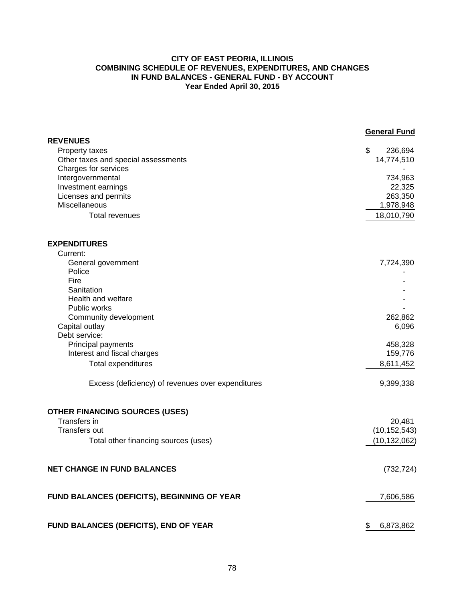## **CITY OF EAST PEORIA, ILLINOIS COMBINING SCHEDULE OF REVENUES, EXPENDITURES, AND CHANGES IN FUND BALANCES - GENERAL FUND - BY ACCOUNT Year Ended April 30, 2015**

|                                                       | <b>General Fund</b>       |
|-------------------------------------------------------|---------------------------|
| <b>REVENUES</b>                                       | $\boldsymbol{\mathsf{S}}$ |
| Property taxes<br>Other taxes and special assessments | 236,694<br>14,774,510     |
| Charges for services                                  |                           |
| Intergovernmental                                     | 734,963                   |
| Investment earnings                                   | 22,325                    |
| Licenses and permits                                  | 263,350                   |
| <b>Miscellaneous</b>                                  | 1,978,948                 |
| <b>Total revenues</b>                                 | 18,010,790                |
| <b>EXPENDITURES</b>                                   |                           |
| Current:                                              |                           |
| General government                                    | 7,724,390                 |
| Police                                                |                           |
| Fire                                                  |                           |
| Sanitation                                            |                           |
| Health and welfare                                    |                           |
| Public works                                          |                           |
| Community development                                 | 262,862                   |
| Capital outlay                                        | 6,096                     |
| Debt service:                                         | 458,328                   |
| Principal payments<br>Interest and fiscal charges     | 159,776                   |
|                                                       |                           |
| <b>Total expenditures</b>                             | 8,611,452                 |
| Excess (deficiency) of revenues over expenditures     | 9,399,338                 |
| <b>OTHER FINANCING SOURCES (USES)</b>                 |                           |
| Transfers in                                          | 20,481                    |
| <b>Transfers out</b>                                  | (10, 152, 543)            |
| Total other financing sources (uses)                  | (10, 132, 062)            |
| <b>NET CHANGE IN FUND BALANCES</b>                    | (732, 724)                |
| FUND BALANCES (DEFICITS), BEGINNING OF YEAR           | 7,606,586                 |
| FUND BALANCES (DEFICITS), END OF YEAR                 | 6,873,862<br>\$           |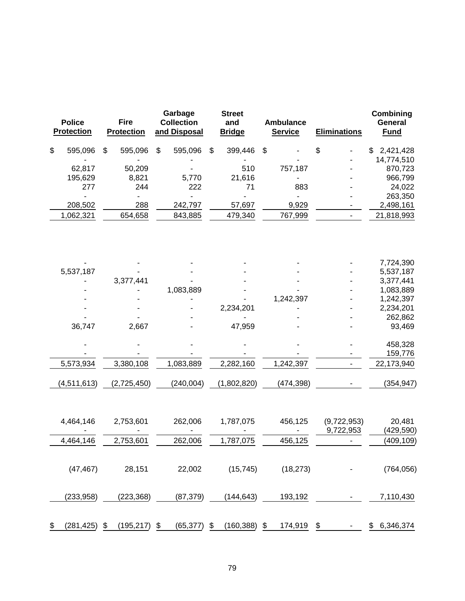| <b>Police</b><br><b>Protection</b> | <b>Fire</b><br><b>Protection</b> |                           | Garbage<br><b>Collection</b><br>and Disposal | <b>Street</b><br>and<br><b>Bridge</b> |               | <b>Ambulance</b><br><b>Service</b> | <b>Eliminations</b>      | Combining<br>General<br><b>Fund</b> |
|------------------------------------|----------------------------------|---------------------------|----------------------------------------------|---------------------------------------|---------------|------------------------------------|--------------------------|-------------------------------------|
| \$<br>595,096                      | \$<br>595,096                    | $\boldsymbol{\mathsf{S}}$ | 595,096                                      | \$<br>399,446                         | $\frac{1}{2}$ |                                    | \$                       | \$<br>2,421,428                     |
|                                    |                                  |                           |                                              |                                       |               |                                    |                          | 14,774,510                          |
| 62,817                             | 50,209                           |                           |                                              | 510                                   |               | 757,187                            |                          | 870,723                             |
| 195,629                            | 8,821                            |                           | 5,770                                        | 21,616                                |               |                                    |                          | 966,799                             |
| 277                                | 244                              |                           | 222                                          | 71                                    |               | 883                                |                          | 24,022                              |
| ä,<br>208,502                      | $\blacksquare$<br>288            |                           | $\overline{a}$<br>242,797                    | 57,697                                |               | 9,929                              |                          | 263,350                             |
| 1,062,321                          | 654,658                          |                           | 843,885                                      | 479,340                               |               | 767,999                            |                          | 2,498,161<br>21,818,993             |
|                                    |                                  |                           |                                              |                                       |               |                                    |                          |                                     |
|                                    |                                  |                           |                                              |                                       |               |                                    |                          | 7,724,390                           |
| 5,537,187                          | 3,377,441                        |                           |                                              |                                       |               |                                    |                          | 5,537,187<br>3,377,441              |
|                                    |                                  |                           | 1,083,889                                    |                                       |               |                                    |                          | 1,083,889                           |
|                                    |                                  |                           |                                              |                                       |               | 1,242,397                          |                          | 1,242,397                           |
|                                    |                                  |                           |                                              | 2,234,201                             |               |                                    |                          | 2,234,201                           |
|                                    |                                  |                           |                                              |                                       |               |                                    |                          | 262,862                             |
| 36,747                             | 2,667                            |                           |                                              | 47,959                                |               |                                    |                          | 93,469                              |
|                                    |                                  |                           |                                              |                                       |               |                                    |                          | 458,328                             |
|                                    |                                  |                           |                                              |                                       |               |                                    |                          | 159,776                             |
| 5,573,934                          | 3,380,108                        |                           | 1,083,889                                    | 2,282,160                             |               | 1,242,397                          |                          | 22,173,940                          |
| (4, 511, 613)                      | (2,725,450)                      |                           | (240, 004)                                   | (1,802,820)                           |               | (474, 398)                         |                          | (354, 947)                          |
| 4,464,146                          | 2,753,601                        |                           | 262,006                                      | 1,787,075                             |               | 456,125                            | (9,722,953)<br>9,722,953 | 20,481<br>(429, 590)                |
| 4,464,146                          | 2,753,601                        |                           | 262,006                                      | 1,787,075                             |               | 456,125                            |                          | (409,109)                           |
|                                    |                                  |                           |                                              |                                       |               |                                    |                          |                                     |
| (47, 467)                          | 28,151                           |                           | 22,002                                       | (15, 745)                             |               | (18, 273)                          |                          | (764, 056)                          |
| (233, 958)                         | (223, 368)                       |                           | (87, 379)                                    | (144, 643)                            |               | 193,192                            |                          | 7,110,430                           |
| \$<br>(281, 425)                   | \$<br>(195, 217)                 | \$                        | (65, 377)                                    | \$<br>(160, 388)                      | \$            | 174,919                            | \$                       | \$6,346,374                         |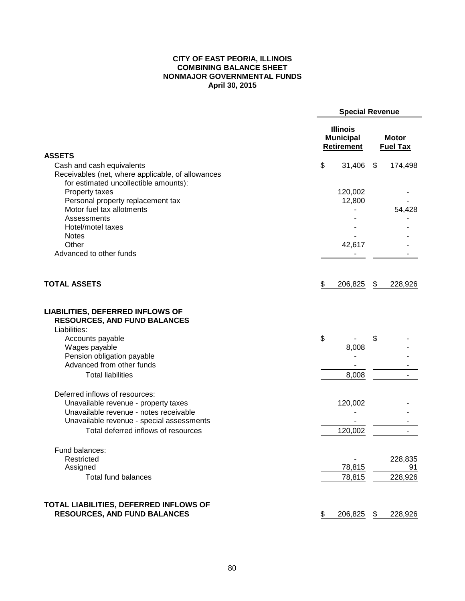## **CITY OF EAST PEORIA, ILLINOIS COMBINING BALANCE SHEET NONMAJOR GOVERNMENTAL FUNDS April 30, 2015**

|                                                                                                | <b>Special Revenue</b>                                   |    |                                 |  |  |
|------------------------------------------------------------------------------------------------|----------------------------------------------------------|----|---------------------------------|--|--|
|                                                                                                | <b>Illinois</b><br><b>Municipal</b><br><b>Retirement</b> |    | <b>Motor</b><br><b>Fuel Tax</b> |  |  |
| <b>ASSETS</b>                                                                                  |                                                          |    |                                 |  |  |
| Cash and cash equivalents                                                                      | \$<br>31,406                                             | \$ | 174,498                         |  |  |
| Receivables (net, where applicable, of allowances                                              |                                                          |    |                                 |  |  |
| for estimated uncollectible amounts):                                                          |                                                          |    |                                 |  |  |
| Property taxes<br>Personal property replacement tax                                            | 120,002<br>12,800                                        |    |                                 |  |  |
| Motor fuel tax allotments                                                                      |                                                          |    | 54,428                          |  |  |
| Assessments                                                                                    |                                                          |    |                                 |  |  |
| Hotel/motel taxes                                                                              |                                                          |    |                                 |  |  |
| <b>Notes</b>                                                                                   |                                                          |    |                                 |  |  |
| Other                                                                                          | 42,617                                                   |    |                                 |  |  |
| Advanced to other funds                                                                        |                                                          |    |                                 |  |  |
| <b>TOTAL ASSETS</b>                                                                            |                                                          |    |                                 |  |  |
|                                                                                                | \$<br>206,825                                            | \$ | 228,926                         |  |  |
| <b>LIABILITIES, DEFERRED INFLOWS OF</b><br><b>RESOURCES, AND FUND BALANCES</b><br>Liabilities: |                                                          |    |                                 |  |  |
| Accounts payable                                                                               | \$                                                       | \$ |                                 |  |  |
| Wages payable                                                                                  | 8,008                                                    |    |                                 |  |  |
| Pension obligation payable                                                                     |                                                          |    |                                 |  |  |
| Advanced from other funds                                                                      |                                                          |    |                                 |  |  |
| <b>Total liabilities</b>                                                                       | 8,008                                                    |    |                                 |  |  |
|                                                                                                |                                                          |    |                                 |  |  |
| Deferred inflows of resources:                                                                 |                                                          |    |                                 |  |  |
| Unavailable revenue - property taxes                                                           | 120,002                                                  |    |                                 |  |  |
| Unavailable revenue - notes receivable                                                         |                                                          |    |                                 |  |  |
| Unavailable revenue - special assessments                                                      |                                                          |    |                                 |  |  |
| Total deferred inflows of resources                                                            | 120,002                                                  |    |                                 |  |  |
| Fund balances:                                                                                 |                                                          |    |                                 |  |  |
| Restricted                                                                                     |                                                          |    | 228,835                         |  |  |
| Assigned                                                                                       | 78,815                                                   |    | 91                              |  |  |
| Total fund balances                                                                            | 78,815                                                   |    | 228,926                         |  |  |
| TOTAL LIABILITIES, DEFERRED INFLOWS OF                                                         |                                                          |    |                                 |  |  |
| <b>RESOURCES, AND FUND BALANCES</b>                                                            | \$<br>206,825                                            | \$ | 228,926                         |  |  |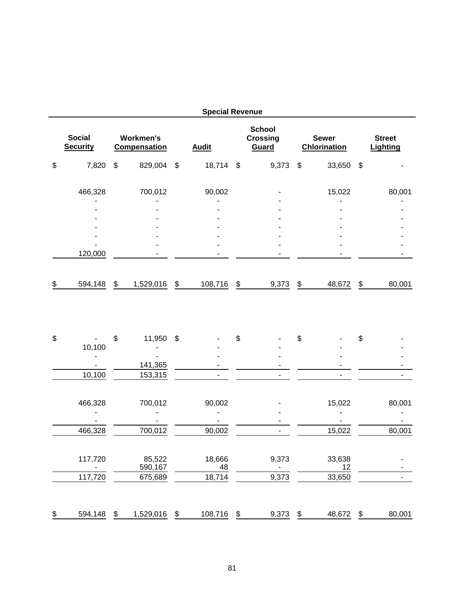| <b>Special Revenue</b>                                                      |    |                    |               |              |                                           |       |                                     |              |                                  |                |  |
|-----------------------------------------------------------------------------|----|--------------------|---------------|--------------|-------------------------------------------|-------|-------------------------------------|--------------|----------------------------------|----------------|--|
| <b>Social</b><br><b>Workmen's</b><br><b>Security</b><br><b>Compensation</b> |    |                    | <b>Audit</b>  |              | <b>School</b><br><b>Crossing</b><br>Guard |       | <b>Sewer</b><br><b>Chlorination</b> |              | <b>Street</b><br><b>Lighting</b> |                |  |
| \$<br>7,820                                                                 | \$ | 829,004 \$         |               | 18,714 \$    |                                           | 9,373 | \$                                  | 33,650       | \$                               |                |  |
| 466,328                                                                     |    | 700,012            |               | 90,002       |                                           |       |                                     | 15,022       |                                  | 80,001         |  |
|                                                                             |    |                    |               |              |                                           |       |                                     |              |                                  |                |  |
|                                                                             |    |                    |               |              |                                           |       |                                     |              |                                  |                |  |
|                                                                             |    |                    |               |              |                                           |       |                                     |              |                                  |                |  |
|                                                                             |    |                    |               |              |                                           |       |                                     |              |                                  |                |  |
| 120,000                                                                     |    |                    |               |              |                                           |       |                                     |              |                                  |                |  |
| \$<br>594,148                                                               | \$ | 1,529,016          | \$            | 108,716      | \$                                        | 9,373 | \$                                  | 48,672       | \$                               | 80,001         |  |
| \$<br>10,100                                                                | \$ | 11,950             | \$            |              | \$                                        |       | \$                                  |              | \$                               |                |  |
|                                                                             |    |                    |               |              |                                           |       |                                     |              |                                  |                |  |
| 10,100                                                                      |    | 141,365<br>153,315 |               |              |                                           |       |                                     |              |                                  |                |  |
|                                                                             |    |                    |               |              |                                           |       |                                     |              |                                  |                |  |
| 466,328                                                                     |    | 700,012            |               | 90,002       |                                           |       |                                     | 15,022       |                                  | 80,001         |  |
| 466,328                                                                     |    | 700,012            |               | 90,002       |                                           |       |                                     | 15,022       |                                  | 80,001         |  |
| 117,720                                                                     |    | 85,522<br>590,167  |               | 18,666<br>48 |                                           | 9,373 |                                     | 33,638<br>12 |                                  |                |  |
| 117,720                                                                     |    | 675,689            |               | 18,714       |                                           | 9,373 |                                     | 33,650       |                                  | $\blacksquare$ |  |
| \$<br>594,148                                                               | \$ | 1,529,016          | $\frac{1}{2}$ | 108,716      | \$                                        | 9,373 | \$                                  | 48,672       | \$                               | 80,001         |  |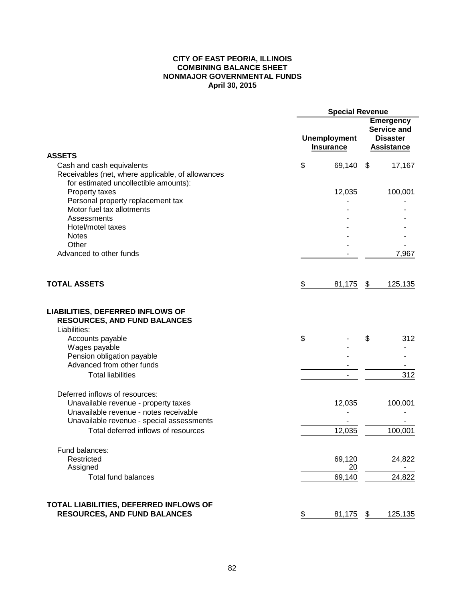#### **CITY OF EAST PEORIA, ILLINOIS COMBINING BALANCE SHEET NONMAJOR GOVERNMENTAL FUNDS April 30, 2015**

|                                                                                                                         | <b>Special Revenue</b>   |                                         |    |                                                                         |  |
|-------------------------------------------------------------------------------------------------------------------------|--------------------------|-----------------------------------------|----|-------------------------------------------------------------------------|--|
|                                                                                                                         |                          | <b>Unemployment</b><br><b>Insurance</b> |    | <b>Emergency</b><br>Service and<br><b>Disaster</b><br><b>Assistance</b> |  |
| <b>ASSETS</b>                                                                                                           |                          |                                         |    |                                                                         |  |
| Cash and cash equivalents<br>Receivables (net, where applicable, of allowances<br>for estimated uncollectible amounts): | \$                       | 69,140 \$                               |    | 17,167                                                                  |  |
| Property taxes                                                                                                          |                          | 12,035                                  |    | 100,001                                                                 |  |
| Personal property replacement tax                                                                                       |                          |                                         |    |                                                                         |  |
| Motor fuel tax allotments                                                                                               |                          |                                         |    |                                                                         |  |
| Assessments                                                                                                             |                          |                                         |    |                                                                         |  |
| Hotel/motel taxes                                                                                                       |                          |                                         |    |                                                                         |  |
| <b>Notes</b><br>Other                                                                                                   |                          |                                         |    |                                                                         |  |
| Advanced to other funds                                                                                                 |                          |                                         |    | 7,967                                                                   |  |
|                                                                                                                         |                          |                                         |    |                                                                         |  |
| <b>TOTAL ASSETS</b>                                                                                                     | \$                       | 81,175                                  | \$ | 125,135                                                                 |  |
| <b>LIABILITIES, DEFERRED INFLOWS OF</b><br><b>RESOURCES, AND FUND BALANCES</b><br>Liabilities:                          |                          |                                         |    |                                                                         |  |
| Accounts payable                                                                                                        | \$                       |                                         | \$ | 312                                                                     |  |
| Wages payable                                                                                                           |                          |                                         |    |                                                                         |  |
| Pension obligation payable                                                                                              |                          |                                         |    |                                                                         |  |
| Advanced from other funds                                                                                               |                          |                                         |    |                                                                         |  |
| <b>Total liabilities</b>                                                                                                |                          |                                         |    | 312                                                                     |  |
| Deferred inflows of resources:                                                                                          |                          |                                         |    |                                                                         |  |
| Unavailable revenue - property taxes                                                                                    |                          | 12,035                                  |    | 100,001                                                                 |  |
| Unavailable revenue - notes receivable                                                                                  |                          |                                         |    |                                                                         |  |
| Unavailable revenue - special assessments                                                                               |                          |                                         |    |                                                                         |  |
| Total deferred inflows of resources                                                                                     |                          | 12,035                                  |    | 100,001                                                                 |  |
| Fund balances:                                                                                                          |                          |                                         |    |                                                                         |  |
| Restricted                                                                                                              |                          | 69,120                                  |    | 24,822                                                                  |  |
| Assigned                                                                                                                |                          | 20                                      |    |                                                                         |  |
| <b>Total fund balances</b>                                                                                              |                          | 69,140                                  |    | 24,822                                                                  |  |
| TOTAL LIABILITIES, DEFERRED INFLOWS OF                                                                                  |                          |                                         |    |                                                                         |  |
| <b>RESOURCES, AND FUND BALANCES</b>                                                                                     | $\overline{\mathcal{F}}$ | 81,175                                  | \$ | 125,135                                                                 |  |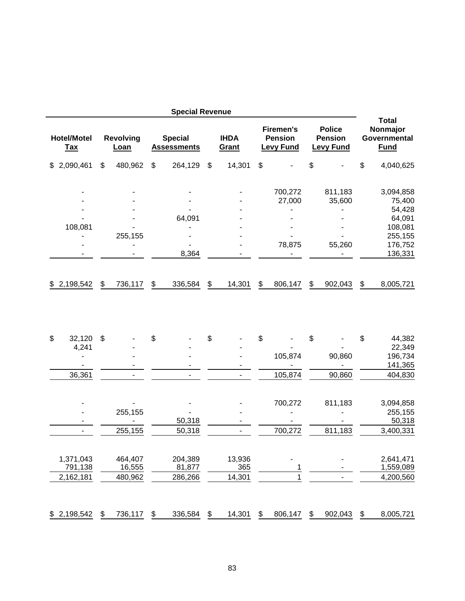|                                  |                          |               | <b>Special Revenue</b>               |               |                      |                                                        |                                                     |               |                                                         |
|----------------------------------|--------------------------|---------------|--------------------------------------|---------------|----------------------|--------------------------------------------------------|-----------------------------------------------------|---------------|---------------------------------------------------------|
| <b>Hotel/Motel</b><br><u>Tax</u> | <b>Revolving</b><br>Loan |               | <b>Special</b><br><b>Assessments</b> |               | <b>IHDA</b><br>Grant | <b>Firemen's</b><br><b>Pension</b><br><b>Levy Fund</b> | <b>Police</b><br><b>Pension</b><br><b>Levy Fund</b> |               | <b>Total</b><br>Nonmajor<br>Governmental<br><b>Fund</b> |
| 2,090,461<br>\$                  | \$<br>480,962            | \$            | 264,129                              | \$            | 14,301               | \$                                                     | \$                                                  | \$            | 4,040,625                                               |
|                                  |                          |               |                                      |               |                      | 700,272                                                | 811,183                                             |               | 3,094,858                                               |
|                                  |                          |               |                                      |               |                      | 27,000                                                 | 35,600                                              |               | 75,400                                                  |
|                                  |                          |               |                                      |               |                      |                                                        |                                                     |               | 54,428                                                  |
|                                  |                          |               | 64,091                               |               |                      |                                                        |                                                     |               | 64,091                                                  |
| 108,081                          | 255,155                  |               |                                      |               |                      |                                                        |                                                     |               | 108,081<br>255,155                                      |
|                                  |                          |               |                                      |               |                      | 78,875                                                 | 55,260                                              |               | 176,752                                                 |
|                                  |                          |               | 8,364                                |               |                      |                                                        |                                                     |               | 136,331                                                 |
| \$2,198,542                      | \$<br>736,117            | \$            | 336,584                              | \$            | 14,301               | \$<br>806,147                                          | \$<br>902,043                                       | \$            | 8,005,721                                               |
|                                  |                          |               |                                      |               |                      |                                                        |                                                     |               |                                                         |
|                                  |                          |               |                                      |               |                      |                                                        |                                                     |               |                                                         |
| \$<br>32,120                     | \$                       | \$            |                                      | \$            |                      | \$                                                     | \$                                                  | \$            | 44,382                                                  |
| 4,241                            |                          |               |                                      |               |                      |                                                        |                                                     |               | 22,349                                                  |
|                                  |                          |               |                                      |               |                      | 105,874                                                | 90,860                                              |               | 196,734                                                 |
|                                  |                          |               |                                      |               |                      |                                                        |                                                     |               | 141,365                                                 |
| 36,361                           |                          |               | Ξ.                                   |               | ۰.                   | 105,874                                                | 90,860                                              |               | 404,830                                                 |
|                                  |                          |               |                                      |               |                      | 700,272                                                | 811,183                                             |               | 3,094,858                                               |
|                                  | 255,155                  |               | 50,318                               |               |                      |                                                        |                                                     |               | 255,155<br>50,318                                       |
|                                  | 255,155                  |               | 50,318                               |               |                      | 700,272                                                | 811,183                                             |               | 3,400,331                                               |
|                                  |                          |               |                                      |               |                      |                                                        |                                                     |               |                                                         |
| 1,371,043                        | 464,407                  |               | 204,389                              |               | 13,936               |                                                        |                                                     |               | 2,641,471                                               |
| 791,138                          | 16,555                   |               | 81,877                               |               | 365                  | 1                                                      |                                                     |               | 1,559,089                                               |
| 2,162,181                        | 480,962                  |               | 286,266                              |               | 14,301               | 1                                                      |                                                     |               | 4,200,560                                               |
| \$2,198,542                      | \$<br>736,117            | $\frac{1}{2}$ | 336,584                              | $\frac{1}{2}$ | 14,301               | \$<br>806,147                                          | \$<br>902,043                                       | $\frac{1}{2}$ | 8,005,721                                               |
|                                  |                          |               |                                      |               |                      |                                                        |                                                     |               |                                                         |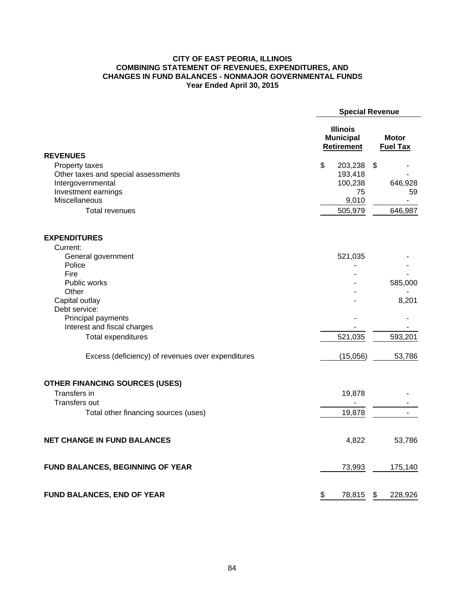## **CITY OF EAST PEORIA, ILLINOIS COMBINING STATEMENT OF REVENUES, EXPENDITURES, AND CHANGES IN FUND BALANCES - NONMAJOR GOVERNMENTAL FUNDS Year Ended April 30, 2015**

|                                                          | <b>Special Revenue</b> |                                                          |    |                                 |
|----------------------------------------------------------|------------------------|----------------------------------------------------------|----|---------------------------------|
|                                                          |                        | <b>Illinois</b><br><b>Municipal</b><br><b>Retirement</b> |    | <b>Motor</b><br><b>Fuel Tax</b> |
| <b>REVENUES</b>                                          |                        |                                                          |    |                                 |
| Property taxes                                           | \$                     | 203,238                                                  | \$ |                                 |
| Other taxes and special assessments<br>Intergovernmental |                        | 193,418<br>100,238                                       |    | 646,928                         |
| Investment earnings                                      |                        | 75                                                       |    | 59                              |
| Miscellaneous                                            |                        | 9,010                                                    |    |                                 |
| <b>Total revenues</b>                                    |                        | 505,979                                                  |    | 646,987                         |
|                                                          |                        |                                                          |    |                                 |
| <b>EXPENDITURES</b>                                      |                        |                                                          |    |                                 |
| Current:                                                 |                        |                                                          |    |                                 |
| General government                                       |                        | 521,035                                                  |    |                                 |
| Police                                                   |                        |                                                          |    |                                 |
| Fire                                                     |                        |                                                          |    |                                 |
| Public works                                             |                        |                                                          |    | 585,000                         |
| Other                                                    |                        |                                                          |    |                                 |
| Capital outlay                                           |                        |                                                          |    | 8,201                           |
| Debt service:                                            |                        |                                                          |    |                                 |
| Principal payments                                       |                        |                                                          |    |                                 |
| Interest and fiscal charges                              |                        |                                                          |    |                                 |
| <b>Total expenditures</b>                                |                        | 521,035                                                  |    | 593,201                         |
| Excess (deficiency) of revenues over expenditures        |                        | (15,056)                                                 |    | 53,786                          |
| OTHER FINANCING SOURCES (USES)                           |                        |                                                          |    |                                 |
| <b>Transfers in</b>                                      |                        | 19,878                                                   |    |                                 |
| <b>Transfers out</b>                                     |                        |                                                          |    |                                 |
| Total other financing sources (uses)                     |                        | 19,878                                                   |    |                                 |
| <b>NET CHANGE IN FUND BALANCES</b>                       |                        | 4,822                                                    |    | 53,786                          |
| FUND BALANCES, BEGINNING OF YEAR                         |                        | 73,993                                                   |    | 175,140                         |
| <b>FUND BALANCES, END OF YEAR</b>                        | \$                     | 78,815                                                   | \$ | 228,926                         |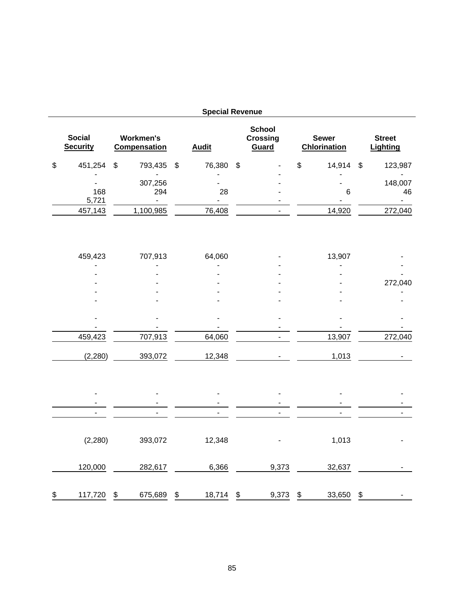|                                  |                                         |                   | <b>Special Revenue</b>           |                                           |                                     |                                  |
|----------------------------------|-----------------------------------------|-------------------|----------------------------------|-------------------------------------------|-------------------------------------|----------------------------------|
| <b>Social</b><br><b>Security</b> | <b>Workmen's</b><br><b>Compensation</b> |                   | <b>Audit</b>                     | <b>School</b><br><b>Crossing</b><br>Guard | <b>Sewer</b><br><b>Chlorination</b> | <b>Street</b><br><b>Lighting</b> |
| \$<br>451,254                    | \$<br>793,435                           | \$                | 76,380                           | \$                                        | \$<br>14,914 \$                     | 123,987                          |
| 168<br>5,721                     | 307,256<br>294<br>$\sim$                |                   | 28<br>$\sim$                     |                                           | 6                                   | 148,007<br>46<br>$\blacksquare$  |
| 457,143                          | 1,100,985                               |                   | 76,408                           |                                           | 14,920                              | 272,040                          |
| 459,423                          | 707,913                                 |                   | 64,060                           |                                           | 13,907                              |                                  |
|                                  |                                         |                   |                                  |                                           |                                     |                                  |
|                                  |                                         |                   |                                  |                                           |                                     | 272,040                          |
|                                  |                                         |                   |                                  |                                           |                                     |                                  |
|                                  |                                         |                   |                                  |                                           |                                     |                                  |
| 459,423                          | 707,913                                 |                   | 64,060                           |                                           | 13,907                              | 272,040                          |
| (2, 280)                         | 393,072                                 |                   | 12,348                           |                                           | 1,013                               |                                  |
|                                  |                                         |                   | $\overline{\phantom{a}}$         |                                           | $\overline{a}$                      |                                  |
| $\overline{\phantom{a}}$         | L.                                      |                   | $\blacksquare$<br>$\blacksquare$ | $\overline{a}$                            | L.                                  | $\blacksquare$                   |
|                                  |                                         |                   |                                  |                                           |                                     |                                  |
| (2, 280)                         | 393,072                                 |                   | 12,348                           |                                           | 1,013                               |                                  |
| 120,000                          | 282,617                                 |                   | 6,366                            | 9,373                                     | 32,637                              |                                  |
| \$<br>117,720                    | \$<br>675,689                           | $\boldsymbol{\$}$ | 18,714                           | \$<br>9,373                               | \$<br>33,650                        | \$                               |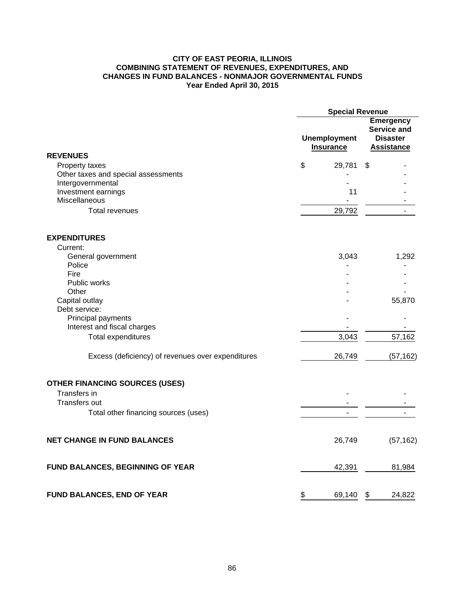## **CITY OF EAST PEORIA, ILLINOIS COMBINING STATEMENT OF REVENUES, EXPENDITURES, AND CHANGES IN FUND BALANCES - NONMAJOR GOVERNMENTAL FUNDS Year Ended April 30, 2015**

|                                                          | <b>Special Revenue</b> |                                         |    |                                                                                |  |  |
|----------------------------------------------------------|------------------------|-----------------------------------------|----|--------------------------------------------------------------------------------|--|--|
|                                                          |                        | <b>Unemployment</b><br><b>Insurance</b> |    | <b>Emergency</b><br><b>Service and</b><br><b>Disaster</b><br><b>Assistance</b> |  |  |
| <b>REVENUES</b>                                          |                        |                                         |    |                                                                                |  |  |
| Property taxes                                           | \$                     | 29,781                                  | \$ |                                                                                |  |  |
| Other taxes and special assessments<br>Intergovernmental |                        |                                         |    |                                                                                |  |  |
| Investment earnings                                      |                        | 11                                      |    |                                                                                |  |  |
| Miscellaneous                                            |                        |                                         |    |                                                                                |  |  |
| <b>Total revenues</b>                                    |                        | 29,792                                  |    |                                                                                |  |  |
|                                                          |                        |                                         |    |                                                                                |  |  |
| <b>EXPENDITURES</b>                                      |                        |                                         |    |                                                                                |  |  |
| Current:                                                 |                        |                                         |    |                                                                                |  |  |
| General government                                       |                        | 3,043                                   |    | 1,292                                                                          |  |  |
| Police                                                   |                        |                                         |    |                                                                                |  |  |
| Fire                                                     |                        |                                         |    |                                                                                |  |  |
| Public works                                             |                        |                                         |    |                                                                                |  |  |
| Other                                                    |                        |                                         |    |                                                                                |  |  |
| Capital outlay                                           |                        |                                         |    | 55,870                                                                         |  |  |
| Debt service:                                            |                        |                                         |    |                                                                                |  |  |
| Principal payments<br>Interest and fiscal charges        |                        |                                         |    |                                                                                |  |  |
|                                                          |                        |                                         |    |                                                                                |  |  |
| <b>Total expenditures</b>                                |                        | 3,043                                   |    | 57,162                                                                         |  |  |
| Excess (deficiency) of revenues over expenditures        |                        | 26,749                                  |    | (57, 162)                                                                      |  |  |
| <b>OTHER FINANCING SOURCES (USES)</b>                    |                        |                                         |    |                                                                                |  |  |
| Transfers in                                             |                        |                                         |    |                                                                                |  |  |
| <b>Transfers out</b>                                     |                        |                                         |    |                                                                                |  |  |
| Total other financing sources (uses)                     |                        |                                         |    |                                                                                |  |  |
| <b>NET CHANGE IN FUND BALANCES</b>                       |                        | 26,749                                  |    | (57, 162)                                                                      |  |  |
| FUND BALANCES, BEGINNING OF YEAR                         |                        | 42,391                                  |    | 81,984                                                                         |  |  |
| <b>FUND BALANCES, END OF YEAR</b>                        | \$                     | 69,140                                  | \$ | 24,822                                                                         |  |  |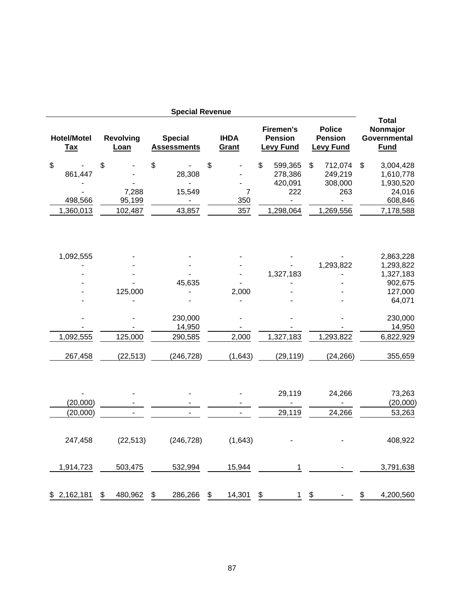|                                       |                                  | <b>Special Revenue</b>                     |                                    |                                                                           |               |                                                                     |                                                                             |
|---------------------------------------|----------------------------------|--------------------------------------------|------------------------------------|---------------------------------------------------------------------------|---------------|---------------------------------------------------------------------|-----------------------------------------------------------------------------|
| <b>Hotel/Motel</b><br><b>Tax</b>      | <b>Revolving</b><br>Loan         | <b>Special</b><br><b>Assessments</b>       | <b>IHDA</b><br>Grant               | <b>Firemen's</b><br><b>Pension</b><br><b>Levy Fund</b>                    |               | <b>Police</b><br><b>Pension</b><br><b>Levy Fund</b>                 | <b>Total</b><br>Nonmajor<br>Governmental<br><b>Fund</b>                     |
| \$<br>861,447<br>498,566<br>1,360,013 | \$<br>7,288<br>95,199<br>102,487 | \$<br>28,308<br>15,549<br>43,857           | \$<br>$\overline{7}$<br>350<br>357 | \$<br>599,365<br>278,386<br>420,091<br>222<br>$\blacksquare$<br>1,298,064 | \$            | 712,074<br>249,219<br>308,000<br>263<br>$\blacksquare$<br>1,269,556 | \$<br>3,004,428<br>1,610,778<br>1,930,520<br>24,016<br>608,846<br>7,178,588 |
| 1,092,555                             | 125,000                          | 45,635                                     | 2,000                              | 1,327,183                                                                 |               | 1,293,822                                                           | 2,863,228<br>1,293,822<br>1,327,183<br>902,675<br>127,000<br>64,071         |
| 1,092,555<br>267,458                  | 125,000<br>(22, 513)             | 230,000<br>14,950<br>290,585<br>(246, 728) | 2,000<br>(1,643)                   | 1,327,183<br>(29, 119)                                                    |               | 1,293,822<br>(24, 266)                                              | 230,000<br>14,950<br>6,822,929<br>355,659                                   |
| (20,000)<br>(20,000)                  |                                  |                                            |                                    | 29,119<br>29,119                                                          |               | 24,266<br>24,266                                                    | 73,263<br>(20,000)<br>53,263                                                |
| 247,458                               | (22, 513)                        | (246, 728)                                 | (1,643)                            |                                                                           |               |                                                                     | 408,922                                                                     |
| 1,914,723<br>\$2,162,181              | 503,475<br>\$<br>480,962         | \$<br>532,994<br>286,266                   | \$<br>15,944<br>14,301             | \$<br>1<br>$\mathbf{1}$                                                   | $\frac{6}{5}$ |                                                                     | \$<br>3,791,638<br>4,200,560                                                |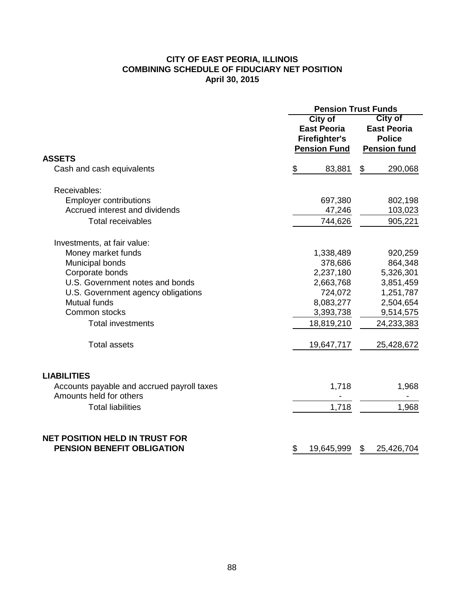# **CITY OF EAST PEORIA, ILLINOIS COMBINING SCHEDULE OF FIDUCIARY NET POSITION April 30, 2015**

|                                                                            | <b>Pension Trust Funds</b>                                                          |                                                                       |  |  |  |  |  |
|----------------------------------------------------------------------------|-------------------------------------------------------------------------------------|-----------------------------------------------------------------------|--|--|--|--|--|
|                                                                            | <b>City of</b><br><b>East Peoria</b><br><b>Firefighter's</b><br><b>Pension Fund</b> | City of<br><b>East Peoria</b><br><b>Police</b><br><b>Pension fund</b> |  |  |  |  |  |
| <b>ASSETS</b>                                                              |                                                                                     |                                                                       |  |  |  |  |  |
| Cash and cash equivalents                                                  | \$<br>83,881                                                                        | \$<br>290,068                                                         |  |  |  |  |  |
| Receivables:                                                               |                                                                                     |                                                                       |  |  |  |  |  |
| <b>Employer contributions</b>                                              | 697,380                                                                             | 802,198                                                               |  |  |  |  |  |
| Accrued interest and dividends                                             | 47,246                                                                              | 103,023                                                               |  |  |  |  |  |
| <b>Total receivables</b>                                                   | 744,626                                                                             | 905,221                                                               |  |  |  |  |  |
| Investments, at fair value:                                                |                                                                                     |                                                                       |  |  |  |  |  |
| Money market funds                                                         | 1,338,489                                                                           | 920,259                                                               |  |  |  |  |  |
| Municipal bonds                                                            | 378,686                                                                             | 864,348                                                               |  |  |  |  |  |
| Corporate bonds                                                            | 2,237,180                                                                           | 5,326,301                                                             |  |  |  |  |  |
| U.S. Government notes and bonds                                            | 2,663,768                                                                           | 3,851,459                                                             |  |  |  |  |  |
| U.S. Government agency obligations                                         | 724,072                                                                             | 1,251,787                                                             |  |  |  |  |  |
| Mutual funds                                                               | 8,083,277                                                                           | 2,504,654                                                             |  |  |  |  |  |
| Common stocks                                                              | 3,393,738                                                                           | 9,514,575                                                             |  |  |  |  |  |
| <b>Total investments</b>                                                   | 18,819,210                                                                          | 24,233,383                                                            |  |  |  |  |  |
| <b>Total assets</b>                                                        | 19,647,717                                                                          | 25,428,672                                                            |  |  |  |  |  |
| <b>LIABILITIES</b>                                                         |                                                                                     |                                                                       |  |  |  |  |  |
| Accounts payable and accrued payroll taxes<br>Amounts held for others      | 1,718                                                                               | 1,968                                                                 |  |  |  |  |  |
| <b>Total liabilities</b>                                                   | 1,718                                                                               | 1,968                                                                 |  |  |  |  |  |
| <b>NET POSITION HELD IN TRUST FOR</b><br><b>PENSION BENEFIT OBLIGATION</b> | \$<br>19,645,999                                                                    | \$<br>25,426,704                                                      |  |  |  |  |  |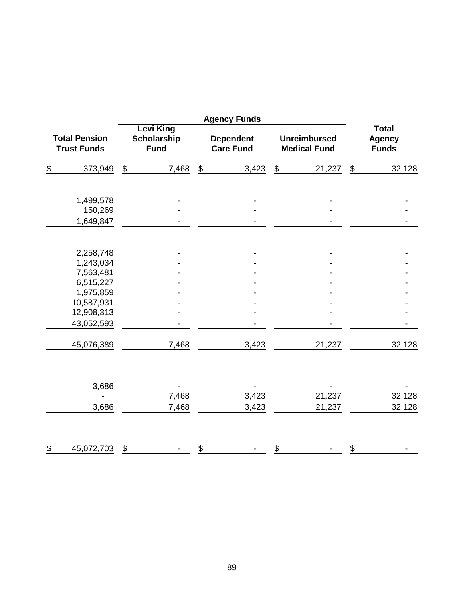|                                            |                          |       |                                                       | <b>Agency Funds</b>                  |                                   |                                            |                                               |        |  |
|--------------------------------------------|--------------------------|-------|-------------------------------------------------------|--------------------------------------|-----------------------------------|--------------------------------------------|-----------------------------------------------|--------|--|
| <b>Total Pension</b><br><b>Trust Funds</b> |                          |       | <b>Levi King</b><br><b>Scholarship</b><br><b>Fund</b> | <b>Dependent</b><br><b>Care Fund</b> |                                   | <b>Unreimbursed</b><br><b>Medical Fund</b> | <b>Total</b><br><b>Agency</b><br><b>Funds</b> |        |  |
| \$                                         | 373,949                  | \$    | 7,468                                                 | \$<br>3,423                          | $\frac{\mathcal{L}}{\mathcal{L}}$ | 21,237                                     | \$                                            | 32,128 |  |
|                                            |                          |       |                                                       |                                      |                                   |                                            |                                               |        |  |
|                                            | 1,499,578<br>150,269     |       |                                                       |                                      |                                   |                                            |                                               |        |  |
|                                            | 1,649,847                |       |                                                       | $\blacksquare$                       |                                   |                                            |                                               |        |  |
|                                            | 2,258,748                |       |                                                       |                                      |                                   |                                            |                                               |        |  |
|                                            | 1,243,034                |       |                                                       |                                      |                                   |                                            |                                               |        |  |
|                                            | 7,563,481                |       |                                                       |                                      |                                   |                                            |                                               |        |  |
|                                            | 6,515,227                |       |                                                       |                                      |                                   |                                            |                                               |        |  |
|                                            | 1,975,859                |       |                                                       |                                      |                                   |                                            |                                               |        |  |
|                                            | 10,587,931               |       |                                                       |                                      |                                   |                                            |                                               |        |  |
|                                            | 12,908,313               |       |                                                       |                                      |                                   |                                            |                                               |        |  |
|                                            | 43,052,593               |       |                                                       | $\blacksquare$                       |                                   |                                            |                                               |        |  |
|                                            | 45,076,389               |       | 7,468                                                 | 3,423                                |                                   | 21,237                                     |                                               | 32,128 |  |
|                                            |                          |       |                                                       |                                      |                                   |                                            |                                               |        |  |
|                                            | 3,686                    |       |                                                       |                                      |                                   |                                            |                                               |        |  |
|                                            | $\overline{\phantom{0}}$ |       | 7,468                                                 | 3,423                                |                                   | 21,237                                     |                                               | 32,128 |  |
|                                            | 3,686                    |       | 7,468                                                 | 3,423                                |                                   | 21,237                                     |                                               | 32,128 |  |
| \$                                         | 45,072,703               | $\$\$ |                                                       | \$                                   | \$                                |                                            | \$                                            |        |  |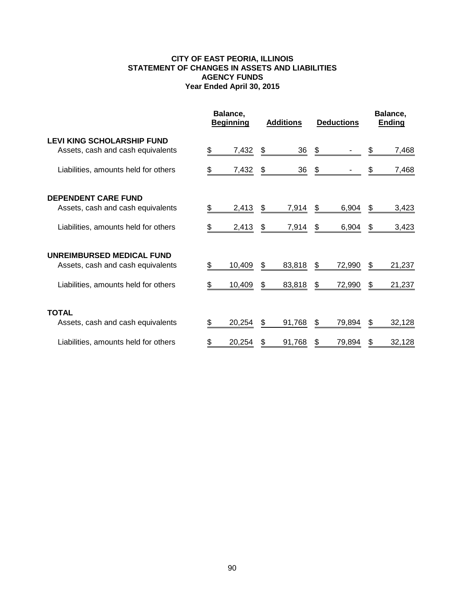## **CITY OF EAST PEORIA, ILLINOIS STATEMENT OF CHANGES IN ASSETS AND LIABILITIES AGENCY FUNDS Year Ended April 30, 2015**

|                                                                        | Balance,<br><b>Additions</b><br><b>Beginning</b> |        | <b>Deductions</b> |                | Balance,<br>Ending |        |    |        |
|------------------------------------------------------------------------|--------------------------------------------------|--------|-------------------|----------------|--------------------|--------|----|--------|
| <b>LEVI KING SCHOLARSHIP FUND</b><br>Assets, cash and cash equivalents | S.                                               | 7,432  | \$                | $\frac{36}{5}$ | \$                 |        |    | 7,468  |
| Liabilities, amounts held for others                                   |                                                  | 7,432  | \$                | 36             | \$                 |        |    | 7,468  |
| <b>DEPENDENT CARE FUND</b>                                             |                                                  |        |                   |                |                    |        |    |        |
| Assets, cash and cash equivalents                                      | S.                                               | 2,413  | \$                | 7,914          | S                  | 6,904  | \$ | 3,423  |
| Liabilities, amounts held for others                                   | SS.                                              | 2,413  | \$                | 7,914          | S                  | 6,904  | \$ | 3,423  |
| UNREIMBURSED MEDICAL FUND                                              |                                                  |        |                   |                |                    |        |    |        |
| Assets, cash and cash equivalents                                      |                                                  | 10,409 | \$                | 83,818         | S.                 | 72,990 | S. | 21,237 |
| Liabilities, amounts held for others                                   |                                                  | 10,409 | \$                | 83,818         | S                  | 72,990 | \$ | 21,237 |
| <b>TOTAL</b>                                                           |                                                  |        |                   |                |                    |        |    |        |
| Assets, cash and cash equivalents                                      |                                                  | 20,254 | \$                | 91,768         |                    | 79,894 | S  | 32,128 |
| Liabilities, amounts held for others                                   |                                                  | 20,254 | S                 | 91,768         |                    | 79,894 | S  | 32,128 |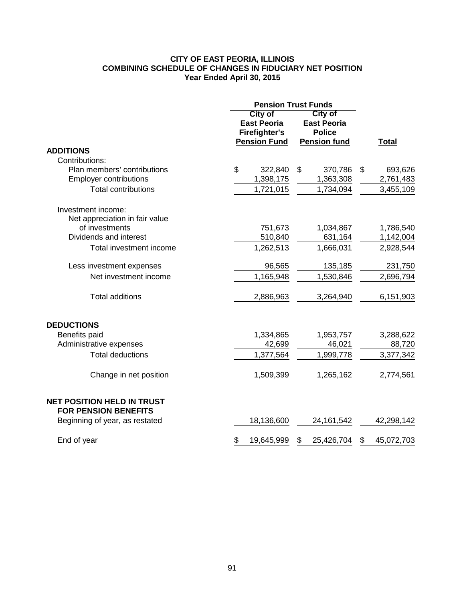## **CITY OF EAST PEORIA, ILLINOIS COMBINING SCHEDULE OF CHANGES IN FIDUCIARY NET POSITION Year Ended April 30, 2015**

|                                                                  | <b>Pension Trust Funds</b>                                                          |                                                                              |                            |
|------------------------------------------------------------------|-------------------------------------------------------------------------------------|------------------------------------------------------------------------------|----------------------------|
|                                                                  | <b>City of</b><br><b>East Peoria</b><br><b>Firefighter's</b><br><b>Pension Fund</b> | <b>City of</b><br><b>East Peoria</b><br><b>Police</b><br><b>Pension fund</b> | <b>Total</b>               |
| <b>ADDITIONS</b>                                                 |                                                                                     |                                                                              |                            |
| Contributions:                                                   |                                                                                     |                                                                              |                            |
| Plan members' contributions<br><b>Employer contributions</b>     | \$<br>322,840<br>1,398,175                                                          | \$<br>370,786<br>1,363,308                                                   | \$<br>693,626<br>2,761,483 |
| <b>Total contributions</b>                                       | 1,721,015                                                                           | 1,734,094                                                                    | 3,455,109                  |
| Investment income:<br>Net appreciation in fair value             |                                                                                     |                                                                              |                            |
| of investments                                                   | 751,673                                                                             | 1,034,867                                                                    | 1,786,540                  |
| Dividends and interest                                           | 510,840                                                                             | 631,164                                                                      | 1,142,004                  |
| Total investment income                                          | 1,262,513                                                                           | 1,666,031                                                                    | 2,928,544                  |
| Less investment expenses                                         | 96,565                                                                              | 135,185                                                                      | 231,750                    |
| Net investment income                                            | 1,165,948                                                                           | 1,530,846                                                                    | 2,696,794                  |
| <b>Total additions</b>                                           | 2,886,963                                                                           | 3,264,940                                                                    | 6,151,903                  |
| <b>DEDUCTIONS</b>                                                |                                                                                     |                                                                              |                            |
| Benefits paid                                                    | 1,334,865                                                                           | 1,953,757                                                                    | 3,288,622                  |
| Administrative expenses                                          | 42,699                                                                              | 46,021                                                                       | 88,720                     |
| <b>Total deductions</b>                                          | 1,377,564                                                                           | 1,999,778                                                                    | 3,377,342                  |
| Change in net position                                           | 1,509,399                                                                           | 1,265,162                                                                    | 2,774,561                  |
| <b>NET POSITION HELD IN TRUST</b><br><b>FOR PENSION BENEFITS</b> |                                                                                     |                                                                              |                            |
| Beginning of year, as restated                                   | 18,136,600                                                                          | 24, 161, 542                                                                 | 42,298,142                 |
| End of year                                                      | \$<br>19,645,999                                                                    | \$<br>25,426,704                                                             | \$<br>45,072,703           |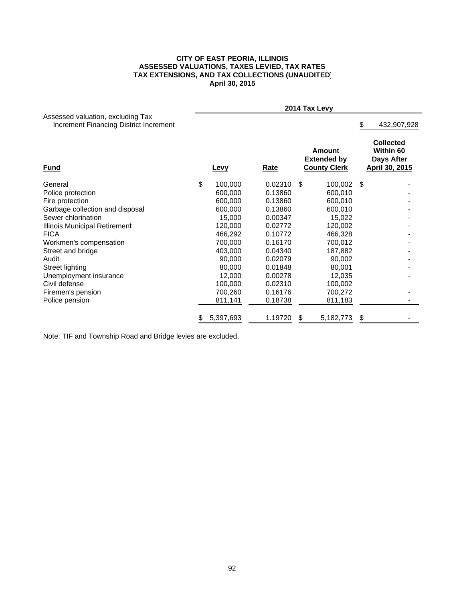#### **CITY OF EAST PEORIA, ILLINOIS ASSESSED VALUATIONS, TAXES LEVIED, TAX RATES TAX EXTENSIONS, AND TAX COLLECTIONS (UNAUDITED) April 30, 2015**

|                                                                             |                 |             | 2014 Tax Levy |                                                     |      |                                                                             |
|-----------------------------------------------------------------------------|-----------------|-------------|---------------|-----------------------------------------------------|------|-----------------------------------------------------------------------------|
| Assessed valuation, excluding Tax<br>Increment Financing District Increment |                 |             |               |                                                     | \$.  | 432,907,928                                                                 |
| <u>Fund</u>                                                                 | Levy            | <b>Rate</b> |               | Amount<br><b>Extended by</b><br><b>County Clerk</b> |      | <b>Collected</b><br>Within 60<br><b>Days After</b><br><b>April 30, 2015</b> |
| General                                                                     | \$<br>100,000   | 0.02310     | \$            | 100,002                                             | - \$ |                                                                             |
| Police protection                                                           | 600,000         | 0.13860     |               | 600,010                                             |      |                                                                             |
| Fire protection                                                             | 600,000         | 0.13860     |               | 600,010                                             |      |                                                                             |
| Garbage collection and disposal                                             | 600,000         | 0.13860     |               | 600,010                                             |      |                                                                             |
| Sewer chlorination                                                          | 15,000          | 0.00347     |               | 15,022                                              |      |                                                                             |
| Illinois Municipal Retirement                                               | 120,000         | 0.02772     |               | 120,002                                             |      |                                                                             |
| <b>FICA</b>                                                                 | 466,292         | 0.10772     |               | 466,328                                             |      |                                                                             |
| Workmen's compensation                                                      | 700,000         | 0.16170     |               | 700,012                                             |      |                                                                             |
| Street and bridge                                                           | 403,000         | 0.04340     |               | 187,882                                             |      |                                                                             |
| Audit                                                                       | 90,000          | 0.02079     |               | 90,002                                              |      |                                                                             |
| Street lighting                                                             | 80,000          | 0.01848     |               | 80,001                                              |      |                                                                             |
| Unemployment insurance                                                      | 12,000          | 0.00278     |               | 12,035                                              |      |                                                                             |
| Civil defense                                                               | 100,000         | 0.02310     |               | 100,002                                             |      |                                                                             |
| Firemen's pension                                                           | 700,260         | 0.16176     |               | 700,272                                             |      |                                                                             |
| Police pension                                                              | 811,141         | 0.18738     |               | 811,183                                             |      |                                                                             |
|                                                                             | \$<br>5,397,693 | 1.19720     |               | 5,182,773                                           |      |                                                                             |

Note: TIF and Township Road and Bridge levies are excluded.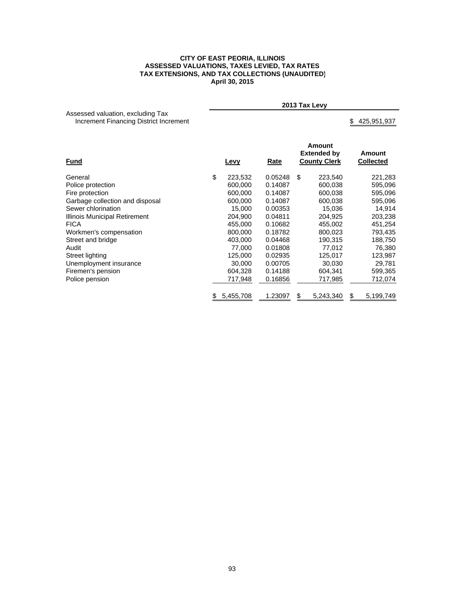#### **CITY OF EAST PEORIA, ILLINOIS ASSESSED VALUATIONS, TAXES LEVIED, TAX RATES TAX EXTENSIONS, AND TAX COLLECTIONS (UNAUDITED) April 30, 2015**

|                                                                             |      |      | 2013 Tax Levy                                       |                            |
|-----------------------------------------------------------------------------|------|------|-----------------------------------------------------|----------------------------|
| Assessed valuation, excluding Tax<br>Increment Financing District Increment |      |      |                                                     | 425,951,937<br>S.          |
| <b>Fund</b>                                                                 | Levy | Rate | Amount<br><b>Extended by</b><br><b>County Clerk</b> | Amount<br><b>Collected</b> |

| General                         | \$<br>223,532 | 0.05248 | \$ | 223,540   | 221,283   |
|---------------------------------|---------------|---------|----|-----------|-----------|
| Police protection               | 600,000       | 0.14087 |    | 600,038   | 595,096   |
| Fire protection                 | 600,000       | 0.14087 |    | 600,038   | 595,096   |
| Garbage collection and disposal | 600,000       | 0.14087 |    | 600.038   | 595,096   |
| Sewer chlorination              | 15.000        | 0.00353 |    | 15,036    | 14,914    |
| Illinois Municipal Retirement   | 204.900       | 0.04811 |    | 204.925   | 203,238   |
| <b>FICA</b>                     | 455,000       | 0.10682 |    | 455,002   | 451,254   |
| Workmen's compensation          | 800,000       | 0.18782 |    | 800.023   | 793,435   |
| Street and bridge               | 403.000       | 0.04468 |    | 190.315   | 188,750   |
| Audit                           | 77.000        | 0.01808 |    | 77,012    | 76,380    |
| Street lighting                 | 125,000       | 0.02935 |    | 125,017   | 123,987   |
| Unemployment insurance          | 30,000        | 0.00705 |    | 30,030    | 29,781    |
| Firemen's pension               | 604.328       | 0.14188 |    | 604.341   | 599,365   |
| Police pension                  | 717,948       | 0.16856 |    | 717,985   | 712,074   |
|                                 | 5,455,708     | 1.23097 | S  | 5,243,340 | 5,199,749 |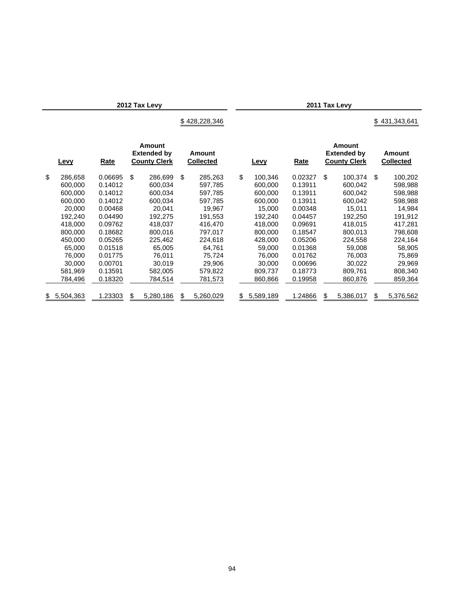**2012 Tax Levy 2011 Tax Levy**

## $$428,228,346$   $$431,343,641$

| <b>Levy</b>   | Rate    | Amount<br><b>Extended by</b><br><b>County Clerk</b> |    | Amount<br><b>Collected</b> | Levy            | Rate    | Amount<br><b>Extended by</b><br><b>County Clerk</b> | Amount<br><b>Collected</b> |
|---------------|---------|-----------------------------------------------------|----|----------------------------|-----------------|---------|-----------------------------------------------------|----------------------------|
| \$<br>286,658 | 0.06695 | \$<br>286,699                                       | \$ | 285,263                    | \$<br>100.346   | 0.02327 | \$<br>100.374                                       | \$<br>100,202              |
| 600,000       | 0.14012 | 600.034                                             |    | 597,785                    | 600.000         | 0.13911 | 600.042                                             | 598,988                    |
| 600.000       | 0.14012 | 600.034                                             |    | 597,785                    | 600.000         | 0.13911 | 600.042                                             | 598,988                    |
| 600.000       | 0.14012 | 600,034                                             |    | 597,785                    | 600.000         | 0.13911 | 600,042                                             | 598,988                    |
| 20,000        | 0.00468 | 20,041                                              |    | 19,967                     | 15,000          | 0.00348 | 15,011                                              | 14,984                     |
| 192,240       | 0.04490 | 192,275                                             |    | 191.553                    | 192.240         | 0.04457 | 192,250                                             | 191,912                    |
| 418,000       | 0.09762 | 418,037                                             |    | 416,470                    | 418,000         | 0.09691 | 418,015                                             | 417,281                    |
| 800,000       | 0.18682 | 800,016                                             |    | 797,017                    | 800,000         | 0.18547 | 800.013                                             | 798,608                    |
| 450.000       | 0.05265 | 225.462                                             |    | 224,618                    | 428,000         | 0.05206 | 224.558                                             | 224,164                    |
| 65,000        | 0.01518 | 65,005                                              |    | 64,761                     | 59,000          | 0.01368 | 59,008                                              | 58,905                     |
| 76.000        | 0.01775 | 76.011                                              |    | 75.724                     | 76.000          | 0.01762 | 76.003                                              | 75,869                     |
| 30,000        | 0.00701 | 30,019                                              |    | 29,906                     | 30.000          | 0.00696 | 30,022                                              | 29,969                     |
| 581.969       | 0.13591 | 582,005                                             |    | 579,822                    | 809.737         | 0.18773 | 809,761                                             | 808,340                    |
| 784,496       | 0.18320 | 784,514                                             |    | 781,573                    | 860.866         | 0.19958 | 860,876                                             | 859,364                    |
| \$5,504,363   | 1.23303 | \$<br>5,280,186                                     | S  | 5,260,029                  | \$<br>5,589,189 | 1.24866 | \$<br>5,386,017                                     | \$<br>5,376,562            |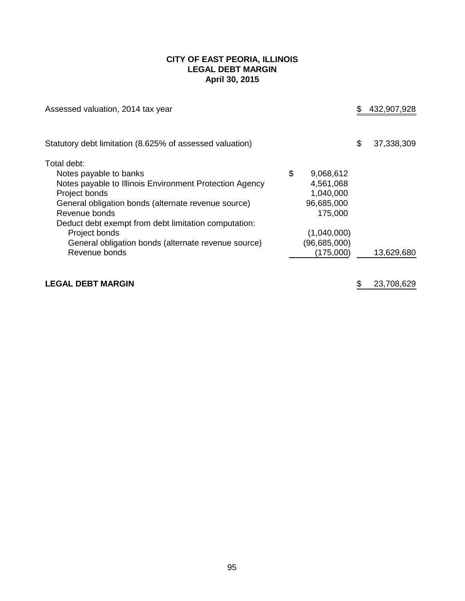## **CITY OF EAST PEORIA, ILLINOIS LEGAL DEBT MARGIN April 30, 2015**

| Assessed valuation, 2014 tax year                        |                 | 432,907,928      |
|----------------------------------------------------------|-----------------|------------------|
| Statutory debt limitation (8.625% of assessed valuation) |                 | \$<br>37,338,309 |
| Total debt:                                              |                 |                  |
| Notes payable to banks                                   | \$<br>9,068,612 |                  |
| Notes payable to Illinois Environment Protection Agency  | 4,561,068       |                  |
| Project bonds                                            | 1,040,000       |                  |
| General obligation bonds (alternate revenue source)      | 96,685,000      |                  |
| Revenue bonds                                            | 175,000         |                  |
| Deduct debt exempt from debt limitation computation:     |                 |                  |
| Project bonds                                            | (1,040,000)     |                  |
| General obligation bonds (alternate revenue source)      | (96,685,000)    |                  |
| Revenue bonds                                            | (175,000)       | 13,629,680       |
|                                                          |                 |                  |
|                                                          |                 |                  |

# **LEGAL DEBT MARGIN EXECUTE:** 1989 **CONTRACT AND ALL 23,708,629**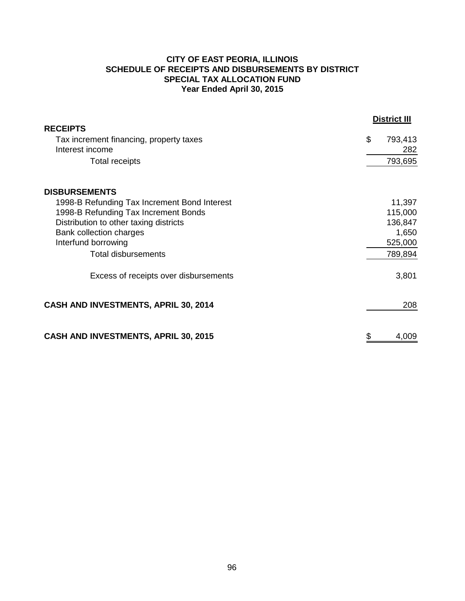# **CITY OF EAST PEORIA, ILLINOIS SCHEDULE OF RECEIPTS AND DISBURSEMENTS BY DISTRICT SPECIAL TAX ALLOCATION FUND Year Ended April 30, 2015**

|                                              | <b>District III</b> |
|----------------------------------------------|---------------------|
| <b>RECEIPTS</b>                              |                     |
| Tax increment financing, property taxes      | \$<br>793,413       |
| Interest income                              | 282                 |
| <b>Total receipts</b>                        | 793,695             |
| <b>DISBURSEMENTS</b>                         |                     |
| 1998-B Refunding Tax Increment Bond Interest | 11,397              |
| 1998-B Refunding Tax Increment Bonds         | 115,000             |
| Distribution to other taxing districts       | 136,847             |
| Bank collection charges                      | 1,650               |
| Interfund borrowing                          | 525,000             |
| <b>Total disbursements</b>                   | 789,894             |
| Excess of receipts over disbursements        | 3,801               |
| CASH AND INVESTMENTS, APRIL 30, 2014         | 208                 |
| <b>CASH AND INVESTMENTS, APRIL 30, 2015</b>  | \$<br>4,009         |